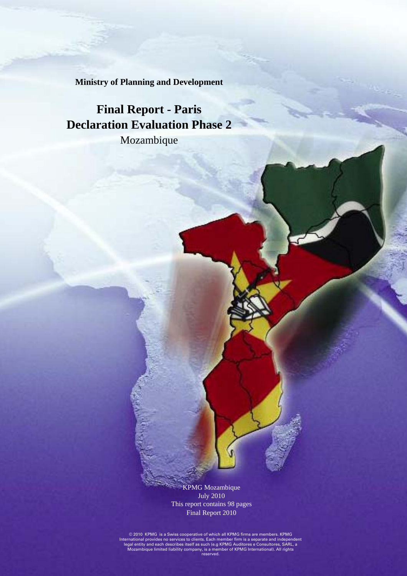**Ministry of Planning and Development** 

ABCD

**Final Report - Paris Declaration Evaluation Phase 2**

Mozambique

KPMG Mozambique July 2010 This report contains 98 pages Final Report 2010

© 2010 KPMG is a Swiss cooperative of which all KPMG firms are members. KPMG<br>International provides no services to clients. Each member firm is a separate and independent<br>legal entity and each describes itself as such (e.g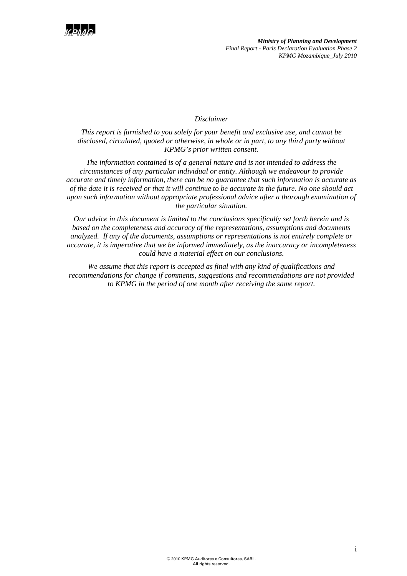

#### *Disclaimer*

*This report is furnished to you solely for your benefit and exclusive use, and cannot be disclosed, circulated, quoted or otherwise, in whole or in part, to any third party without KPMG's prior written consent.* 

*The information contained is of a general nature and is not intended to address the circumstances of any particular individual or entity. Although we endeavour to provide accurate and timely information, there can be no guarantee that such information is accurate as of the date it is received or that it will continue to be accurate in the future. No one should act upon such information without appropriate professional advice after a thorough examination of the particular situation.*

*Our advice in this document is limited to the conclusions specifically set forth herein and is based on the completeness and accuracy of the representations, assumptions and documents analyzed. If any of the documents, assumptions or representations is not entirely complete or accurate, it is imperative that we be informed immediately, as the inaccuracy or incompleteness could have a material effect on our conclusions.* 

*We assume that this report is accepted as final with any kind of qualifications and recommendations for change if comments, suggestions and recommendations are not provided to KPMG in the period of one month after receiving the same report.*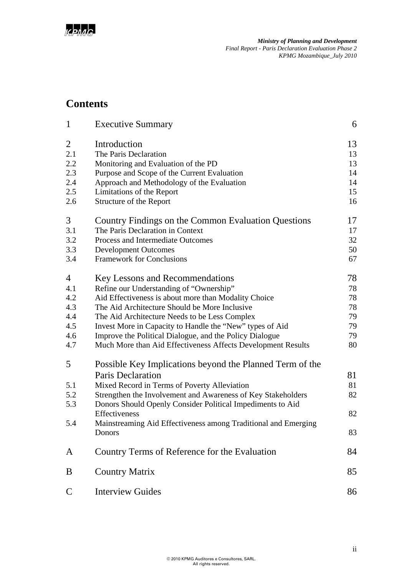

# **Contents**

| $\mathbf{1}$   | <b>Executive Summary</b>                                       | 6  |
|----------------|----------------------------------------------------------------|----|
| $\overline{2}$ | Introduction                                                   | 13 |
| 2.1            | The Paris Declaration                                          | 13 |
| 2.2            | Monitoring and Evaluation of the PD                            | 13 |
| 2.3            | Purpose and Scope of the Current Evaluation                    | 14 |
| 2.4            | Approach and Methodology of the Evaluation                     | 14 |
| 2.5            | Limitations of the Report                                      | 15 |
| 2.6            | Structure of the Report                                        | 16 |
| 3              | Country Findings on the Common Evaluation Questions            | 17 |
| 3.1            | The Paris Declaration in Context                               | 17 |
| 3.2            | Process and Intermediate Outcomes                              | 32 |
| 3.3            | <b>Development Outcomes</b>                                    | 50 |
| 3.4            | <b>Framework for Conclusions</b>                               | 67 |
| $\overline{4}$ | Key Lessons and Recommendations                                | 78 |
| 4.1            | Refine our Understanding of "Ownership"                        | 78 |
| 4.2            | Aid Effectiveness is about more than Modality Choice           | 78 |
| 4.3            | The Aid Architecture Should be More Inclusive                  | 78 |
| 4.4            | The Aid Architecture Needs to be Less Complex                  | 79 |
| 4.5            | Invest More in Capacity to Handle the "New" types of Aid       | 79 |
| 4.6            | Improve the Political Dialogue, and the Policy Dialogue        | 79 |
| 4.7            | Much More than Aid Effectiveness Affects Development Results   | 80 |
| 5              | Possible Key Implications beyond the Planned Term of the       |    |
|                | Paris Declaration                                              | 81 |
| 5.1            | Mixed Record in Terms of Poverty Alleviation                   | 81 |
| 5.2            | Strengthen the Involvement and Awareness of Key Stakeholders   | 82 |
| 5.3            | Donors Should Openly Consider Political Impediments to Aid     |    |
|                | Effectiveness                                                  | 82 |
| 5.4            | Mainstreaming Aid Effectiveness among Traditional and Emerging |    |
|                | Donors                                                         | 83 |
| A              | Country Terms of Reference for the Evaluation                  | 84 |
| B              | <b>Country Matrix</b>                                          | 85 |
| $\mathsf{C}$   | <b>Interview Guides</b>                                        | 86 |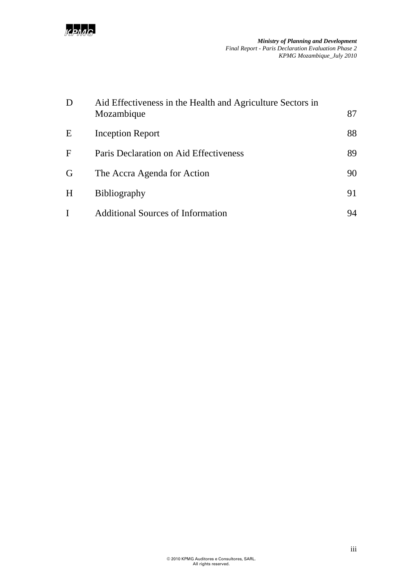

| D | Aid Effectiveness in the Health and Agriculture Sectors in<br>Mozambique | 87 |
|---|--------------------------------------------------------------------------|----|
| E | <b>Inception Report</b>                                                  | 88 |
| F | Paris Declaration on Aid Effectiveness                                   | 89 |
| G | The Accra Agenda for Action                                              | 90 |
| H | <b>Bibliography</b>                                                      | 91 |
|   | <b>Additional Sources of Information</b>                                 | 94 |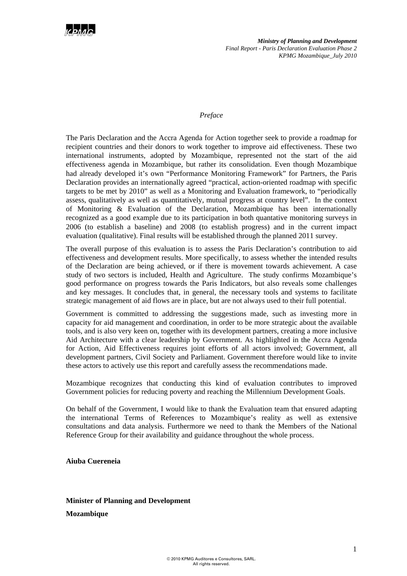

#### *Preface*

The Paris Declaration and the Accra Agenda for Action together seek to provide a roadmap for recipient countries and their donors to work together to improve aid effectiveness. These two international instruments, adopted by Mozambique, represented not the start of the aid effectiveness agenda in Mozambique, but rather its consolidation. Even though Mozambique had already developed it's own "Performance Monitoring Framework" for Partners, the Paris Declaration provides an internationally agreed "practical, action-oriented roadmap with specific targets to be met by 2010" as well as a Monitoring and Evaluation framework, to "periodically assess, qualitatively as well as quantitatively, mutual progress at country level". In the context of Monitoring & Evaluation of the Declaration, Mozambique has been internationally recognized as a good example due to its participation in both quantative monitoring surveys in 2006 (to establish a baseline) and 2008 (to establish progress) and in the current impact evaluation (qualitative). Final results will be established through the planned 2011 survey.

The overall purpose of this evaluation is to assess the Paris Declaration's contribution to aid effectiveness and development results. More specifically, to assess whether the intended results of the Declaration are being achieved, or if there is movement towards achievement. A case study of two sectors is included, Health and Agriculture. The study confirms Mozambique's good performance on progress towards the Paris Indicators, but also reveals some challenges and key messages. It concludes that, in general, the necessary tools and systems to facilitate strategic management of aid flows are in place, but are not always used to their full potential.

Government is committed to addressing the suggestions made, such as investing more in capacity for aid management and coordination, in order to be more strategic about the available tools, and is also very keen on, together with its development partners, creating a more inclusive Aid Architecture with a clear leadership by Government. As highlighted in the Accra Agenda for Action, Aid Effectiveness requires joint efforts of all actors involved; Government, all development partners, Civil Society and Parliament. Government therefore would like to invite these actors to actively use this report and carefully assess the recommendations made.

Mozambique recognizes that conducting this kind of evaluation contributes to improved Government policies for reducing poverty and reaching the Millennium Development Goals.

On behalf of the Government, I would like to thank the Evaluation team that ensured adapting the international Terms of References to Mozambique's reality as well as extensive consultations and data analysis. Furthermore we need to thank the Members of the National Reference Group for their availability and guidance throughout the whole process.

**Aiuba Cuereneia** 

## **Minister of Planning and Development Mozambique**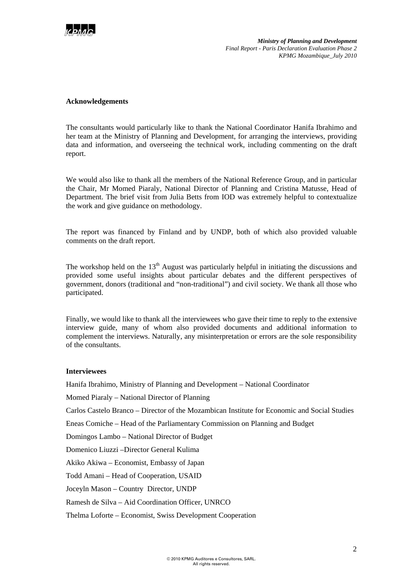

#### **Acknowledgements**

The consultants would particularly like to thank the National Coordinator Hanifa Ibrahimo and her team at the Ministry of Planning and Development, for arranging the interviews, providing data and information, and overseeing the technical work, including commenting on the draft report.

We would also like to thank all the members of the National Reference Group, and in particular the Chair, Mr Momed Piaraly, National Director of Planning and Cristina Matusse, Head of Department. The brief visit from Julia Betts from IOD was extremely helpful to contextualize the work and give guidance on methodology.

The report was financed by Finland and by UNDP, both of which also provided valuable comments on the draft report.

The workshop held on the  $13<sup>th</sup>$  August was particularly helpful in initiating the discussions and provided some useful insights about particular debates and the different perspectives of government, donors (traditional and "non-traditional") and civil society. We thank all those who participated.

Finally, we would like to thank all the interviewees who gave their time to reply to the extensive interview guide, many of whom also provided documents and additional information to complement the interviews. Naturally, any misinterpretation or errors are the sole responsibility of the consultants.

#### **Interviewees**

Hanifa Ibrahimo, Ministry of Planning and Development – National Coordinator

Momed Piaraly – National Director of Planning

Carlos Castelo Branco – Director of the Mozambican Institute for Economic and Social Studies

Eneas Comiche – Head of the Parliamentary Commission on Planning and Budget

Domingos Lambo – National Director of Budget

Domenico Liuzzi –Director General Kulima

Akiko Akiwa – Economist, Embassy of Japan

Todd Amani – Head of Cooperation, USAID

Joceyln Mason – Country Director, UNDP

Ramesh de Silva – Aid Coordination Officer, UNRCO

Thelma Loforte – Economist, Swiss Development Cooperation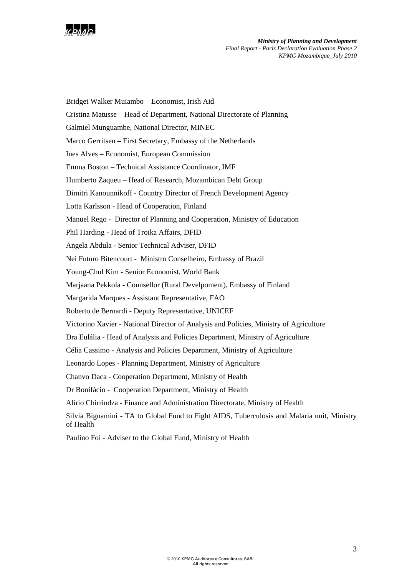

Bridget Walker Muiambo – Economist, Irish Aid Cristina Matusse – Head of Department, National Directorate of Planning Galmiel Munguambe, National Director, MINEC Marco Gerritsen – First Secretary, Embassy of the Netherlands Ines Alves – Economist, European Commission Emma Boston – Technical Assistance Coordinator, IMF Humberto Zaqueu – Head of Research, Mozambican Debt Group Dimitri Kanounnikoff - Country Director of French Development Agency Lotta Karlsson - Head of Cooperation, Finland Manuel Rego - Director of Planning and Cooperation, Ministry of Education Phil Harding - Head of Troika Affairs, DFID Angela Abdula - Senior Technical Adviser, DFID Nei Futuro Bitencourt - Ministro Conselheiro, Embassy of Brazil Young-Chul Kim - Senior Economist, World Bank Marjaana Pekkola - Counsellor (Rural Develpoment), Embassy of Finland Margarida Marques - Assistant Representative, FAO Roberto de Bernardi - Deputy Representative, UNICEF Victorino Xavier - National Director of Analysis and Policies, Ministry of Agriculture Dra Eulália - Head of Analysis and Policies Department, Ministry of Agriculture Célia Cassimo - Analysis and Policies Department, Ministry of Agriculture Leonardo Lopes - Planning Department, Ministry of Agriculture Chanvo Daca - Cooperation Department, Ministry of Health Dr Bonifácio - Cooperation Department, Ministry of Health Alírio Chirrindza - Finance and Administration Directorate, Ministry of Health Silvia Bignamini - TA to Global Fund to Fight AIDS, Tuberculosis and Malaria unit, Ministry of Health Paulino Foi - Adviser to the Global Fund, Ministry of Health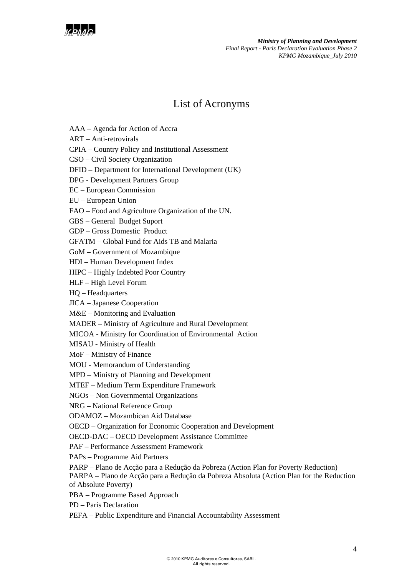

# List of Acronyms

AAA – Agenda for Action of Accra

ART – Anti-retrovirals

CPIA – Country Policy and Institutional Assessment

CSO – Civil Society Organization

DFID – Department for International Development (UK)

DPG - Development Partners Group

EC – European Commission

EU – European Union

FAO – Food and Agriculture Organization of the UN.

GBS – General Budget Suport

GDP – Gross Domestic Product

GFATM – Global Fund for Aids TB and Malaria

GoM – Government of Mozambique

HDI – Human Development Index

HIPC – Highly Indebted Poor Country

HLF – High Level Forum

HQ – Headquarters

JICA – Japanese Cooperation

M&E – Monitoring and Evaluation

MADER – Ministry of Agriculture and Rural Development

MICOA - Ministry for Coordination of Environmental Action

MISAU - Ministry of Health

MoF – Ministry of Finance

MOU - Memorandum of Understanding

MPD – Ministry of Planning and Development

MTEF – Medium Term Expenditure Framework

NGOs – Non Governmental Organizations

NRG – National Reference Group

ODAMOZ – Mozambican Aid Database

OECD – Organization for Economic Cooperation and Development

OECD-DAC – OECD Development Assistance Committee

PAF – Performance Assessment Framework

PAPs – Programme Aid Partners

PARP – Plano de Acção para a Redução da Pobreza (Action Plan for Poverty Reduction)

PARPA – Plano de Acção para a Redução da Pobreza Absoluta (Action Plan for the Reduction of Absolute Poverty)

PBA – Programme Based Approach

PD – Paris Declaration

PEFA – Public Expenditure and Financial Accountability Assessment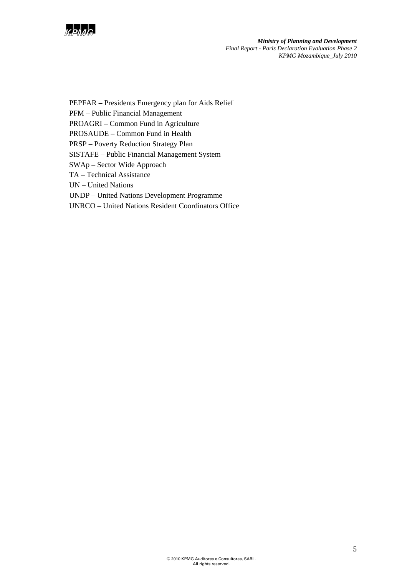

PEPFAR – Presidents Emergency plan for Aids Relief

PFM – Public Financial Management

PROAGRI – Common Fund in Agriculture

PROSAUDE – Common Fund in Health

PRSP – Poverty Reduction Strategy Plan

SISTAFE – Public Financial Management System

SWAp – Sector Wide Approach

TA – Technical Assistance

UN – United Nations

UNDP – United Nations Development Programme

UNRCO – United Nations Resident Coordinators Office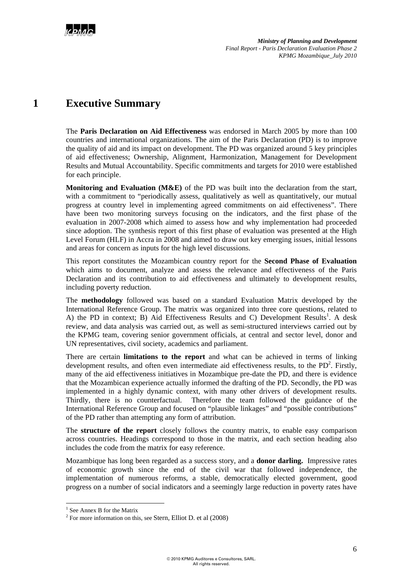

# **1 Executive Summary**

The **Paris Declaration on Aid Effectiveness** was endorsed in March 2005 by more than 100 countries and international organizations. The aim of the Paris Declaration (PD) is to improve the quality of aid and its impact on development. The PD was organized around 5 key principles of aid effectiveness; Ownership, Alignment, Harmonization, Management for Development Results and Mutual Accountability. Specific commitments and targets for 2010 were established for each principle.

**Monitoring and Evaluation (M&E)** of the PD was built into the declaration from the start, with a commitment to "periodically assess, qualitatively as well as quantitatively, our mutual progress at country level in implementing agreed commitments on aid effectiveness". There have been two monitoring surveys focusing on the indicators, and the first phase of the evaluation in 2007-2008 which aimed to assess how and why implementation had proceeded since adoption. The synthesis report of this first phase of evaluation was presented at the High Level Forum (HLF) in Accra in 2008 and aimed to draw out key emerging issues, initial lessons and areas for concern as inputs for the high level discussions.

This report constitutes the Mozambican country report for the **Second Phase of Evaluation**  which aims to document, analyze and assess the relevance and effectiveness of the Paris Declaration and its contribution to aid effectiveness and ultimately to development results, including poverty reduction.

The **methodology** followed was based on a standard Evaluation Matrix developed by the International Reference Group. The matrix was organized into three core questions, related to A) the PD in context; B) Aid Effectiveness Results and C) Development Results<sup>1</sup>. A desk review, and data analysis was carried out, as well as semi-structured interviews carried out by the KPMG team, covering senior government officials, at central and sector level, donor and UN representatives, civil society, academics and parliament.

There are certain **limitations to the report** and what can be achieved in terms of linking development results, and often even intermediate aid effectiveness results, to the  $PD^2$ . Firstly, many of the aid effectiveness initiatives in Mozambique pre-date the PD, and there is evidence that the Mozambican experience actually informed the drafting of the PD. Secondly, the PD was implemented in a highly dynamic context, with many other drivers of development results. Thirdly, there is no counterfactual. Therefore the team followed the guidance of the International Reference Group and focused on "plausible linkages" and "possible contributions" of the PD rather than attempting any form of attribution.

The **structure of the report** closely follows the country matrix, to enable easy comparison across countries. Headings correspond to those in the matrix, and each section heading also includes the code from the matrix for easy reference.

Mozambique has long been regarded as a success story, and a **donor darling.** Impressive rates of economic growth since the end of the civil war that followed independence, the implementation of numerous reforms, a stable, democratically elected government, good progress on a number of social indicators and a seemingly large reduction in poverty rates have

<sup>&</sup>lt;sup>1</sup> See Annex B for the Matrix

 $2^2$  For more information on this, see Stern, Elliot D. et al (2008)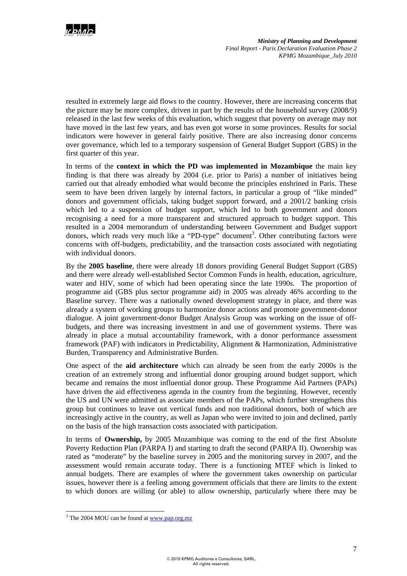

resulted in extremely large aid flows to the country. However, there are increasing concerns that the picture may be more complex, driven in part by the results of the household survey (2008/9) released in the last few weeks of this evaluation, which suggest that poverty on average may not have moved in the last few years, and has even got worse in some provinces. Results for social indicators were however in general fairly positive. There are also increasing donor concerns over governance, which led to a temporary suspension of General Budget Support (GBS) in the first quarter of this year.

In terms of the **context in which the PD was implemented in Mozambique** the main key finding is that there was already by 2004 (i.e. prior to Paris) a number of initiatives being carried out that already embodied what would become the principles enshrined in Paris. These seem to have been driven largely by internal factors, in particular a group of "like minded" donors and government officials, taking budget support forward, and a 2001/2 banking crisis which led to a suspension of budget support, which led to both government and donors recognising a need for a more transparent and structured approach to budget support. This resulted in a 2004 memorandum of understanding between Government and Budget support donors, which reads very much like a "PD-type" document<sup>3</sup>. Other contributing factors were concerns with off-budgets, predictability, and the transaction costs associated with negotiating with individual donors.

By the **2005 baseline**, there were already 18 donors providing General Budget Support (GBS) and there were already well-established Sector Common Funds in health, education, agriculture, water and HIV, some of which had been operating since the late 1990s. The proportion of programme aid (GBS plus sector programme aid) in 2005 was already 46% according to the Baseline survey. There was a nationally owned development strategy in place, and there was already a system of working groups to harmonize donor actions and promote government-donor dialogue. A joint government-donor Budget Analysis Group was working on the issue of offbudgets, and there was increasing investment in and use of government systems. There was already in place a mutual accountability framework, with a donor performance assessment framework (PAF) with indicators in Predictability, Alignment & Harmonization, Administrative Burden, Transparency and Administrative Burden.

One aspect of the **aid architecture** which can already be seen from the early 2000s is the creation of an extremely strong and influential donor grouping around budget support, which became and remains the most influential donor group. These Programme Aid Partners (PAPs) have driven the aid effectiveness agenda in the country from the beginning. However, recently the US and UN were admitted as associate members of the PAPs, which further strengthens this group but continues to leave out vertical funds and non traditional donors, both of which are increasingly active in the country, as well as Japan who were invited to join and declined, partly on the basis of the high transaction costs associated with participation.

In terms of **Ownership,** by 2005 Mozambique was coming to the end of the first Absolute Poverty Reduction Plan (PARPA I) and starting to draft the second (PARPA II). Ownership was rated as "moderate" by the baseline survey in 2005 and the monitoring survey in 2007, and the assessment would remain accurate today. There is a functioning MTEF which is linked to annual budgets. There are examples of where the government takes ownership on particular issues, however there is a feeling among government officials that there are limits to the extent to which donors are willing (or able) to allow ownership, particularly where there may be

l

<sup>&</sup>lt;sup>3</sup> The 2004 MOU can be found at <u>www.pap.org.mz</u>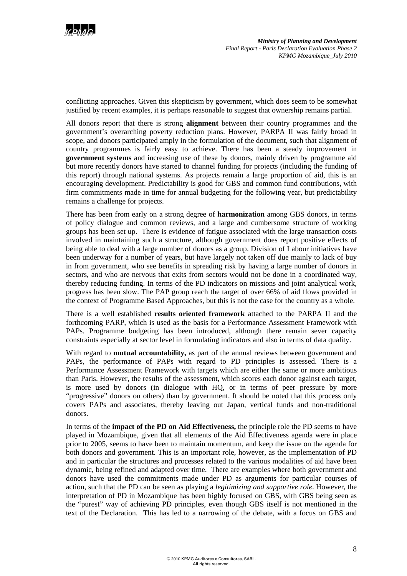

conflicting approaches. Given this skepticism by government, which does seem to be somewhat justified by recent examples, it is perhaps reasonable to suggest that ownership remains partial.

All donors report that there is strong **alignment** between their country programmes and the government's overarching poverty reduction plans. However, PARPA II was fairly broad in scope, and donors participated amply in the formulation of the document, such that alignment of country programmes is fairly easy to achieve. There has been a steady improvement in **government systems** and increasing use of these by donors, mainly driven by programme aid but more recently donors have started to channel funding for projects (including the funding of this report) through national systems. As projects remain a large proportion of aid, this is an encouraging development. Predictability is good for GBS and common fund contributions, with firm commitments made in time for annual budgeting for the following year, but predictability remains a challenge for projects.

There has been from early on a strong degree of **harmonization** among GBS donors, in terms of policy dialogue and common reviews, and a large and cumbersome structure of working groups has been set up. There is evidence of fatigue associated with the large transaction costs involved in maintaining such a structure, although government does report positive effects of being able to deal with a large number of donors as a group. Division of Labour initiatives have been underway for a number of years, but have largely not taken off due mainly to lack of buy in from government, who see benefits in spreading risk by having a large number of donors in sectors, and who are nervous that exits from sectors would not be done in a coordinated way, thereby reducing funding. In terms of the PD indicators on missions and joint analytical work, progress has been slow. The PAP group reach the target of over 66% of aid flows provided in the context of Programme Based Approaches, but this is not the case for the country as a whole.

There is a well established **results oriented framework** attached to the PARPA II and the forthcoming PARP, which is used as the basis for a Performance Assessment Framework with PAPs. Programme budgeting has been introduced, although there remain sever capacity constraints especially at sector level in formulating indicators and also in terms of data quality.

With regard to **mutual accountability**, as part of the annual reviews between government and PAPs, the performance of PAPs with regard to PD principles is assessed. There is a Performance Assessment Framework with targets which are either the same or more ambitious than Paris. However, the results of the assessment, which scores each donor against each target, is more used by donors (in dialogue with HQ, or in terms of peer pressure by more "progressive" donors on others) than by government. It should be noted that this process only covers PAPs and associates, thereby leaving out Japan, vertical funds and non-traditional donors.

In terms of the **impact of the PD on Aid Effectiveness,** the principle role the PD seems to have played in Mozambique, given that all elements of the Aid Effectiveness agenda were in place prior to 2005, seems to have been to maintain momentum, and keep the issue on the agenda for both donors and government. This is an important role, however, as the implementation of PD and in particular the structures and processes related to the various modalities of aid have been dynamic, being refined and adapted over time. There are examples where both government and donors have used the commitments made under PD as arguments for particular courses of action, such that the PD can be seen as playing a *legitimizing and supportive role*. However, the interpretation of PD in Mozambique has been highly focused on GBS, with GBS being seen as the "purest" way of achieving PD principles, even though GBS itself is not mentioned in the text of the Declaration. This has led to a narrowing of the debate, with a focus on GBS and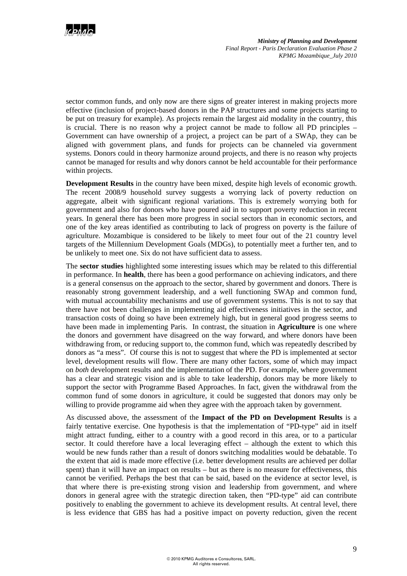

sector common funds, and only now are there signs of greater interest in making projects more effective (inclusion of project-based donors in the PAP structures and some projects starting to be put on treasury for example). As projects remain the largest aid modality in the country, this is crucial. There is no reason why a project cannot be made to follow all PD principles – Government can have ownership of a project, a project can be part of a SWAp, they can be aligned with government plans, and funds for projects can be channeled via government systems. Donors could in theory harmonize around projects, and there is no reason why projects cannot be managed for results and why donors cannot be held accountable for their performance within projects.

**Development Results** in the country have been mixed, despite high levels of economic growth. The recent 2008/9 household survey suggests a worrying lack of poverty reduction on aggregate, albeit with significant regional variations. This is extremely worrying both for government and also for donors who have poured aid in to support poverty reduction in recent years. In general there has been more progress in social sectors than in economic sectors, and one of the key areas identified as contributing to lack of progress on poverty is the failure of agriculture. Mozambique is considered to be likely to meet four out of the 21 country level targets of the Millennium Development Goals (MDGs), to potentially meet a further ten, and to be unlikely to meet one. Six do not have sufficient data to assess.

The **sector studies** highlighted some interesting issues which may be related to this differential in performance. In **health**, there has been a good performance on achieving indicators, and there is a general consensus on the approach to the sector, shared by government and donors. There is reasonably strong government leadership, and a well functioning SWAp and common fund, with mutual accountability mechanisms and use of government systems. This is not to say that there have not been challenges in implementing aid effectiveness initiatives in the sector, and transaction costs of doing so have been extremely high, but in general good progress seems to have been made in implementing Paris. In contrast, the situation in **Agriculture** is one where the donors and government have disagreed on the way forward, and where donors have been withdrawing from, or reducing support to, the common fund, which was repeatedly described by donors as "a mess". Of course this is not to suggest that where the PD is implemented at sector level, development results will flow. There are many other factors, some of which may impact on *both* development results and the implementation of the PD. For example, where government has a clear and strategic vision and is able to take leadership, donors may be more likely to support the sector with Programme Based Approaches. In fact, given the withdrawal from the common fund of some donors in agriculture, it could be suggested that donors may only be willing to provide programme aid when they agree with the approach taken by government.

As discussed above, the assessment of the **Impact of the PD on Development Results** is a fairly tentative exercise. One hypothesis is that the implementation of "PD-type" aid in itself might attract funding, either to a country with a good record in this area, or to a particular sector. It could therefore have a local leveraging effect – although the extent to which this would be new funds rather than a result of donors switching modalities would be debatable. To the extent that aid is made more effective (i.e. better development results are achieved per dollar spent) than it will have an impact on results – but as there is no measure for effectiveness, this cannot be verified. Perhaps the best that can be said, based on the evidence at sector level, is that where there is pre-existing strong vision and leadership from government, and where donors in general agree with the strategic direction taken, then "PD-type" aid can contribute positively to enabling the government to achieve its development results. At central level, there is less evidence that GBS has had a positive impact on poverty reduction, given the recent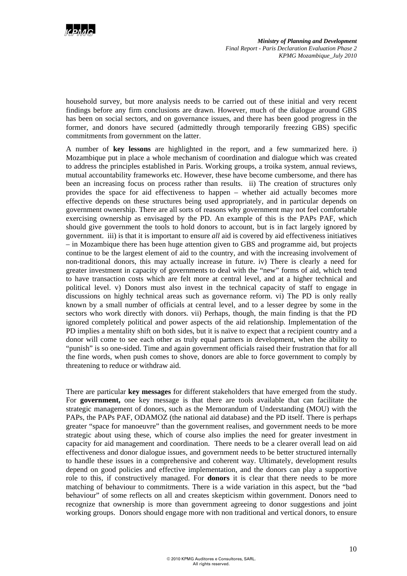

household survey, but more analysis needs to be carried out of these initial and very recent findings before any firm conclusions are drawn. However, much of the dialogue around GBS has been on social sectors, and on governance issues, and there has been good progress in the former, and donors have secured (admittedly through temporarily freezing GBS) specific commitments from government on the latter.

A number of **key lessons** are highlighted in the report, and a few summarized here. i) Mozambique put in place a whole mechanism of coordination and dialogue which was created to address the principles established in Paris. Working groups, a troika system, annual reviews, mutual accountability frameworks etc. However, these have become cumbersome, and there has been an increasing focus on process rather than results. ii) The creation of structures only provides the space for aid effectiveness to happen – whether aid actually becomes more effective depends on these structures being used appropriately, and in particular depends on government ownership. There are all sorts of reasons why government may not feel comfortable exercising ownership as envisaged by the PD. An example of this is the PAPs PAF, which should give government the tools to hold donors to account, but is in fact largely ignored by government. iii) is that it is important to ensure *all* aid is covered by aid effectiveness initiatives – in Mozambique there has been huge attention given to GBS and programme aid, but projects continue to be the largest element of aid to the country, and with the increasing involvement of non-traditional donors, this may actually increase in future. iv) There is clearly a need for greater investment in capacity of governments to deal with the "new" forms of aid, which tend to have transaction costs which are felt more at central level, and at a higher technical and political level. v) Donors must also invest in the technical capacity of staff to engage in discussions on highly technical areas such as governance reform. vi) The PD is only really known by a small number of officials at central level, and to a lesser degree by some in the sectors who work directly with donors. vii) Perhaps, though, the main finding is that the PD ignored completely political and power aspects of the aid relationship. Implementation of the PD implies a mentality shift on both sides, but it is naïve to expect that a recipient country and a donor will come to see each other as truly equal partners in development, when the ability to "punish" is so one-sided. Time and again government officials raised their frustration that for all the fine words, when push comes to shove, donors are able to force government to comply by threatening to reduce or withdraw aid.

There are particular **key messages** for different stakeholders that have emerged from the study. For **government,** one key message is that there are tools available that can facilitate the strategic management of donors, such as the Memorandum of Understanding (MOU) with the PAPs, the PAPs PAF, ODAMOZ (the national aid database) and the PD itself. There is perhaps greater "space for manoeuvre" than the government realises, and government needs to be more strategic about using these, which of course also implies the need for greater investment in capacity for aid management and coordination. There needs to be a clearer overall lead on aid effectiveness and donor dialogue issues, and government needs to be better structured internally to handle these issues in a comprehensive and coherent way. Ultimately, development results depend on good policies and effective implementation, and the donors can play a supportive role to this, if constructively managed. For **donors** it is clear that there needs to be more matching of behaviour to commitments. There is a wide variation in this aspect, but the "bad behaviour" of some reflects on all and creates skepticism within government. Donors need to recognize that ownership is more than government agreeing to donor suggestions and joint working groups. Donors should engage more with non traditional and vertical donors, to ensure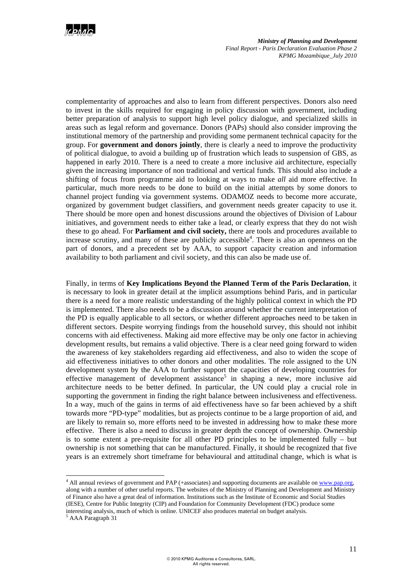

l

*Ministry of Planning and Development Final Report - Paris Declaration Evaluation Phase 2 KPMG Mozambique\_July 2010*

complementarity of approaches and also to learn from different perspectives. Donors also need to invest in the skills required for engaging in policy discussion with government, including better preparation of analysis to support high level policy dialogue, and specialized skills in areas such as legal reform and governance. Donors (PAPs) should also consider improving the institutional memory of the partnership and providing some permanent technical capacity for the group. For **government and donors jointly**, there is clearly a need to improve the productivity of political dialogue, to avoid a building up of frustration which leads to suspension of GBS, as happened in early 2010. There is a need to create a more inclusive aid architecture, especially given the increasing importance of non traditional and vertical funds. This should also include a shifting of focus from programme aid to looking at ways to make *all* aid more effective. In particular, much more needs to be done to build on the initial attempts by some donors to channel project funding via government systems. ODAMOZ needs to become more accurate, organized by government budget classifiers, and government needs greater capacity to use it. There should be more open and honest discussions around the objectives of Division of Labour initiatives, and government needs to either take a lead, or clearly express that they do not wish these to go ahead. For **Parliament and civil society,** there are tools and procedures available to increase scrutiny, and many of these are publicly accessible<sup>4</sup>. There is also an openness on the part of donors, and a precedent set by AAA, to support capacity creation and information availability to both parliament and civil society, and this can also be made use of.

Finally, in terms of **Key Implications Beyond the Planned Term of the Paris Declaration**, it is necessary to look in greater detail at the implicit assumptions behind Paris, and in particular there is a need for a more realistic understanding of the highly political context in which the PD is implemented. There also needs to be a discussion around whether the current interpretation of the PD is equally applicable to all sectors, or whether different approaches need to be taken in different sectors. Despite worrying findings from the household survey, this should not inhibit concerns with aid effectiveness. Making aid more effective may be only one factor in achieving development results, but remains a valid objective. There is a clear need going forward to widen the awareness of key stakeholders regarding aid effectiveness, and also to widen the scope of aid effectiveness initiatives to other donors and other modalities. The role assigned to the UN development system by the AAA to further support the capacities of developing countries for effective management of development assistance<sup>5</sup> in shaping a new, more inclusive aid architecture needs to be better defined. In particular, the UN could play a crucial role in supporting the government in finding the right balance between inclusiveness and effectiveness. In a way, much of the gains in terms of aid effectiveness have so far been achieved by a shift towards more "PD-type" modalities, but as projects continue to be a large proportion of aid, and are likely to remain so, more efforts need to be invested in addressing how to make these more effective. There is also a need to discuss in greater depth the concept of ownership. Ownership is to some extent a pre-requisite for all other PD principles to be implemented fully – but ownership is not something that can be manufactured. Finally, it should be recognized that five years is an extremely short timeframe for behavioural and attitudinal change, which is what is

<sup>&</sup>lt;sup>4</sup> All annual reviews of government and PAP (+associates) and supporting documents are available on www.pap.org, along with a number of other useful reports. The websites of the Ministry of Planning and Development and Ministry of Finance also have a great deal of information. Institutions such as the Institute of Economic and Social Studies (IESE), Centre for Public Integrity (CIP) and Foundation for Community Development (FDC) produce some interesting analysis, much of which is online. UNICEF also produces material on budget analysis. 5 <sup>5</sup> AAA Paragraph 31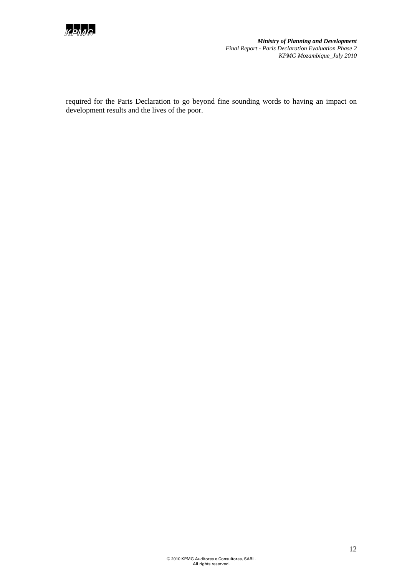

required for the Paris Declaration to go beyond fine sounding words to having an impact on development results and the lives of the poor.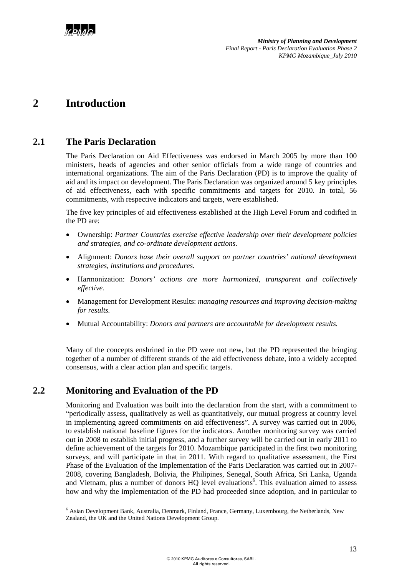# **2 Introduction**

## **2.1 The Paris Declaration**

The Paris Declaration on Aid Effectiveness was endorsed in March 2005 by more than 100 ministers, heads of agencies and other senior officials from a wide range of countries and international organizations. The aim of the Paris Declaration (PD) is to improve the quality of aid and its impact on development. The Paris Declaration was organized around 5 key principles of aid effectiveness, each with specific commitments and targets for 2010. In total, 56 commitments, with respective indicators and targets, were established.

The five key principles of aid effectiveness established at the High Level Forum and codified in the PD are:

- Ownership: *Partner Countries exercise effective leadership over their development policies and strategies, and co-ordinate development actions.*
- Alignment: *Donors base their overall support on partner countries' national development strategies, institutions and procedures.*
- Harmonization: *Donors' actions are more harmonized, transparent and collectively effective.*
- Management for Development Results: *managing resources and improving decision-making for results.*
- Mutual Accountability: *Donors and partners are accountable for development results.*

Many of the concepts enshrined in the PD were not new, but the PD represented the bringing together of a number of different strands of the aid effectiveness debate, into a widely accepted consensus, with a clear action plan and specific targets.

# **2.2 Monitoring and Evaluation of the PD**

Monitoring and Evaluation was built into the declaration from the start, with a commitment to "periodically assess, qualitatively as well as quantitatively, our mutual progress at country level in implementing agreed commitments on aid effectiveness". A survey was carried out in 2006, to establish national baseline figures for the indicators. Another monitoring survey was carried out in 2008 to establish initial progress, and a further survey will be carried out in early 2011 to define achievement of the targets for 2010. Mozambique participated in the first two monitoring surveys, and will participate in that in 2011. With regard to qualitative assessment, the First Phase of the Evaluation of the Implementation of the Paris Declaration was carried out in 2007- 2008, covering Bangladesh, Bolivia, the Philipines, Senegal, South Africa, Sri Lanka, Uganda and Vietnam, plus a number of donors HQ level evaluations<sup>6</sup>. This evaluation aimed to assess how and why the implementation of the PD had proceeded since adoption, and in particular to

l 6 Asian Development Bank, Australia, Denmark, Finland, France, Germany, Luxembourg, the Netherlands, New Zealand, the UK and the United Nations Development Group.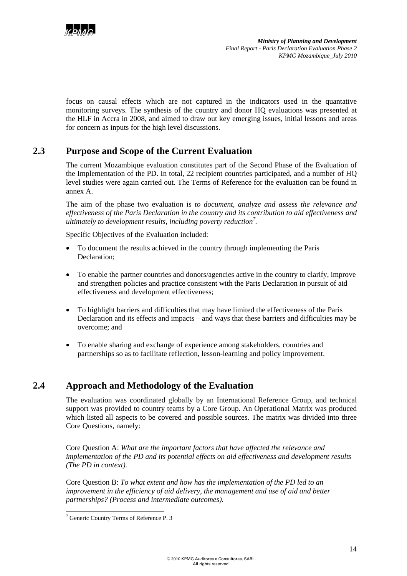

focus on causal effects which are not captured in the indicators used in the quantative monitoring surveys. The synthesis of the country and donor HQ evaluations was presented at the HLF in Accra in 2008, and aimed to draw out key emerging issues, initial lessons and areas for concern as inputs for the high level discussions.

## **2.3 Purpose and Scope of the Current Evaluation**

The current Mozambique evaluation constitutes part of the Second Phase of the Evaluation of the Implementation of the PD. In total, 22 recipient countries participated, and a number of HQ level studies were again carried out. The Terms of Reference for the evaluation can be found in annex A.

The aim of the phase two evaluation is *to document, analyze and assess the relevance and effectiveness of the Paris Declaration in the country and its contribution to aid effectiveness and ultimately to development results, including poverty reduction<sup>7</sup> .* 

Specific Objectives of the Evaluation included:

- To document the results achieved in the country through implementing the Paris Declaration;
- To enable the partner countries and donors/agencies active in the country to clarify, improve and strengthen policies and practice consistent with the Paris Declaration in pursuit of aid effectiveness and development effectiveness;
- To highlight barriers and difficulties that may have limited the effectiveness of the Paris Declaration and its effects and impacts – and ways that these barriers and difficulties may be overcome; and
- To enable sharing and exchange of experience among stakeholders, countries and partnerships so as to facilitate reflection, lesson-learning and policy improvement.

# **2.4 Approach and Methodology of the Evaluation**

The evaluation was coordinated globally by an International Reference Group, and technical support was provided to country teams by a Core Group. An Operational Matrix was produced which listed all aspects to be covered and possible sources. The matrix was divided into three Core Questions, namely:

Core Question A: *What are the important factors that have affected the relevance and implementation of the PD and its potential effects on aid effectiveness and development results (The PD in context).* 

Core Question B: *To what extent and how has the implementation of the PD led to an improvement in the efficiency of aid delivery, the management and use of aid and better partnerships? (Process and intermediate outcomes).*

l

<sup>7</sup> Generic Country Terms of Reference P. 3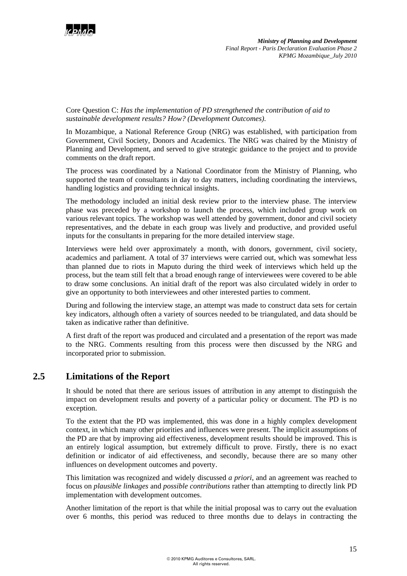

Core Question C: *Has the implementation of PD strengthened the contribution of aid to sustainable development results? How? (Development Outcomes).* 

In Mozambique, a National Reference Group (NRG) was established, with participation from Government, Civil Society, Donors and Academics. The NRG was chaired by the Ministry of Planning and Development, and served to give strategic guidance to the project and to provide comments on the draft report.

The process was coordinated by a National Coordinator from the Ministry of Planning, who supported the team of consultants in day to day matters, including coordinating the interviews, handling logistics and providing technical insights.

The methodology included an initial desk review prior to the interview phase. The interview phase was preceded by a workshop to launch the process, which included group work on various relevant topics. The workshop was well attended by government, donor and civil society representatives, and the debate in each group was lively and productive, and provided useful inputs for the consultants in preparing for the more detailed interview stage.

Interviews were held over approximately a month, with donors, government, civil society, academics and parliament. A total of 37 interviews were carried out, which was somewhat less than planned due to riots in Maputo during the third week of interviews which held up the process, but the team still felt that a broad enough range of interviewees were covered to be able to draw some conclusions. An initial draft of the report was also circulated widely in order to give an opportunity to both interviewees and other interested parties to comment.

During and following the interview stage, an attempt was made to construct data sets for certain key indicators, although often a variety of sources needed to be triangulated, and data should be taken as indicative rather than definitive.

A first draft of the report was produced and circulated and a presentation of the report was made to the NRG. Comments resulting from this process were then discussed by the NRG and incorporated prior to submission.

## **2.5 Limitations of the Report**

It should be noted that there are serious issues of attribution in any attempt to distinguish the impact on development results and poverty of a particular policy or document. The PD is no exception.

To the extent that the PD was implemented, this was done in a highly complex development context, in which many other priorities and influences were present. The implicit assumptions of the PD are that by improving aid effectiveness, development results should be improved. This is an entirely logical assumption, but extremely difficult to prove. Firstly, there is no exact definition or indicator of aid effectiveness, and secondly, because there are so many other influences on development outcomes and poverty.

This limitation was recognized and widely discussed *a priori*, and an agreement was reached to focus on *plausible linkages* and *possible contributions* rather than attempting to directly link PD implementation with development outcomes.

Another limitation of the report is that while the initial proposal was to carry out the evaluation over 6 months, this period was reduced to three months due to delays in contracting the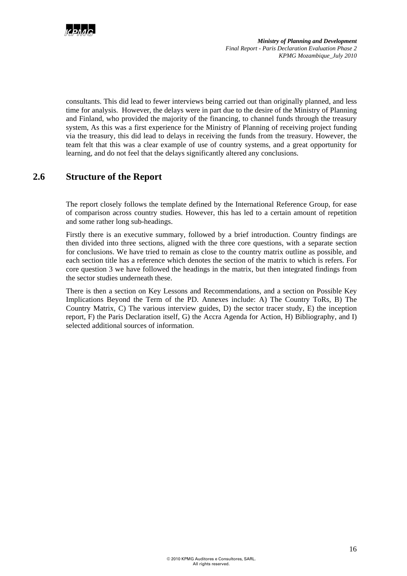

consultants. This did lead to fewer interviews being carried out than originally planned, and less time for analysis. However, the delays were in part due to the desire of the Ministry of Planning and Finland, who provided the majority of the financing, to channel funds through the treasury system, As this was a first experience for the Ministry of Planning of receiving project funding via the treasury, this did lead to delays in receiving the funds from the treasury. However, the team felt that this was a clear example of use of country systems, and a great opportunity for learning, and do not feel that the delays significantly altered any conclusions.

# **2.6 Structure of the Report**

The report closely follows the template defined by the International Reference Group, for ease of comparison across country studies. However, this has led to a certain amount of repetition and some rather long sub-headings.

Firstly there is an executive summary, followed by a brief introduction. Country findings are then divided into three sections, aligned with the three core questions, with a separate section for conclusions. We have tried to remain as close to the country matrix outline as possible, and each section title has a reference which denotes the section of the matrix to which is refers. For core question 3 we have followed the headings in the matrix, but then integrated findings from the sector studies underneath these.

There is then a section on Key Lessons and Recommendations, and a section on Possible Key Implications Beyond the Term of the PD. Annexes include: A) The Country ToRs, B) The Country Matrix, C) The various interview guides, D) the sector tracer study, E) the inception report, F) the Paris Declaration itself, G) the Accra Agenda for Action, H) Bibliography, and I) selected additional sources of information.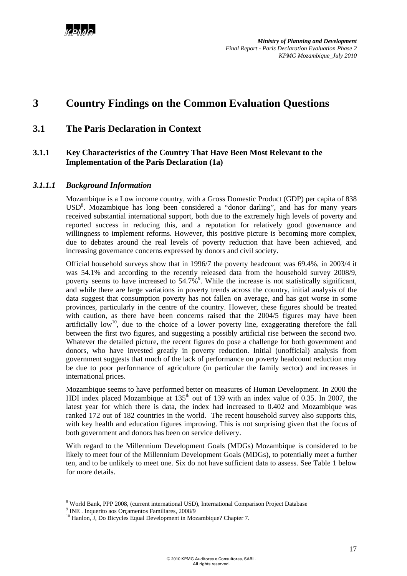# **3 Country Findings on the Common Evaluation Questions**

## **3.1 The Paris Declaration in Context**

## **3.1.1 Key Characteristics of the Country That Have Been Most Relevant to the Implementation of the Paris Declaration (1a)**

## *3.1.1.1 Background Information*

Mozambique is a Low income country, with a Gross Domestic Product (GDP) per capita of 838 USD<sup>8</sup>. Mozambique has long been considered a "donor darling", and has for many years received substantial international support, both due to the extremely high levels of poverty and reported success in reducing this, and a reputation for relatively good governance and willingness to implement reforms. However, this positive picture is becoming more complex, due to debates around the real levels of poverty reduction that have been achieved, and increasing governance concerns expressed by donors and civil society.

Official household surveys show that in 1996/7 the poverty headcount was 69.4%, in 2003/4 it was 54.1% and according to the recently released data from the household survey 2008/9, poverty seems to have increased to  $54.7\%$ <sup>9</sup>. While the increase is not statistically significant, and while there are large variations in poverty trends across the country, initial analysis of the data suggest that consumption poverty has not fallen on average, and has got worse in some provinces, particularly in the centre of the country. However, these figures should be treated with caution, as there have been concerns raised that the 2004/5 figures may have been artificially low<sup>10</sup>, due to the choice of a lower poverty line, exaggerating therefore the fall between the first two figures, and suggesting a possibly artificial rise between the second two. Whatever the detailed picture, the recent figures do pose a challenge for both government and donors, who have invested greatly in poverty reduction. Initial (unofficial) analysis from government suggests that much of the lack of performance on poverty headcount reduction may be due to poor performance of agriculture (in particular the family sector) and increases in international prices.

Mozambique seems to have performed better on measures of Human Development. In 2000 the HDI index placed Mozambique at  $135<sup>th</sup>$  out of 139 with an index value of 0.35. In 2007, the latest year for which there is data, the index had increased to 0.402 and Mozambique was ranked 172 out of 182 countries in the world. The recent household survey also supports this, with key health and education figures improving. This is not surprising given that the focus of both government and donors has been on service delivery.

With regard to the Millennium Development Goals (MDGs) Mozambique is considered to be likely to meet four of the Millennium Development Goals (MDGs), to potentially meet a further ten, and to be unlikely to meet one. Six do not have sufficient data to assess. See Table 1 below for more details.

l

 $\frac{8}{9}$  World Bank, PPP 2008, (current international USD), International Comparison Project Database

<sup>&</sup>lt;sup>9</sup> INE . Inquerito aos Orçamentos Familiares, 2008/9

<sup>&</sup>lt;sup>10</sup> Hanlon, J, Do Bicycles Equal Development in Mozambique? Chapter 7.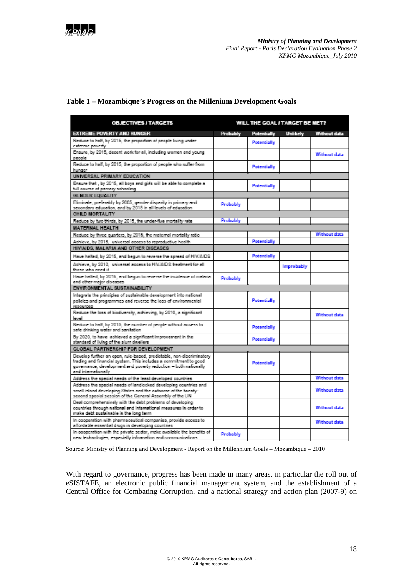

### **Table 1 – Mozambique's Progress on the Millenium Development Goals**

| <b>OBJECTIVES / TARGETS</b>                                                                                                                                                                                                         | WILL THE GOAL / TARGET BE MET? |             |                   |              |
|-------------------------------------------------------------------------------------------------------------------------------------------------------------------------------------------------------------------------------------|--------------------------------|-------------|-------------------|--------------|
| <b>EXTREME POVERTY AND HUNGER</b>                                                                                                                                                                                                   | Probably                       | Potentially | <b>Unlikely</b>   | Without data |
| Reduce to half, by 2015, the proportion of people living under<br>extreme poverty                                                                                                                                                   |                                | Potentially |                   |              |
| Ensure, by 2015, decent work for all, including women and young<br>people                                                                                                                                                           |                                |             |                   | Without data |
| Reduce to half, by 2015, the proportion of people who suffer from<br>hunger                                                                                                                                                         |                                | Potentially |                   |              |
| UNIVERSAL PRIMARY EDUCATION                                                                                                                                                                                                         |                                |             |                   |              |
| Ensure that , by 2015, all boys and girls will be able to complete a<br>full course of primary schooling                                                                                                                            |                                | Potentially |                   |              |
| <b>GENDER EQUALITY</b>                                                                                                                                                                                                              |                                |             |                   |              |
| Eliminate, preferably by 2005, gender disparity in primary and<br>secondary education, and by 2015 in all levels of education                                                                                                       | Probably                       |             |                   |              |
| CHILD MORTALITY                                                                                                                                                                                                                     |                                |             |                   |              |
| Reduce by two thirds, by 2015, the under-five mortality rate                                                                                                                                                                        | Probably                       |             |                   |              |
| <b>MATERNAL HEALTH</b>                                                                                                                                                                                                              |                                |             |                   |              |
| Reduce by three quarters, by 2015, the maternal mortality ratio                                                                                                                                                                     |                                |             |                   | Without data |
| Achieve, by 2015, universal access to reproductive health                                                                                                                                                                           |                                | Potentially |                   |              |
| HIV/AIDS, MALARIA AND OTHER DISEASES                                                                                                                                                                                                |                                |             |                   |              |
| Have halted, by 2015, and begun to reverse the spread of HIV/AIDS                                                                                                                                                                   |                                | Potentially |                   |              |
| Achieve, by 2010, universal access to HIV/AIDS treatment for all<br>those who need it                                                                                                                                               |                                |             | <b>Improbably</b> |              |
| Have halted, by 2016, and begun to reverse the incidence of malaria<br>and other major diseases                                                                                                                                     | Probably                       |             |                   |              |
| ENVIRONMENTAL SUSTAINABILITY                                                                                                                                                                                                        |                                |             |                   |              |
| Integrate the principles of sustainable development into national<br>policies and programmes and reverse the loss of environmental                                                                                                  |                                | Potentially |                   |              |
| resources<br>Reduce the loss of biodiversity, achieving, by 2010, a significant                                                                                                                                                     |                                |             |                   | Without data |
| level<br>Reduce to half, by 2015, the number of people without access to<br>safe drinking water and sanitation                                                                                                                      |                                | Potentially |                   |              |
| By 2020, to have achieved a significant improvement in the<br>standard of living of the slum dwellers                                                                                                                               |                                | Potentially |                   |              |
| GLOBAL PARTNERSHIP FOR DEVELOPMENT                                                                                                                                                                                                  |                                |             |                   |              |
| Develop further an open, rule-based, predictable, non-discriminatory<br>trading and financial system. This includes a commitment to good<br>governance, development and poverty reduction -- both nationally<br>and internationally |                                | Potentially |                   |              |
| Address the special needs of the least developed countries                                                                                                                                                                          |                                |             |                   | Without data |
| Address the special needs of landlocked developing countries and                                                                                                                                                                    |                                |             |                   |              |
| small island developing States and the outcome of the twenty-<br>second special session of the General Assembly of the UN                                                                                                           |                                |             |                   | Without data |
| Deal comprehensively with the debt problems of developing<br>countries through national and international measures in order to                                                                                                      |                                |             |                   | Without data |
| make debt sustainable in the long term<br>In cooperation with pharmaceutical companies, provide access to<br>affordable essential drugs in developing countries                                                                     |                                |             |                   | Without data |
| In cooperation with the private sector, make available the benefits of<br>new technologies, especially information and communications                                                                                               | Probably                       |             |                   |              |
|                                                                                                                                                                                                                                     |                                |             |                   |              |

Source: Ministry of Planning and Development - Report on the Millennium Goals – Mozambique – 2010

With regard to governance, progress has been made in many areas, in particular the roll out of eSISTAFE, an electronic public financial management system, and the establishment of a Central Office for Combating Corruption, and a national strategy and action plan (2007-9) on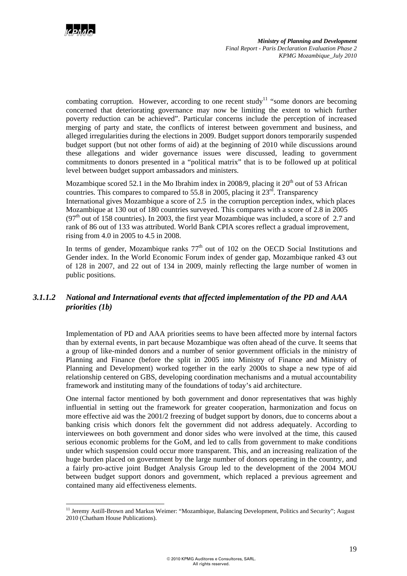

combating corruption. However, according to one recent study<sup>11</sup> "some donors are becoming concerned that deteriorating governance may now be limiting the extent to which further poverty reduction can be achieved". Particular concerns include the perception of increased merging of party and state, the conflicts of interest between government and business, and alleged irregularities during the elections in 2009. Budget support donors temporarily suspended budget support (but not other forms of aid) at the beginning of 2010 while discussions around these allegations and wider governance issues were discussed, leading to government commitments to donors presented in a "political matrix" that is to be followed up at political level between budget support ambassadors and ministers.

Mozambique scored 52.1 in the Mo Ibrahim index in 2008/9, placing it  $20<sup>th</sup>$  out of 53 African countries. This compares to compared to 55.8 in 2005, placing it  $23<sup>rd</sup>$ . Transparency International gives Mozambique a score of 2.5 in the corruption perception index, which places Mozambique at 130 out of 180 countries surveyed. This compares with a score of 2.8 in 2005  $(97<sup>th</sup>$  out of 158 countries). In 2003, the first year Mozambique was included, a score of 2.7 and rank of 86 out of 133 was attributed. World Bank CPIA scores reflect a gradual improvement, rising from 4.0 in 2005 to 4.5 in 2008.

In terms of gender, Mozambique ranks  $77<sup>th</sup>$  out of 102 on the OECD Social Institutions and Gender index. In the World Economic Forum index of gender gap, Mozambique ranked 43 out of 128 in 2007, and 22 out of 134 in 2009, mainly reflecting the large number of women in public positions.

## *3.1.1.2 National and International events that affected implementation of the PD and AAA priorities (1b)*

Implementation of PD and AAA priorities seems to have been affected more by internal factors than by external events, in part because Mozambique was often ahead of the curve. It seems that a group of like-minded donors and a number of senior government officials in the ministry of Planning and Finance (before the split in 2005 into Ministry of Finance and Ministry of Planning and Development) worked together in the early 2000s to shape a new type of aid relationship centered on GBS, developing coordination mechanisms and a mutual accountability framework and instituting many of the foundations of today's aid architecture.

One internal factor mentioned by both government and donor representatives that was highly influential in setting out the framework for greater cooperation, harmonization and focus on more effective aid was the 2001/2 freezing of budget support by donors, due to concerns about a banking crisis which donors felt the government did not address adequately. According to interviewees on both government and donor sides who were involved at the time, this caused serious economic problems for the GoM, and led to calls from government to make conditions under which suspension could occur more transparent. This, and an increasing realization of the huge burden placed on government by the large number of donors operating in the country, and a fairly pro-active joint Budget Analysis Group led to the development of the 2004 MOU between budget support donors and government, which replaced a previous agreement and contained many aid effectiveness elements.

l <sup>11</sup> Jeremy Astill-Brown and Markus Weimer: "Mozambique, Balancing Development, Politics and Security"; August 2010 (Chatham House Publications).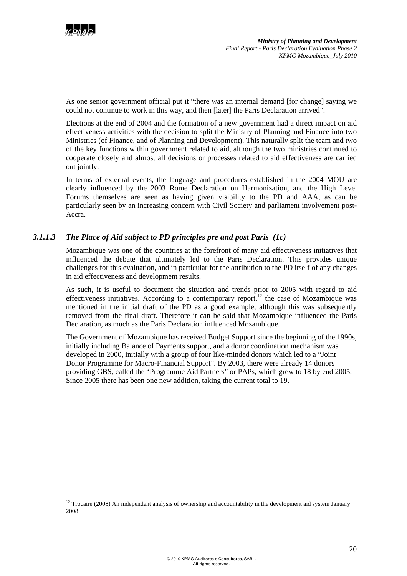

l

As one senior government official put it "there was an internal demand [for change] saying we could not continue to work in this way, and then [later] the Paris Declaration arrived".

Elections at the end of 2004 and the formation of a new government had a direct impact on aid effectiveness activities with the decision to split the Ministry of Planning and Finance into two Ministries (of Finance, and of Planning and Development). This naturally split the team and two of the key functions within government related to aid, although the two ministries continued to cooperate closely and almost all decisions or processes related to aid effectiveness are carried out jointly.

In terms of external events, the language and procedures established in the 2004 MOU are clearly influenced by the 2003 Rome Declaration on Harmonization, and the High Level Forums themselves are seen as having given visibility to the PD and AAA, as can be particularly seen by an increasing concern with Civil Society and parliament involvement post-Accra.

## *3.1.1.3 The Place of Aid subject to PD principles pre and post Paris (1c)*

Mozambique was one of the countries at the forefront of many aid effectiveness initiatives that influenced the debate that ultimately led to the Paris Declaration. This provides unique challenges for this evaluation, and in particular for the attribution to the PD itself of any changes in aid effectiveness and development results.

As such, it is useful to document the situation and trends prior to 2005 with regard to aid effectiveness initiatives. According to a contemporary report,<sup>12</sup> the case of Mozambique was mentioned in the initial draft of the PD as a good example, although this was subsequently removed from the final draft. Therefore it can be said that Mozambique influenced the Paris Declaration, as much as the Paris Declaration influenced Mozambique.

The Government of Mozambique has received Budget Support since the beginning of the 1990s, initially including Balance of Payments support, and a donor coordination mechanism was developed in 2000, initially with a group of four like-minded donors which led to a "Joint Donor Programme for Macro-Financial Support". By 2003, there were already 14 donors providing GBS, called the "Programme Aid Partners" or PAPs, which grew to 18 by end 2005. Since 2005 there has been one new addition, taking the current total to 19.

<sup>&</sup>lt;sup>12</sup> Trocaire (2008) An independent analysis of ownership and accountability in the development aid system January 2008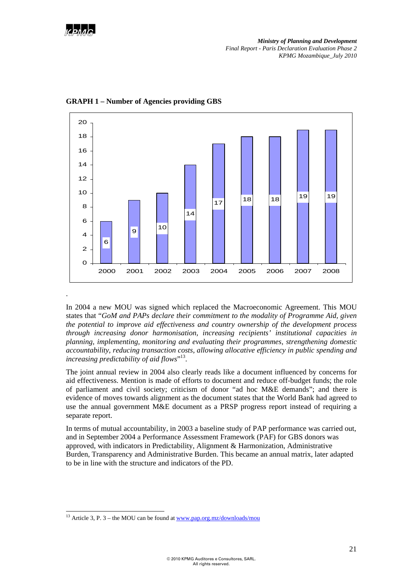

.

l

*Ministry of Planning and Development Final Report - Paris Declaration Evaluation Phase 2 KPMG Mozambique\_July 2010*



**GRAPH 1 – Number of Agencies providing GBS** 

In 2004 a new MOU was signed which replaced the Macroeconomic Agreement. This MOU states that "*GoM and PAPs declare their commitment to the modality of Programme Aid, given the potential to improve aid effectiveness and country ownership of the development process through increasing donor harmonisation, increasing recipients' institutional capacities in planning, implementing, monitoring and evaluating their programmes, strengthening domestic accountability, reducing transaction costs, allowing allocative efficiency in public spending and increasing predictability of aid flows*" 13.

The joint annual review in 2004 also clearly reads like a document influenced by concerns for aid effectiveness. Mention is made of efforts to document and reduce off-budget funds; the role of parliament and civil society; criticism of donor "ad hoc M&E demands"; and there is evidence of moves towards alignment as the document states that the World Bank had agreed to use the annual government M&E document as a PRSP progress report instead of requiring a separate report.

In terms of mutual accountability, in 2003 a baseline study of PAP performance was carried out, and in September 2004 a Performance Assessment Framework (PAF) for GBS donors was approved, with indicators in Predictability, Alignment & Harmonization, Administrative Burden, Transparency and Administrative Burden. This became an annual matrix, later adapted to be in line with the structure and indicators of the PD.

<sup>&</sup>lt;sup>13</sup> Article 3, P. 3 – the MOU can be found at  $\frac{www.pap.org.mz/downloads/mol}{www.pap.org.mz/downloads/mol}$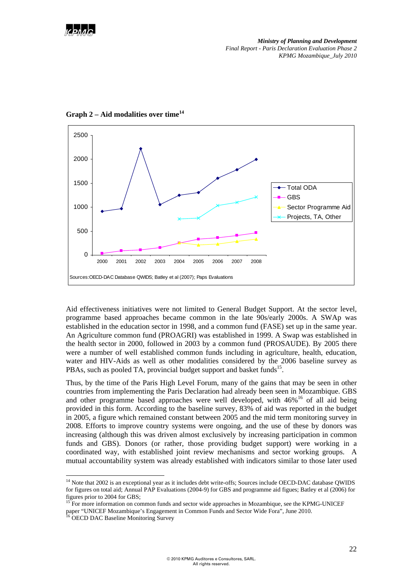



**Graph 2 – Aid modalities over time14** 

Aid effectiveness initiatives were not limited to General Budget Support. At the sector level, programme based approaches became common in the late 90s/early 2000s. A SWAp was established in the education sector in 1998, and a common fund (FASE) set up in the same year. An Agriculture common fund (PROAGRI) was established in 1999. A Swap was established in the health sector in 2000, followed in 2003 by a common fund (PROSAUDE). By 2005 there were a number of well established common funds including in agriculture, health, education, water and HIV-Aids as well as other modalities considered by the 2006 baseline survey as PBAs, such as pooled TA, provincial budget support and basket funds<sup>15</sup>.

Thus, by the time of the Paris High Level Forum, many of the gains that may be seen in other countries from implementing the Paris Declaration had already been seen in Mozambique. GBS and other programme based approaches were well developed, with  $46\%$ <sup>16</sup> of all aid being provided in this form. According to the baseline survey, 83% of aid was reported in the budget in 2005, a figure which remained constant between 2005 and the mid term monitoring survey in 2008. Efforts to improve country systems were ongoing, and the use of these by donors was increasing (although this was driven almost exclusively by increasing participation in common funds and GBS). Donors (or rather, those providing budget support) were working in a coordinated way, with established joint review mechanisms and sector working groups. A mutual accountability system was already established with indicators similar to those later used

l

<sup>&</sup>lt;sup>14</sup> Note that 2002 is an exceptional year as it includes debt write-offs; Sources include OECD-DAC database QWIDS for figures on total aid; Annual PAP Evaluations (2004-9) for GBS and programme aid figues; Batley et al (2006) for figures prior to 2004 for GBS;

<sup>15</sup> For more information on common funds and sector wide approaches in Mozambique, see the KPMG-UNICEF paper "UNICEF Mozambique's Engagement in Common Funds and Sector Wide Fora", June 2010. 16 OECD DAC Baseline Monitoring Survey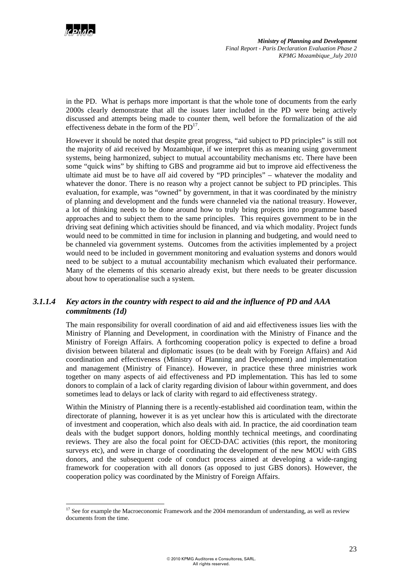

l

*Ministry of Planning and Development Final Report - Paris Declaration Evaluation Phase 2 KPMG Mozambique\_July 2010*

in the PD. What is perhaps more important is that the whole tone of documents from the early 2000s clearly demonstrate that all the issues later included in the PD were being actively discussed and attempts being made to counter them, well before the formalization of the aid effectiveness debate in the form of the  $PD<sup>17</sup>$ .

However it should be noted that despite great progress, "aid subject to PD principles" is still not the majority of aid received by Mozambique, if we interpret this as meaning using government systems, being harmonized, subject to mutual accountability mechanisms etc. There have been some "quick wins" by shifting to GBS and programme aid but to improve aid effectiveness the ultimate aid must be to have *all* aid covered by "PD principles" – whatever the modality and whatever the donor. There is no reason why a project cannot be subject to PD principles. This evaluation, for example, was "owned" by government, in that it was coordinated by the ministry of planning and development and the funds were channeled via the national treasury. However, a lot of thinking needs to be done around how to truly bring projects into programme based approaches and to subject them to the same principles. This requires government to be in the driving seat defining which activities should be financed, and via which modality. Project funds would need to be committed in time for inclusion in planning and budgeting, and would need to be channeled via government systems. Outcomes from the activities implemented by a project would need to be included in government monitoring and evaluation systems and donors would need to be subject to a mutual accountability mechanism which evaluated their performance. Many of the elements of this scenario already exist, but there needs to be greater discussion about how to operationalise such a system.

### *3.1.1.4 Key actors in the country with respect to aid and the influence of PD and AAA commitments (1d)*

The main responsibility for overall coordination of aid and aid effectiveness issues lies with the Ministry of Planning and Development, in coordination with the Ministry of Finance and the Ministry of Foreign Affairs. A forthcoming cooperation policy is expected to define a broad division between bilateral and diplomatic issues (to be dealt with by Foreign Affairs) and Aid coordination and effectiveness (Ministry of Planning and Development) and implementation and management (Ministry of Finance). However, in practice these three ministries work together on many aspects of aid effectiveness and PD implementation. This has led to some donors to complain of a lack of clarity regarding division of labour within government, and does sometimes lead to delays or lack of clarity with regard to aid effectiveness strategy.

Within the Ministry of Planning there is a recently-established aid coordination team, within the directorate of planning, however it is as yet unclear how this is articulated with the directorate of investment and cooperation, which also deals with aid. In practice, the aid coordination team deals with the budget support donors, holding monthly technical meetings, and coordinating reviews. They are also the focal point for OECD-DAC activities (this report, the monitoring surveys etc), and were in charge of coordinating the development of the new MOU with GBS donors, and the subsequent code of conduct process aimed at developing a wide-ranging framework for cooperation with all donors (as opposed to just GBS donors). However, the cooperation policy was coordinated by the Ministry of Foreign Affairs.

<sup>&</sup>lt;sup>17</sup> See for example the Macroeconomic Framework and the 2004 memorandum of understanding, as well as review documents from the time.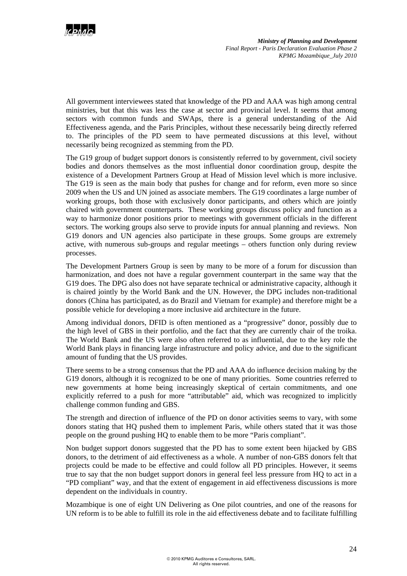

All government interviewees stated that knowledge of the PD and AAA was high among central ministries, but that this was less the case at sector and provincial level. It seems that among sectors with common funds and SWAps, there is a general understanding of the Aid Effectiveness agenda, and the Paris Principles, without these necessarily being directly referred to. The principles of the PD seem to have permeated discussions at this level, without necessarily being recognized as stemming from the PD.

The G19 group of budget support donors is consistently referred to by government, civil society bodies and donors themselves as the most influential donor coordination group, despite the existence of a Development Partners Group at Head of Mission level which is more inclusive. The G19 is seen as the main body that pushes for change and for reform, even more so since 2009 when the US and UN joined as associate members. The G19 coordinates a large number of working groups, both those with exclusively donor participants, and others which are jointly chaired with government counterparts. These working groups discuss policy and function as a way to harmonize donor positions prior to meetings with government officials in the different sectors. The working groups also serve to provide inputs for annual planning and reviews. Non G19 donors and UN agencies also participate in these groups. Some groups are extremely active, with numerous sub-groups and regular meetings – others function only during review processes.

The Development Partners Group is seen by many to be more of a forum for discussion than harmonization, and does not have a regular government counterpart in the same way that the G19 does. The DPG also does not have separate technical or administrative capacity, although it is chaired jointly by the World Bank and the UN. However, the DPG includes non-traditional donors (China has participated, as do Brazil and Vietnam for example) and therefore might be a possible vehicle for developing a more inclusive aid architecture in the future.

Among individual donors, DFID is often mentioned as a "progressive" donor, possibly due to the high level of GBS in their portfolio, and the fact that they are currently chair of the troika. The World Bank and the US were also often referred to as influential, due to the key role the World Bank plays in financing large infrastructure and policy advice, and due to the significant amount of funding that the US provides.

There seems to be a strong consensus that the PD and AAA do influence decision making by the G19 donors, although it is recognized to be one of many priorities. Some countries referred to new governments at home being increasingly skeptical of certain commitments, and one explicitly referred to a push for more "attributable" aid, which was recognized to implicitly challenge common funding and GBS.

The strength and direction of influence of the PD on donor activities seems to vary, with some donors stating that HQ pushed them to implement Paris, while others stated that it was those people on the ground pushing HQ to enable them to be more "Paris compliant".

Non budget support donors suggested that the PD has to some extent been hijacked by GBS donors, to the detriment of aid effectiveness as a whole. A number of non-GBS donors felt that projects could be made to be effective and could follow all PD principles. However, it seems true to say that the non budget support donors in general feel less pressure from HQ to act in a "PD compliant" way, and that the extent of engagement in aid effectiveness discussions is more dependent on the individuals in country.

Mozambique is one of eight UN Delivering as One pilot countries, and one of the reasons for UN reform is to be able to fulfill its role in the aid effectiveness debate and to facilitate fulfilling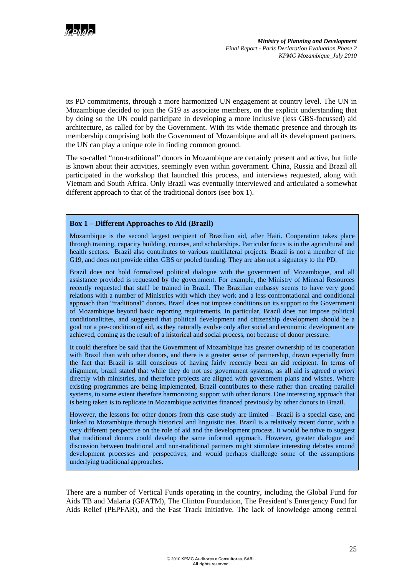

its PD commitments, through a more harmonized UN engagement at country level. The UN in Mozambique decided to join the G19 as associate members, on the explicit understanding that by doing so the UN could participate in developing a more inclusive (less GBS-focussed) aid architecture, as called for by the Government. With its wide thematic presence and through its membership comprising both the Government of Mozambique and all its development partners, the UN can play a unique role in finding common ground.

The so-called "non-traditional" donors in Mozambique are certainly present and active, but little is known about their activities, seemingly even within government. China, Russia and Brazil all participated in the workshop that launched this process, and interviews requested, along with Vietnam and South Africa. Only Brazil was eventually interviewed and articulated a somewhat different approach to that of the traditional donors (see box 1).

#### **Box 1 – Different Approaches to Aid (Brazil)**

Mozambique is the second largest recipient of Brazilian aid, after Haiti. Cooperation takes place through training, capacity building, courses, and scholarships. Particular focus is in the agricultural and health sectors. Brazil also contributes to various multilateral projects. Brazil is not a member of the G19, and does not provide either GBS or pooled funding. They are also not a signatory to the PD.

Brazil does not hold formalized political dialogue with the government of Mozambique, and all assistance provided is requested by the government. For example, the Ministry of Mineral Resources recently requested that staff be trained in Brazil. The Brazilian embassy seems to have very good relations with a number of Ministries with which they work and a less confrontational and conditional approach than "traditional" donors. Brazil does not impose conditions on its support to the Government of Mozambique beyond basic reporting requirements. In particular, Brazil does not impose political conditionalitites, and suggested that political development and citizenship development should be a goal not a pre-condition of aid, as they naturally evolve only after social and economic development are achieved, coming as the result of a historical and social process, not because of donor pressure.

It could therefore be said that the Government of Mozambique has greater ownership of its cooperation with Brazil than with other donors, and there is a greater sense of partnership, drawn especially from the fact that Brazil is still conscious of having fairly recently been an aid recipient. In terms of alignment, brazil stated that while they do not use government systems, as all aid is agreed *a priori*  directly with ministries, and therefore projects are aligned with government plans and wishes. Where existing programmes are being implemented, Brazil contributes to these rather than creating parallel systems, to some extent therefore harmonizing support with other donors. One interesting approach that is being taken is to replicate in Mozambique activities financed previously by other donors in Brazil.

However, the lessons for other donors from this case study are limited – Brazil is a special case, and linked to Mozambique through historical and linguistic ties. Brazil is a relatively recent donor, with a very different perspective on the role of aid and the development process. It would be naïve to suggest that traditional donors could develop the same informal approach. However, greater dialogue and discussion between traditional and non-traditional partners might stimulate interesting debates around development processes and perspectives, and would perhaps challenge some of the assumptions underlying traditional approaches.

There are a number of Vertical Funds operating in the country, including the Global Fund for Aids TB and Malaria (GFATM), The Clinton Foundation, The President's Emergency Fund for Aids Relief (PEPFAR), and the Fast Track Initiative. The lack of knowledge among central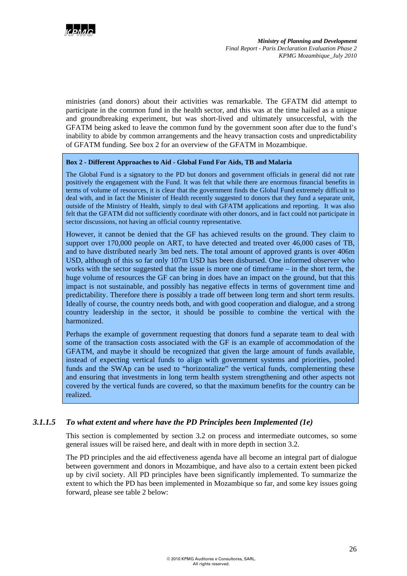

ministries (and donors) about their activities was remarkable. The GFATM did attempt to participate in the common fund in the health sector, and this was at the time hailed as a unique and groundbreaking experiment, but was short-lived and ultimately unsuccessful, with the GFATM being asked to leave the common fund by the government soon after due to the fund's inability to abide by common arrangements and the heavy transaction costs and unpredictability of GFATM funding. See box 2 for an overview of the GFATM in Mozambique.

#### **Box 2 - Different Approaches to Aid - Global Fund For Aids, TB and Malaria**

The Global Fund is a signatory to the PD but donors and government officials in general did not rate positively the engagement with the Fund. It was felt that while there are enormous financial benefits in terms of volume of resources, it is clear that the government finds the Global Fund extremely difficult to deal with, and in fact the Minister of Health recently suggested to donors that they fund a separate unit, outside of the Ministry of Health, simply to deal with GFATM applications and reporting. It was also felt that the GFATM did not sufficiently coordinate with other donors, and in fact could not participate in sector discussions, not having an official country representative.

However, it cannot be denied that the GF has achieved results on the ground. They claim to support over 170,000 people on ART, to have detected and treated over 46,000 cases of TB, and to have distributed nearly 3m bed nets. The total amount of approved grants is over 406m USD, although of this so far only 107m USD has been disbursed. One informed observer who works with the sector suggested that the issue is more one of timeframe – in the short term, the huge volume of resources the GF can bring in does have an impact on the ground, but that this impact is not sustainable, and possibly has negative effects in terms of government time and predictability. Therefore there is possibly a trade off between long term and short term results. Ideally of course, the country needs both, and with good cooperation and dialogue, and a strong country leadership in the sector, it should be possible to combine the vertical with the harmonized.

Perhaps the example of government requesting that donors fund a separate team to deal with some of the transaction costs associated with the GF is an example of accommodation of the GFATM, and maybe it should be recognized that given the large amount of funds available, instead of expecting vertical funds to align with government systems and priorities, pooled funds and the SWAp can be used to "horizontalize" the vertical funds, complementing these and ensuring that investments in long term health system strengthening and other aspects not covered by the vertical funds are covered, so that the maximum benefits for the country can be realized.

#### *3.1.1.5 To what extent and where have the PD Principles been Implemented (1e)*

This section is complemented by section 3.2 on process and intermediate outcomes, so some general issues will be raised here, and dealt with in more depth in section 3.2.

The PD principles and the aid effectiveness agenda have all become an integral part of dialogue between government and donors in Mozambique, and have also to a certain extent been picked up by civil society. All PD principles have been significantly implemented. To summarize the extent to which the PD has been implemented in Mozambique so far, and some key issues going forward, please see table 2 below: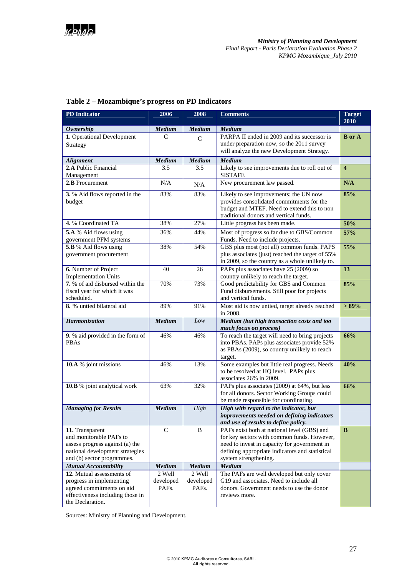

| <b>PD</b> Indicator<br>2006<br>2008<br><b>Comments</b>                                                                                                           | <b>Target</b><br>2010   |
|------------------------------------------------------------------------------------------------------------------------------------------------------------------|-------------------------|
| <b>Medium</b><br><b>Medium</b><br><b>Medium</b><br>Ownership                                                                                                     |                         |
| 1. Operational Development<br>PARPA II ended in 2009 and its successor is<br>C<br>$\mathcal{C}$                                                                  | <b>B</b> or A           |
| under preparation now, so the 2011 survey<br>Strategy                                                                                                            |                         |
| will analyze the new Development Strategy.                                                                                                                       |                         |
| <b>Medium</b><br><b>Medium</b><br>Medium<br><b>Alignment</b>                                                                                                     |                         |
| 2.A Public Financial<br>Likely to see improvements due to roll out of<br>3.5<br>3.5                                                                              | $\overline{\mathbf{4}}$ |
| <b>SISTAFE</b><br>Management                                                                                                                                     |                         |
| 2.B Procurement<br>N/A<br>New procurement law passed.<br>N/A                                                                                                     | N/A                     |
| 83%<br>83%<br>3. % Aid flows reported in the<br>Likely to see improvements; the UN now                                                                           | 85%                     |
| provides consolidated commitments for the<br>budget                                                                                                              |                         |
| budget and MTEF. Need to extend this to non                                                                                                                      |                         |
| traditional donors and vertical funds.                                                                                                                           |                         |
| 4. % Coordinated TA<br>Little progress has been made.<br>38%<br>27%                                                                                              | 50%                     |
| 5.A % Aid flows using<br>44%<br>Most of progress so far due to GBS/Common<br>36%                                                                                 | 57%                     |
| Funds. Need to include projects.<br>government PFM systems                                                                                                       |                         |
| GBS plus most (not all) common funds. PAPS<br>5.B % Aid flows using<br>38%<br>54%                                                                                | 55%                     |
| plus associates (just) reached the target of 55%<br>government procurement                                                                                       |                         |
| in 2009, so the country as a whole unlikely to.                                                                                                                  |                         |
| 6. Number of Project<br>40<br>26<br>PAPs plus associates have 25 (2009) so                                                                                       | 13                      |
| <b>Implementation Units</b><br>country unlikely to reach the target.<br>7. % of aid disbursed within the<br>Good predictability for GBS and Common<br>70%<br>73% | 85%                     |
| Fund disbursements. Still poor for projects<br>fiscal year for which it was                                                                                      |                         |
| scheduled.<br>and vertical funds.                                                                                                                                |                         |
| 8. % untied bilateral aid<br>Most aid is now untied, target already reached<br>89%<br>91%                                                                        | $>89\%$                 |
| in 2008.                                                                                                                                                         |                         |
| Medium (but high transaction costs and too<br>Harmonization<br><b>Medium</b><br>Low                                                                              |                         |
| much focus on process)                                                                                                                                           |                         |
| To reach the target will need to bring projects<br>9. % aid provided in the form of<br>46%<br>46%                                                                | 66%                     |
| into PBAs. PAPs plus associates provide 52%<br>PBAs<br>as PBAs (2009), so country unlikely to reach                                                              |                         |
| target.                                                                                                                                                          |                         |
| Some examples but little real progress. Needs<br>10.A % joint missions<br>13%<br>46%                                                                             | 40%                     |
| to be resolved at HQ level. PAPs plus                                                                                                                            |                         |
| associates 26% in 2009.                                                                                                                                          |                         |
| PAPs plus associates (2009) at 64%, but less<br>10.B % joint analytical work<br>63%<br>32%                                                                       | 66%                     |
| for all donors. Sector Working Groups could                                                                                                                      |                         |
| be made responsible for coordinating.                                                                                                                            |                         |
| <b>Medium</b><br>High with regard to the indicator, but<br><b>Managing for Results</b><br>High                                                                   |                         |
| <i>improvements needed on defining indicators</i><br>and use of results to define policy.                                                                        |                         |
| $\mathcal{C}$<br>PAFs exist both at national level (GBS) and<br>B<br>11. Transparent                                                                             | $\bf{B}$                |
| and monitorable PAFs to<br>for key sectors with common funds. However,                                                                                           |                         |
| need to invest in capacity for government in<br>assess progress against (a) the                                                                                  |                         |
| national development strategies<br>defining appropriate indicators and statistical                                                                               |                         |
| and (b) sector programmes.<br>system strengthening.                                                                                                              |                         |
| <b>Mutual Accountability</b><br><b>Medium</b><br>Medium<br>Medium                                                                                                |                         |
| 12. Mutual assessments of<br>2 Well<br>The PAFs are well developed but only cover<br>2 Well                                                                      |                         |
| developed<br>G19 and associates. Need to include all<br>progress in implementing<br>developed                                                                    |                         |
|                                                                                                                                                                  |                         |
| agreed commitments on aid<br>PAFs.<br>PAFs.<br>donors. Government needs to use the donor<br>effectiveness including those in<br>reviews more.                    |                         |

## **Table 2 – Mozambique's progress on PD Indicators**

Sources: Ministry of Planning and Development.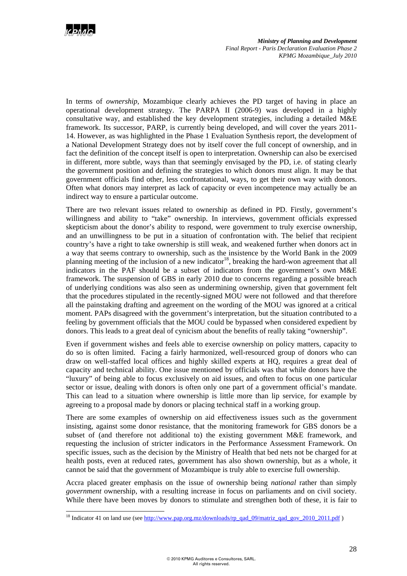

l

*Ministry of Planning and Development Final Report - Paris Declaration Evaluation Phase 2 KPMG Mozambique\_July 2010*

In terms of *ownership*, Mozambique clearly achieves the PD target of having in place an operational development strategy. The PARPA II (2006-9) was developed in a highly consultative way, and established the key development strategies, including a detailed M&E framework. Its successor, PARP, is currently being developed, and will cover the years 2011- 14. However, as was highlighted in the Phase 1 Evaluation Synthesis report, the development of a National Development Strategy does not by itself cover the full concept of ownership, and in fact the definition of the concept itself is open to interpretation. Ownership can also be exercised in different, more subtle, ways than that seemingly envisaged by the PD, i.e. of stating clearly the government position and defining the strategies to which donors must align. It may be that government officials find other, less confrontational, ways, to get their own way with donors. Often what donors may interpret as lack of capacity or even incompetence may actually be an indirect way to ensure a particular outcome.

There are two relevant issues related to ownership as defined in PD. Firstly, government's willingness and ability to "take" ownership. In interviews, government officials expressed skepticism about the donor's ability to respond, were government to truly exercise ownership, and an unwillingness to be put in a situation of confrontation with. The belief that recipient country's have a right to take ownership is still weak, and weakened further when donors act in a way that seems contrary to ownership, such as the insistence by the World Bank in the 2009 planning meeting of the inclusion of a new indicator<sup>18</sup>, breaking the hard-won agreement that all indicators in the PAF should be a subset of indicators from the government's own M&E framework. The suspension of GBS in early 2010 due to concerns regarding a possible breach of underlying conditions was also seen as undermining ownership, given that government felt that the procedures stipulated in the recently-signed MOU were not followed and that therefore all the painstaking drafting and agreement on the wording of the MOU was ignored at a critical moment. PAPs disagreed with the government's interpretation, but the situation contributed to a feeling by government officials that the MOU could be bypassed when considered expedient by donors. This leads to a great deal of cynicism about the benefits of really taking "ownership".

Even if government wishes and feels able to exercise ownership on policy matters, capacity to do so is often limited. Facing a fairly harmonized, well-resourced group of donors who can draw on well-staffed local offices and highly skilled experts at HQ, requires a great deal of capacity and technical ability. One issue mentioned by officials was that while donors have the "luxury" of being able to focus exclusively on aid issues, and often to focus on one particular sector or issue, dealing with donors is often only one part of a government official's mandate. This can lead to a situation where ownership is little more than lip service, for example by agreeing to a proposal made by donors or placing technical staff in a working group.

There are some examples of ownership on aid effectiveness issues such as the government insisting, against some donor resistance, that the monitoring framework for GBS donors be a subset of (and therefore not additional to) the existing government M&E framework, and requesting the inclusion of stricter indicators in the Performance Assessment Framework. On specific issues, such as the decision by the Ministry of Health that bed nets not be charged for at health posts, even at reduced rates, government has also shown ownership, but as a whole, it cannot be said that the government of Mozambique is truly able to exercise full ownership.

Accra placed greater emphasis on the issue of ownership being *national* rather than simply *government* ownership, with a resulting increase in focus on parliaments and on civil society. While there have been moves by donors to stimulate and strengthen both of these, it is fair to

<sup>&</sup>lt;sup>18</sup> Indicator 41 on land use (see http://www.pap.org.mz/downloads/rp\_qad\_09/matriz\_qad\_gov\_2010\_2011.pdf )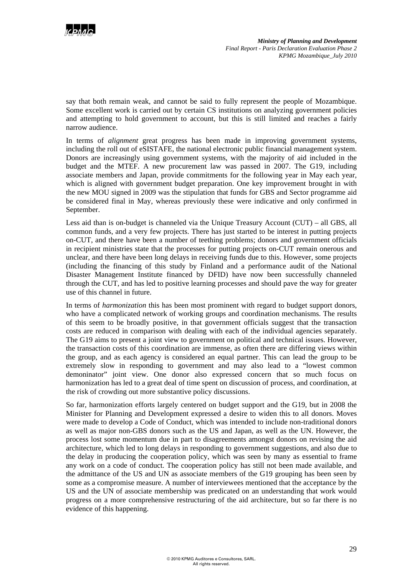

say that both remain weak, and cannot be said to fully represent the people of Mozambique. Some excellent work is carried out by certain CS institutions on analyzing government policies and attempting to hold government to account, but this is still limited and reaches a fairly narrow audience.

In terms of *alignment* great progress has been made in improving government systems, including the roll out of eSISTAFE, the national electronic public financial management system. Donors are increasingly using government systems, with the majority of aid included in the budget and the MTEF. A new procurement law was passed in 2007. The G19, including associate members and Japan, provide commitments for the following year in May each year, which is aligned with government budget preparation. One key improvement brought in with the new MOU signed in 2009 was the stipulation that funds for GBS and Sector programme aid be considered final in May, whereas previously these were indicative and only confirmed in September.

Less aid than is on-budget is channeled via the Unique Treasury Account (CUT) – all GBS, all common funds, and a very few projects. There has just started to be interest in putting projects on-CUT, and there have been a number of teething problems; donors and government officials in recipient ministries state that the processes for putting projects on-CUT remain onerous and unclear, and there have been long delays in receiving funds due to this. However, some projects (including the financing of this study by Finland and a performance audit of the National Disaster Management Institute financed by DFID) have now been successfully channeled through the CUT, and has led to positive learning processes and should pave the way for greater use of this channel in future.

In terms of *harmonization* this has been most prominent with regard to budget support donors, who have a complicated network of working groups and coordination mechanisms. The results of this seem to be broadly positive, in that government officials suggest that the transaction costs are reduced in comparison with dealing with each of the individual agencies separately. The G19 aims to present a joint view to government on political and technical issues. However, the transaction costs of this coordination are immense, as often there are differing views within the group, and as each agency is considered an equal partner. This can lead the group to be extremely slow in responding to government and may also lead to a "lowest common demoninator" joint view. One donor also expressed concern that so much focus on harmonization has led to a great deal of time spent on discussion of process, and coordination, at the risk of crowding out more substantive policy discussions.

So far, harmonization efforts largely centered on budget support and the G19, but in 2008 the Minister for Planning and Development expressed a desire to widen this to all donors. Moves were made to develop a Code of Conduct, which was intended to include non-traditional donors as well as major non-GBS donors such as the US and Japan, as well as the UN. However, the process lost some momentum due in part to disagreements amongst donors on revising the aid architecture, which led to long delays in responding to government suggestions, and also due to the delay in producing the cooperation policy, which was seen by many as essential to frame any work on a code of conduct. The cooperation policy has still not been made available, and the admittance of the US and UN as associate members of the G19 grouping has been seen by some as a compromise measure. A number of interviewees mentioned that the acceptance by the US and the UN of associate membership was predicated on an understanding that work would progress on a more comprehensive restructuring of the aid architecture, but so far there is no evidence of this happening.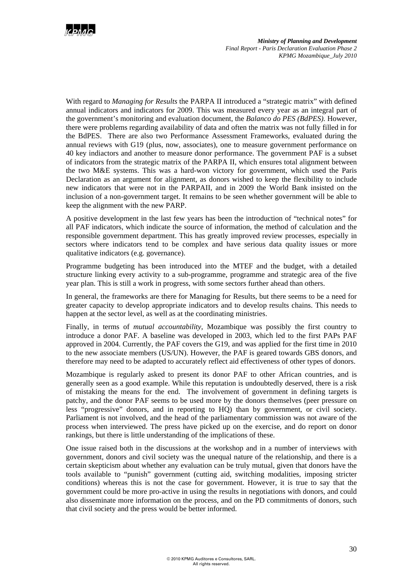

With regard to *Managing for Results* the PARPA II introduced a "strategic matrix" with defined annual indicators and indicators for 2009. This was measured every year as an integral part of the government's monitoring and evaluation document, the *Balanco do PES (BdPES).* However, there were problems regarding availability of data and often the matrix was not fully filled in for the BdPES. There are also two Performance Assessment Frameworks, evaluated during the annual reviews with G19 (plus, now, associates), one to measure government performance on 40 key indiactors and another to measure donor performance. The government PAF is a subset of indicators from the strategic matrix of the PARPA II, which ensures total alignment between the two M&E systems. This was a hard-won victory for government, which used the Paris Declaration as an argument for alignment, as donors wished to keep the flexibility to include new indicators that were not in the PARPAII, and in 2009 the World Bank insisted on the inclusion of a non-government target. It remains to be seen whether government will be able to keep the alignment with the new PARP.

A positive development in the last few years has been the introduction of "technical notes" for all PAF indicators, which indicate the source of information, the method of calculation and the responsible government department. This has greatly improved review processes, especially in sectors where indicators tend to be complex and have serious data quality issues or more qualitative indicators (e.g. governance).

Programme budgeting has been introduced into the MTEF and the budget, with a detailed structure linking every activity to a sub-programme, programme and strategic area of the five year plan. This is still a work in progress, with some sectors further ahead than others.

In general, the frameworks are there for Managing for Results, but there seems to be a need for greater capacity to develop appropriate indicators and to develop results chains. This needs to happen at the sector level, as well as at the coordinating ministries.

Finally, in terms of *mutual accountability*, Mozambique was possibly the first country to introduce a donor PAF. A baseline was developed in 2003, which led to the first PAPs PAF approved in 2004. Currently, the PAF covers the G19, and was applied for the first time in 2010 to the new associate members (US/UN). However, the PAF is geared towards GBS donors, and therefore may need to be adapted to accurately reflect aid effectiveness of other types of donors.

Mozambique is regularly asked to present its donor PAF to other African countries, and is generally seen as a good example. While this reputation is undoubtedly deserved, there is a risk of mistaking the means for the end. The involvement of government in defining targets is patchy, and the donor PAF seems to be used more by the donors themselves (peer pressure on less "progressive" donors, and in reporting to HQ) than by government, or civil society. Parliament is not involved, and the head of the parliamentary commission was not aware of the process when interviewed. The press have picked up on the exercise, and do report on donor rankings, but there is little understanding of the implications of these.

One issue raised both in the discussions at the workshop and in a number of interviews with government, donors and civil society was the unequal nature of the relationship, and there is a certain skepticism about whether any evaluation can be truly mutual, given that donors have the tools available to "punish" government (cutting aid, switching modalities, imposing stricter conditions) whereas this is not the case for government. However, it is true to say that the government could be more pro-active in using the results in negotiations with donors, and could also disseminate more information on the process, and on the PD commitments of donors, such that civil society and the press would be better informed.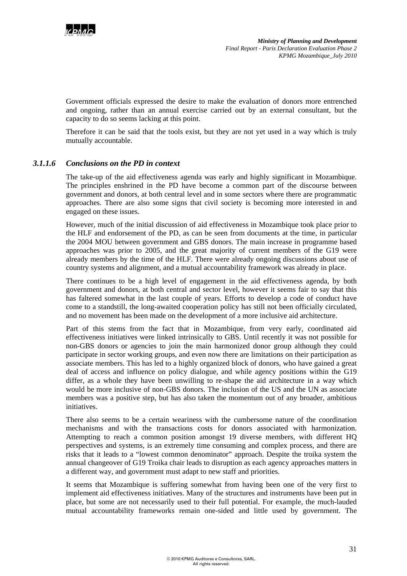

Government officials expressed the desire to make the evaluation of donors more entrenched and ongoing, rather than an annual exercise carried out by an external consultant, but the capacity to do so seems lacking at this point.

Therefore it can be said that the tools exist, but they are not yet used in a way which is truly mutually accountable.

### *3.1.1.6 Conclusions on the PD in context*

The take-up of the aid effectiveness agenda was early and highly significant in Mozambique. The principles enshrined in the PD have become a common part of the discourse between government and donors, at both central level and in some sectors where there are programmatic approaches. There are also some signs that civil society is becoming more interested in and engaged on these issues.

However, much of the initial discussion of aid effectiveness in Mozambique took place prior to the HLF and endorsement of the PD, as can be seen from documents at the time, in particular the 2004 MOU between government and GBS donors. The main increase in programme based approaches was prior to 2005, and the great majority of current members of the G19 were already members by the time of the HLF. There were already ongoing discussions about use of country systems and alignment, and a mutual accountability framework was already in place.

There continues to be a high level of engagement in the aid effectiveness agenda, by both government and donors, at both central and sector level, however it seems fair to say that this has faltered somewhat in the last couple of years. Efforts to develop a code of conduct have come to a standstill, the long-awaited cooperation policy has still not been officially circulated, and no movement has been made on the development of a more inclusive aid architecture.

Part of this stems from the fact that in Mozambique, from very early, coordinated aid effectiveness initiatives were linked intrinsically to GBS. Until recently it was not possible for non-GBS donors or agencies to join the main harmonized donor group although they could participate in sector working groups, and even now there are limitations on their participation as associate members. This has led to a highly organized block of donors, who have gained a great deal of access and influence on policy dialogue, and while agency positions within the G19 differ, as a whole they have been unwilling to re-shape the aid architecture in a way which would be more inclusive of non-GBS donors. The inclusion of the US and the UN as associate members was a positive step, but has also taken the momentum out of any broader, ambitious initiatives.

There also seems to be a certain weariness with the cumbersome nature of the coordination mechanisms and with the transactions costs for donors associated with harmonization. Attempting to reach a common position amongst 19 diverse members, with different HQ perspectives and systems, is an extremely time consuming and complex process, and there are risks that it leads to a "lowest common denominator" approach. Despite the troika system the annual changeover of G19 Troika chair leads to disruption as each agency approaches matters in a different way, and government must adapt to new staff and priorities.

It seems that Mozambique is suffering somewhat from having been one of the very first to implement aid effectiveness initiatives. Many of the structures and instruments have been put in place, but some are not necessarily used to their full potential. For example, the much-lauded mutual accountability frameworks remain one-sided and little used by government. The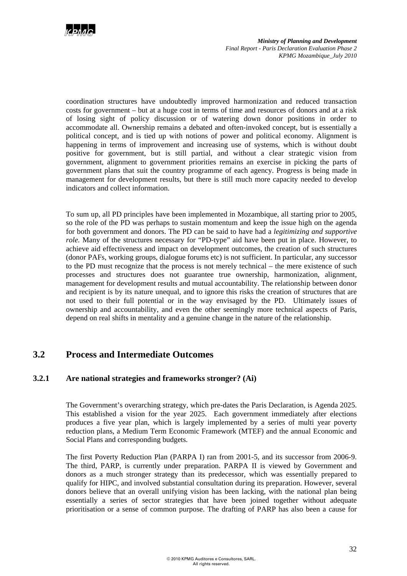

coordination structures have undoubtedly improved harmonization and reduced transaction costs for government – but at a huge cost in terms of time and resources of donors and at a risk of losing sight of policy discussion or of watering down donor positions in order to accommodate all. Ownership remains a debated and often-invoked concept, but is essentially a political concept, and is tied up with notions of power and political economy. Alignment is happening in terms of improvement and increasing use of systems, which is without doubt positive for government, but is still partial, and without a clear strategic vision from government, alignment to government priorities remains an exercise in picking the parts of government plans that suit the country programme of each agency. Progress is being made in management for development results, but there is still much more capacity needed to develop indicators and collect information.

To sum up, all PD principles have been implemented in Mozambique, all starting prior to 2005, so the role of the PD was perhaps to sustain momentum and keep the issue high on the agenda for both government and donors. The PD can be said to have had a *legitimizing and supportive role.* Many of the structures necessary for "PD-type" aid have been put in place. However, to achieve aid effectiveness and impact on development outcomes, the creation of such structures (donor PAFs, working groups, dialogue forums etc) is not sufficient. In particular, any successor to the PD must recognize that the process is not merely technical – the mere existence of such processes and structures does not guarantee true ownership, harmonization, alignment, management for development results and mutual accountability. The relationship between donor and recipient is by its nature unequal, and to ignore this risks the creation of structures that are not used to their full potential or in the way envisaged by the PD. Ultimately issues of ownership and accountability, and even the other seemingly more technical aspects of Paris, depend on real shifts in mentality and a genuine change in the nature of the relationship.

## **3.2 Process and Intermediate Outcomes**

### **3.2.1 Are national strategies and frameworks stronger? (Ai)**

The Government's overarching strategy, which pre-dates the Paris Declaration, is Agenda 2025. This established a vision for the year 2025. Each government immediately after elections produces a five year plan, which is largely implemented by a series of multi year poverty reduction plans, a Medium Term Economic Framework (MTEF) and the annual Economic and Social Plans and corresponding budgets.

The first Poverty Reduction Plan (PARPA I) ran from 2001-5, and its successor from 2006-9. The third, PARP, is currently under preparation. PARPA II is viewed by Government and donors as a much stronger strategy than its predecessor, which was essentially prepared to qualify for HIPC, and involved substantial consultation during its preparation. However, several donors believe that an overall unifying vision has been lacking, with the national plan being essentially a series of sector strategies that have been joined together without adequate prioritisation or a sense of common purpose. The drafting of PARP has also been a cause for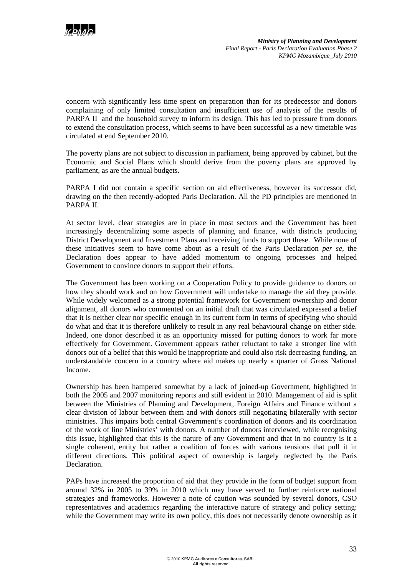

concern with significantly less time spent on preparation than for its predecessor and donors complaining of only limited consultation and insufficient use of analysis of the results of PARPA II and the household survey to inform its design. This has led to pressure from donors to extend the consultation process, which seems to have been successful as a new timetable was circulated at end September 2010.

The poverty plans are not subject to discussion in parliament, being approved by cabinet, but the Economic and Social Plans which should derive from the poverty plans are approved by parliament, as are the annual budgets.

PARPA I did not contain a specific section on aid effectiveness, however its successor did, drawing on the then recently-adopted Paris Declaration. All the PD principles are mentioned in PARPA II.

At sector level, clear strategies are in place in most sectors and the Government has been increasingly decentralizing some aspects of planning and finance, with districts producing District Development and Investment Plans and receiving funds to support these. While none of these initiatives seem to have come about as a result of the Paris Declaration *per se,* the Declaration does appear to have added momentum to ongoing processes and helped Government to convince donors to support their efforts.

The Government has been working on a Cooperation Policy to provide guidance to donors on how they should work and on how Government will undertake to manage the aid they provide. While widely welcomed as a strong potential framework for Government ownership and donor alignment, all donors who commented on an initial draft that was circulated expressed a belief that it is neither clear nor specific enough in its current form in terms of specifying who should do what and that it is therefore unlikely to result in any real behavioural change on either side. Indeed, one donor described it as an opportunity missed for putting donors to work far more effectively for Government. Government appears rather reluctant to take a stronger line with donors out of a belief that this would be inappropriate and could also risk decreasing funding, an understandable concern in a country where aid makes up nearly a quarter of Gross National Income.

Ownership has been hampered somewhat by a lack of joined-up Government, highlighted in both the 2005 and 2007 monitoring reports and still evident in 2010. Management of aid is split between the Ministries of Planning and Development, Foreign Affairs and Finance without a clear division of labour between them and with donors still negotiating bilaterally with sector ministries. This impairs both central Government's coordination of donors and its coordination of the work of line Ministries' with donors. A number of donors interviewed, while recognising this issue, highlighted that this is the nature of any Government and that in no country is it a single coherent, entity but rather a coalition of forces with various tensions that pull it in different directions. This political aspect of ownership is largely neglected by the Paris Declaration.

PAPs have increased the proportion of aid that they provide in the form of budget support from around 32% in 2005 to 39% in 2010 which may have served to further reinforce national strategies and frameworks. However a note of caution was sounded by several donors, CSO representatives and academics regarding the interactive nature of strategy and policy setting: while the Government may write its own policy, this does not necessarily denote ownership as it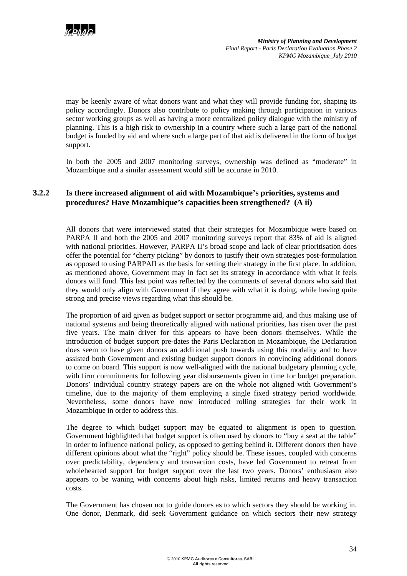

may be keenly aware of what donors want and what they will provide funding for, shaping its policy accordingly. Donors also contribute to policy making through participation in various sector working groups as well as having a more centralized policy dialogue with the ministry of planning. This is a high risk to ownership in a country where such a large part of the national budget is funded by aid and where such a large part of that aid is delivered in the form of budget support.

In both the 2005 and 2007 monitoring surveys, ownership was defined as "moderate" in Mozambique and a similar assessment would still be accurate in 2010.

### **3.2.2 Is there increased alignment of aid with Mozambique's priorities, systems and procedures? Have Mozambique's capacities been strengthened? (A ii)**

All donors that were interviewed stated that their strategies for Mozambique were based on PARPA II and both the 2005 and 2007 monitoring surveys report that 83% of aid is aligned with national priorities. However, PARPA II's broad scope and lack of clear prioritisation does offer the potential for "cherry picking" by donors to justify their own strategies post-formulation as opposed to using PARPAII as the basis for setting their strategy in the first place. In addition, as mentioned above, Government may in fact set its strategy in accordance with what it feels donors will fund. This last point was reflected by the comments of several donors who said that they would only align with Government if they agree with what it is doing, while having quite strong and precise views regarding what this should be.

The proportion of aid given as budget support or sector programme aid, and thus making use of national systems and being theoretically aligned with national priorities, has risen over the past five years. The main driver for this appears to have been donors themselves. While the introduction of budget support pre-dates the Paris Declaration in Mozambique, the Declaration does seem to have given donors an additional push towards using this modality and to have assisted both Government and existing budget support donors in convincing additional donors to come on board. This support is now well-aligned with the national budgetary planning cycle, with firm commitments for following year disbursements given in time for budget preparation. Donors' individual country strategy papers are on the whole not aligned with Government's timeline, due to the majority of them employing a single fixed strategy period worldwide. Nevertheless, some donors have now introduced rolling strategies for their work in Mozambique in order to address this.

The degree to which budget support may be equated to alignment is open to question. Government highlighted that budget support is often used by donors to "buy a seat at the table" in order to influence national policy, as opposed to getting behind it. Different donors then have different opinions about what the "right" policy should be. These issues, coupled with concerns over predictability, dependency and transaction costs, have led Government to retreat from wholehearted support for budget support over the last two years. Donors' enthusiasm also appears to be waning with concerns about high risks, limited returns and heavy transaction costs.

The Government has chosen not to guide donors as to which sectors they should be working in. One donor, Denmark, did seek Government guidance on which sectors their new strategy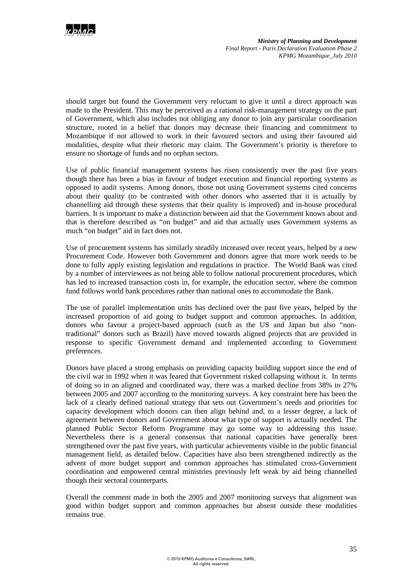

should target but found the Government very reluctant to give it until a direct approach was made to the President. This may be perceived as a rational risk-management strategy on the part of Government, which also includes not obliging any donor to join any particular coordination structure, rooted in a belief that donors may decrease their financing and commitment to Mozambique if not allowed to work in their favoured sectors and using their favoured aid modalities, despite what their rhetoric may claim. The Government's priority is therefore to ensure no shortage of funds and no orphan sectors.

Use of public financial management systems has risen consistently over the past five years though there has been a bias in favour of budget execution and financial reporting systems as opposed to audit systems. Among donors, those not using Government systems cited concerns about their quality (to be contrasted with other donors who asserted that it is actually by channelling aid through these systems that their quality is improved) and in-house procedural barriers. It is important to make a distinction between aid that the Government knows about and that is therefore described as "on budget" and aid that actually uses Government systems as much "on budget" aid in fact does not.

Use of procurement systems has similarly steadily increased over recent years, helped by a new Procurement Code. However both Government and donors agree that more work needs to be done to fully apply existing legislation and regulations in practice. The World Bank was cited by a number of interviewees as not being able to follow national procurement procedures, which has led to increased transaction costs in, for example, the education sector, where the common fund follows world bank procedures rather than national ones to accommodate the Bank.

The use of parallel implementation units has declined over the past five years, helped by the increased proportion of aid going to budget support and common approaches. In addition, donors who favour a project-based approach (such as the US and Japan but also "nontraditional" donors such as Brazil) have moved towards aligned projects that are provided in response to specific Government demand and implemented according to Government preferences.

Donors have placed a strong emphasis on providing capacity building support since the end of the civil war in 1992 when it was feared that Government risked collapsing without it. In terms of doing so in an aligned and coordinated way, there was a marked decline from 38% to 27% between 2005 and 2007 according to the monitoring surveys. A key constraint here has been the lack of a clearly defined national strategy that sets out Government's needs and priorities for capacity development which donors can then align behind and, to a lesser degree, a lack of agreement between donors and Government about what type of support is actually needed. The planned Public Sector Reform Programme may go some way to addressing this issue. Nevertheless there is a general consensus that national capacities have generally been strengthened over the past five years, with particular achievements visible in the public financial management field, as detailed below. Capacities have also been strengthened indirectly as the advent of more budget support and common approaches has stimulated cross-Government coordination and empowered central ministries previously left weak by aid being channelled though their sectoral counterparts.

Overall the comment made in both the 2005 and 2007 monitoring surveys that alignment was good within budget support and common approaches but absent outside these modalities remains true.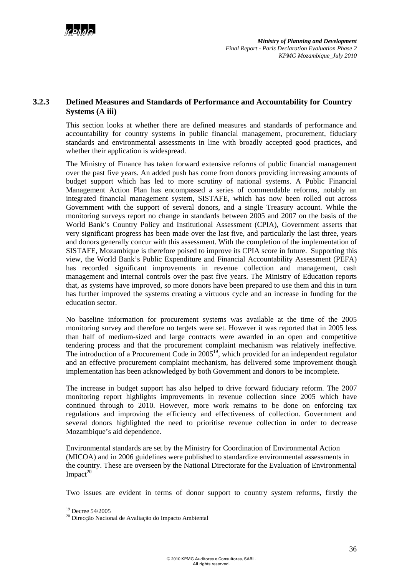## **3.2.3 Defined Measures and Standards of Performance and Accountability for Country Systems (A iii)**

This section looks at whether there are defined measures and standards of performance and accountability for country systems in public financial management, procurement, fiduciary standards and environmental assessments in line with broadly accepted good practices, and whether their application is widespread.

The Ministry of Finance has taken forward extensive reforms of public financial management over the past five years. An added push has come from donors providing increasing amounts of budget support which has led to more scrutiny of national systems. A Public Financial Management Action Plan has encompassed a series of commendable reforms, notably an integrated financial management system, SISTAFE, which has now been rolled out across Government with the support of several donors, and a single Treasury account. While the monitoring surveys report no change in standards between 2005 and 2007 on the basis of the World Bank's Country Policy and Institutional Assessment (CPIA), Government asserts that very significant progress has been made over the last five, and particularly the last three, years and donors generally concur with this assessment. With the completion of the implementation of SISTAFE, Mozambique is therefore poised to improve its CPIA score in future. Supporting this view, the World Bank's Public Expenditure and Financial Accountability Assessment (PEFA) has recorded significant improvements in revenue collection and management, cash management and internal controls over the past five years. The Ministry of Education reports that, as systems have improved, so more donors have been prepared to use them and this in turn has further improved the systems creating a virtuous cycle and an increase in funding for the education sector.

No baseline information for procurement systems was available at the time of the 2005 monitoring survey and therefore no targets were set. However it was reported that in 2005 less than half of medium-sized and large contracts were awarded in an open and competitive tendering process and that the procurement complaint mechanism was relatively ineffective. The introduction of a Procurement Code in  $2005^{19}$ , which provided for an independent regulator and an effective procurement complaint mechanism, has delivered some improvement though implementation has been acknowledged by both Government and donors to be incomplete.

The increase in budget support has also helped to drive forward fiduciary reform. The 2007 monitoring report highlights improvements in revenue collection since 2005 which have continued through to 2010. However, more work remains to be done on enforcing tax regulations and improving the efficiency and effectiveness of collection. Government and several donors highlighted the need to prioritise revenue collection in order to decrease Mozambique's aid dependence.

Environmental standards are set by the Ministry for Coordination of Environmental Action (MICOA) and in 2006 guidelines were published to standardize environmental assessments in the country. These are overseen by the National Directorate for the Evaluation of Environmental Impact<sup>20</sup>

Two issues are evident in terms of donor support to country system reforms, firstly the

<sup>19</sup> Decree 54/2005

<sup>20</sup> Direcção Nacional de Avaliação do Impacto Ambiental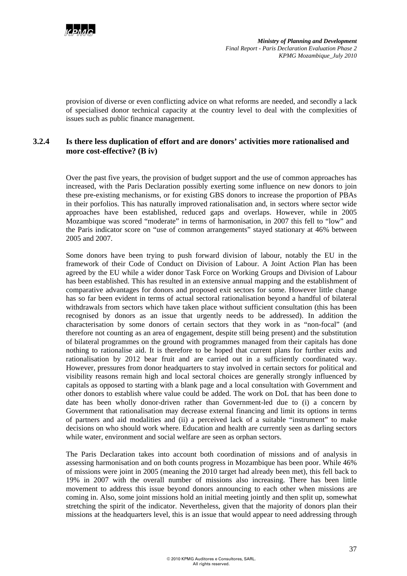

provision of diverse or even conflicting advice on what reforms are needed, and secondly a lack of specialised donor technical capacity at the country level to deal with the complexities of issues such as public finance management.

### **3.2.4 Is there less duplication of effort and are donors' activities more rationalised and more cost-effective? (B iv)**

Over the past five years, the provision of budget support and the use of common approaches has increased, with the Paris Declaration possibly exerting some influence on new donors to join these pre-existing mechanisms, or for existing GBS donors to increase the proportion of PBAs in their porfolios. This has naturally improved rationalisation and, in sectors where sector wide approaches have been established, reduced gaps and overlaps. However, while in 2005 Mozambique was scored "moderate" in terms of harmonisation, in 2007 this fell to "low" and the Paris indicator score on "use of common arrangements" stayed stationary at 46% between 2005 and 2007.

Some donors have been trying to push forward division of labour, notably the EU in the framework of their Code of Conduct on Division of Labour. A Joint Action Plan has been agreed by the EU while a wider donor Task Force on Working Groups and Division of Labour has been established. This has resulted in an extensive annual mapping and the establishment of comparative advantages for donors and proposed exit sectors for some. However little change has so far been evident in terms of actual sectoral rationalisation beyond a handful of bilateral withdrawals from sectors which have taken place without sufficient consultation (this has been recognised by donors as an issue that urgently needs to be addressed). In addition the characterisation by some donors of certain sectors that they work in as "non-focal" (and therefore not counting as an area of engagement, despite still being present) and the substitution of bilateral programmes on the ground with programmes managed from their capitals has done nothing to rationalise aid. It is therefore to be hoped that current plans for further exits and rationalisation by 2012 bear fruit and are carried out in a sufficiently coordinated way. However, pressures from donor headquarters to stay involved in certain sectors for political and visibility reasons remain high and local sectoral choices are generally strongly influenced by capitals as opposed to starting with a blank page and a local consultation with Government and other donors to establish where value could be added. The work on DoL that has been done to date has been wholly donor-driven rather than Government-led due to (i) a concern by Government that rationalisation may decrease external financing and limit its options in terms of partners and aid modalities and (ii) a perceived lack of a suitable "instrument" to make decisions on who should work where. Education and health are currently seen as darling sectors while water, environment and social welfare are seen as orphan sectors.

The Paris Declaration takes into account both coordination of missions and of analysis in assessing harmonisation and on both counts progress in Mozambique has been poor. While 46% of missions were joint in 2005 (meaning the 2010 target had already been met), this fell back to 19% in 2007 with the overall number of missions also increasing. There has been little movement to address this issue beyond donors announcing to each other when missions are coming in. Also, some joint missions hold an initial meeting jointly and then split up, somewhat stretching the spirit of the indicator. Nevertheless, given that the majority of donors plan their missions at the headquarters level, this is an issue that would appear to need addressing through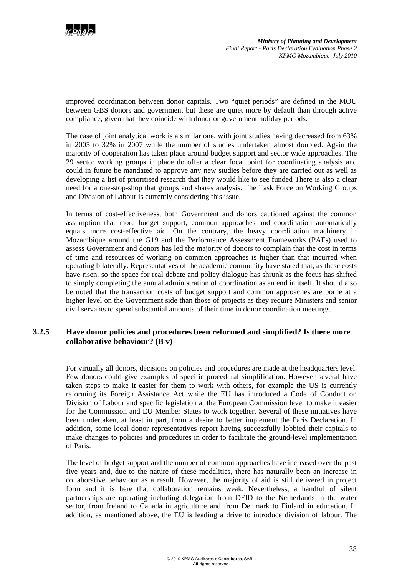

improved coordination between donor capitals. Two "quiet periods" are defined in the MOU between GBS donors and government but these are quiet more by default than through active compliance, given that they coincide with donor or government holiday periods.

The case of joint analytical work is a similar one, with joint studies having decreased from 63% in 2005 to 32% in 2007 while the number of studies undertaken almost doubled. Again the majority of cooperation has taken place around budget support and sector wide approaches. The 29 sector working groups in place do offer a clear focal point for coordinating analysis and could in future be mandated to approve any new studies before they are carried out as well as developing a list of prioritised research that they would like to see funded There is also a clear need for a one-stop-shop that groups and shares analysis. The Task Force on Working Groups and Division of Labour is currently considering this issue.

In terms of cost-effectiveness, both Government and donors cautioned against the common assumption that more budget support, common approaches and coordination automatically equals more cost-effective aid. On the contrary, the heavy coordination machinery in Mozambique around the G19 and the Performance Assessment Frameworks (PAFs) used to assess Government and donors has led the majority of donors to complain that the cost in terms of time and resources of working on common approaches is higher than that incurred when operating bilaterally. Representatives of the academic community have stated that, as these costs have risen, so the space for real debate and policy dialogue has shrunk as the focus has shifted to simply completing the annual administration of coordination as an end in itself. It should also be noted that the transaction costs of budget support and common approaches are borne at a higher level on the Government side than those of projects as they require Ministers and senior civil servants to spend substantial amounts of their time in donor coordination meetings.

## **3.2.5 Have donor policies and procedures been reformed and simplified? Is there more collaborative behaviour? (B v)**

For virtually all donors, decisions on policies and procedures are made at the headquarters level. Few donors could give examples of specific procedural simplification. However several have taken steps to make it easier for them to work with others, for example the US is currently reforming its Foreign Assistance Act while the EU has introduced a Code of Conduct on Division of Labour and specific legislation at the European Commission level to make it easier for the Commission and EU Member States to work together. Several of these initiatives have been undertaken, at least in part, from a desire to better implement the Paris Declaration. In addition, some local donor representatives report having successfully lobbied their capitals to make changes to policies and procedures in order to facilitate the ground-level implementation of Paris.

The level of budget support and the number of common approaches have increased over the past five years and, due to the nature of these modalities, there has naturally been an increase in collaborative behaviour as a result. However, the majority of aid is still delivered in project form and it is here that collaboration remains weak. Nevertheless, a handful of silent partnerships are operating including delegation from DFID to the Netherlands in the water sector, from Ireland to Canada in agriculture and from Denmark to Finland in education. In addition, as mentioned above, the EU is leading a drive to introduce division of labour. The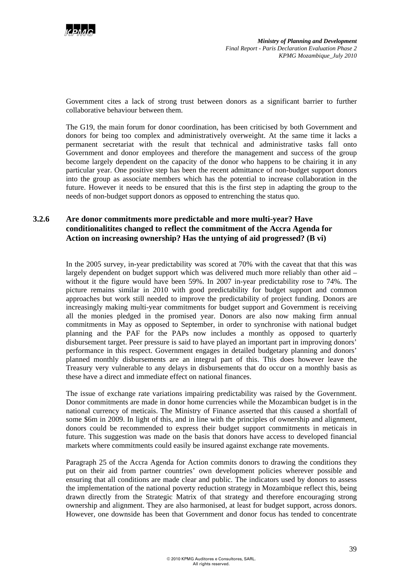

Government cites a lack of strong trust between donors as a significant barrier to further collaborative behaviour between them.

The G19, the main forum for donor coordination, has been criticised by both Government and donors for being too complex and administratively overweight. At the same time it lacks a permanent secretariat with the result that technical and administrative tasks fall onto Government and donor employees and therefore the management and success of the group become largely dependent on the capacity of the donor who happens to be chairing it in any particular year. One positive step has been the recent admittance of non-budget support donors into the group as associate members which has the potential to increase collaboration in the future. However it needs to be ensured that this is the first step in adapting the group to the needs of non-budget support donors as opposed to entrenching the status quo.

## **3.2.6 Are donor commitments more predictable and more multi-year? Have conditionalitites changed to reflect the commitment of the Accra Agenda for Action on increasing ownership? Has the untying of aid progressed? (B vi)**

In the 2005 survey, in-year predictability was scored at 70% with the caveat that that this was largely dependent on budget support which was delivered much more reliably than other aid – without it the figure would have been 59%. In 2007 in-year predictability rose to 74%. The picture remains similar in 2010 with good predictability for budget support and common approaches but work still needed to improve the predictability of project funding. Donors are increasingly making multi-year commitments for budget support and Government is receiving all the monies pledged in the promised year. Donors are also now making firm annual commitments in May as opposed to September, in order to synchronise with national budget planning and the PAF for the PAPs now includes a monthly as opposed to quarterly disbursement target. Peer pressure is said to have played an important part in improving donors' performance in this respect. Government engages in detailed budgetary planning and donors' planned monthly disbursements are an integral part of this. This does however leave the Treasury very vulnerable to any delays in disbursements that do occur on a monthly basis as these have a direct and immediate effect on national finances.

The issue of exchange rate variations impairing predictability was raised by the Government. Donor commitments are made in donor home currencies while the Mozambican budget is in the national currency of meticais. The Ministry of Finance asserted that this caused a shortfall of some \$6m in 2009. In light of this, and in line with the principles of ownership and alignment, donors could be recommended to express their budget support commitments in meticais in future. This suggestion was made on the basis that donors have access to developed financial markets where commitments could easily be insured against exchange rate movements.

Paragraph 25 of the Accra Agenda for Action commits donors to drawing the conditions they put on their aid from partner countries' own development policies wherever possible and ensuring that all conditions are made clear and public. The indicators used by donors to assess the implementation of the national poverty reduction strategy in Mozambique reflect this, being drawn directly from the Strategic Matrix of that strategy and therefore encouraging strong ownership and alignment. They are also harmonised, at least for budget support, across donors. However, one downside has been that Government and donor focus has tended to concentrate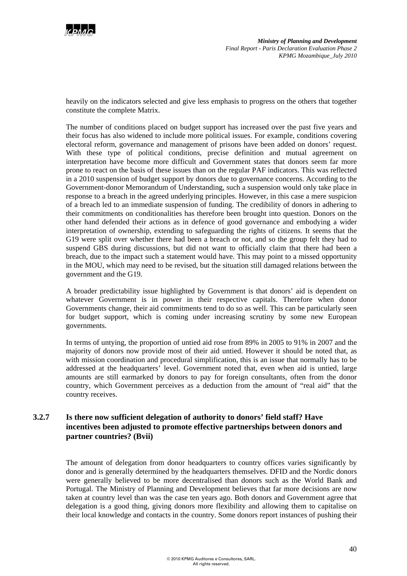

heavily on the indicators selected and give less emphasis to progress on the others that together constitute the complete Matrix.

The number of conditions placed on budget support has increased over the past five years and their focus has also widened to include more political issues. For example, conditions covering electoral reform, governance and management of prisons have been added on donors' request. With these type of political conditions, precise definition and mutual agreement on interpretation have become more difficult and Government states that donors seem far more prone to react on the basis of these issues than on the regular PAF indicators. This was reflected in a 2010 suspension of budget support by donors due to governance concerns. According to the Government-donor Memorandum of Understanding, such a suspension would only take place in response to a breach in the agreed underlying principles. However, in this case a mere suspicion of a breach led to an immediate suspension of funding. The credibility of donors in adhering to their commitments on conditionalities has therefore been brought into question. Donors on the other hand defended their actions as in defence of good governance and embodying a wider interpretation of ownership, extending to safeguarding the rights of citizens. It seems that the G19 were split over whether there had been a breach or not, and so the group felt they had to suspend GBS during discussions, but did not want to officially claim that there had been a breach, due to the impact such a statement would have. This may point to a missed opportunity in the MOU, which may need to be revised, but the situation still damaged relations between the government and the G19.

A broader predictability issue highlighted by Government is that donors' aid is dependent on whatever Government is in power in their respective capitals. Therefore when donor Governments change, their aid commitments tend to do so as well. This can be particularly seen for budget support, which is coming under increasing scrutiny by some new European governments.

In terms of untying, the proportion of untied aid rose from 89% in 2005 to 91% in 2007 and the majority of donors now provide most of their aid untied. However it should be noted that, as with mission coordination and procedural simplification, this is an issue that normally has to be addressed at the headquarters' level. Government noted that, even when aid is untied, large amounts are still earmarked by donors to pay for foreign consultants, often from the donor country, which Government perceives as a deduction from the amount of "real aid" that the country receives.

### **3.2.7 Is there now sufficient delegation of authority to donors' field staff? Have incentives been adjusted to promote effective partnerships between donors and partner countries? (Bvii)**

The amount of delegation from donor headquarters to country offices varies significantly by donor and is generally determined by the headquarters themselves. DFID and the Nordic donors were generally believed to be more decentralised than donors such as the World Bank and Portugal. The Ministry of Planning and Development believes that far more decisions are now taken at country level than was the case ten years ago. Both donors and Government agree that delegation is a good thing, giving donors more flexibility and allowing them to capitalise on their local knowledge and contacts in the country. Some donors report instances of pushing their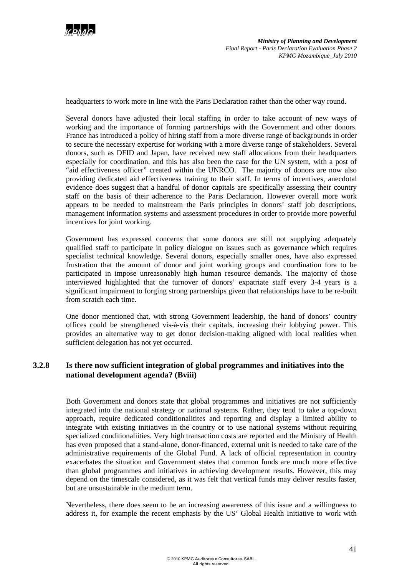

headquarters to work more in line with the Paris Declaration rather than the other way round.

Several donors have adjusted their local staffing in order to take account of new ways of working and the importance of forming partnerships with the Government and other donors. France has introduced a policy of hiring staff from a more diverse range of backgrounds in order to secure the necessary expertise for working with a more diverse range of stakeholders. Several donors, such as DFID and Japan, have received new staff allocations from their headquarters especially for coordination, and this has also been the case for the UN system, with a post of "aid effectiveness officer" created within the UNRCO. The majority of donors are now also providing dedicated aid effectiveness training to their staff. In terms of incentives, anecdotal evidence does suggest that a handful of donor capitals are specifically assessing their country staff on the basis of their adherence to the Paris Declaration. However overall more work appears to be needed to mainstream the Paris principles in donors' staff job descriptions, management information systems and assessment procedures in order to provide more powerful incentives for joint working.

Government has expressed concerns that some donors are still not supplying adequately qualified staff to participate in policy dialogue on issues such as governance which requires specialist technical knowledge. Several donors, especially smaller ones, have also expressed frustration that the amount of donor and joint working groups and coordination fora to be participated in impose unreasonably high human resource demands. The majority of those interviewed highlighted that the turnover of donors' expatriate staff every 3-4 years is a significant impairment to forging strong partnerships given that relationships have to be re-built from scratch each time.

One donor mentioned that, with strong Government leadership, the hand of donors' country offices could be strengthened vis-à-vis their capitals, increasing their lobbying power. This provides an alternative way to get donor decision-making aligned with local realities when sufficient delegation has not yet occurred.

## **3.2.8 Is there now sufficient integration of global programmes and initiatives into the national development agenda? (Bviii)**

Both Government and donors state that global programmes and initiatives are not sufficiently integrated into the national strategy or national systems. Rather, they tend to take a top-down approach, require dedicated conditionalitites and reporting and display a limited ability to integrate with existing initiatives in the country or to use national systems without requiring specialized conditionaliities. Very high transaction costs are reported and the Ministry of Health has even proposed that a stand-alone, donor-financed, external unit is needed to take care of the administrative requirements of the Global Fund. A lack of official representation in country exacerbates the situation and Government states that common funds are much more effective than global programmes and initiatives in achieving development results. However, this may depend on the timescale considered, as it was felt that vertical funds may deliver results faster, but are unsustainable in the medium term.

Nevertheless, there does seem to be an increasing awareness of this issue and a willingness to address it, for example the recent emphasis by the US' Global Health Initiative to work with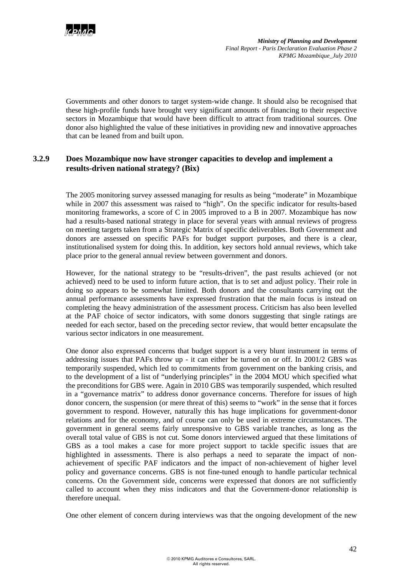

Governments and other donors to target system-wide change. It should also be recognised that these high-profile funds have brought very significant amounts of financing to their respective sectors in Mozambique that would have been difficult to attract from traditional sources. One donor also highlighted the value of these initiatives in providing new and innovative approaches that can be leaned from and built upon.

## **3.2.9 Does Mozambique now have stronger capacities to develop and implement a results-driven national strategy? (Bix)**

The 2005 monitoring survey assessed managing for results as being "moderate" in Mozambique while in 2007 this assessment was raised to "high". On the specific indicator for results-based monitoring frameworks, a score of C in 2005 improved to a B in 2007. Mozambique has now had a results-based national strategy in place for several years with annual reviews of progress on meeting targets taken from a Strategic Matrix of specific deliverables. Both Government and donors are assessed on specific PAFs for budget support purposes, and there is a clear, institutionalised system for doing this. In addition, key sectors hold annual reviews, which take place prior to the general annual review between government and donors.

However, for the national strategy to be "results-driven", the past results achieved (or not achieved) need to be used to inform future action, that is to set and adjust policy. Their role in doing so appears to be somewhat limited. Both donors and the consultants carrying out the annual performance assessments have expressed frustration that the main focus is instead on completing the heavy administration of the assessment process. Criticism has also been levelled at the PAF choice of sector indicators, with some donors suggesting that single ratings are needed for each sector, based on the preceding sector review, that would better encapsulate the various sector indicators in one measurement.

One donor also expressed concerns that budget support is a very blunt instrument in terms of addressing issues that PAFs throw up - it can either be turned on or off. In 2001/2 GBS was temporarily suspended, which led to commitments from government on the banking crisis, and to the development of a list of "underlying principles" in the 2004 MOU which specified what the preconditions for GBS were. Again in 2010 GBS was temporarily suspended, which resulted in a "governance matrix" to address donor governance concerns. Therefore for issues of high donor concern, the suspension (or mere threat of this) seems to "work" in the sense that it forces government to respond. However, naturally this has huge implications for government-donor relations and for the economy, and of course can only be used in extreme circumstances. The government in general seems fairly unresponsive to GBS variable tranches, as long as the overall total value of GBS is not cut. Some donors interviewed argued that these limitations of GBS as a tool makes a case for more project support to tackle specific issues that are highlighted in assessments. There is also perhaps a need to separate the impact of nonachievement of specific PAF indicators and the impact of non-achievement of higher level policy and governance concerns. GBS is not fine-tuned enough to handle particular technical concerns. On the Government side, concerns were expressed that donors are not sufficiently called to account when they miss indicators and that the Government-donor relationship is therefore unequal.

One other element of concern during interviews was that the ongoing development of the new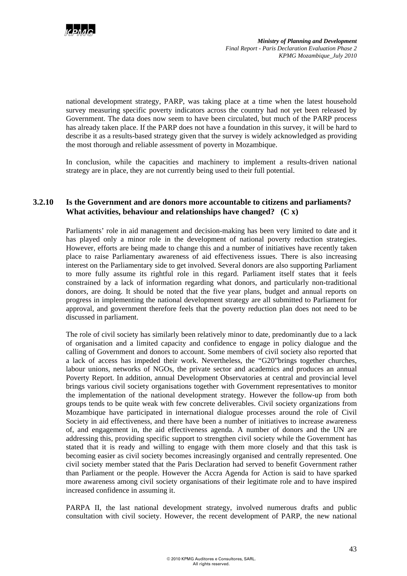

national development strategy, PARP, was taking place at a time when the latest household survey measuring specific poverty indicators across the country had not yet been released by Government. The data does now seem to have been circulated, but much of the PARP process has already taken place. If the PARP does not have a foundation in this survey, it will be hard to describe it as a results-based strategy given that the survey is widely acknowledged as providing the most thorough and reliable assessment of poverty in Mozambique.

In conclusion, while the capacities and machinery to implement a results-driven national strategy are in place, they are not currently being used to their full potential.

## **3.2.10 Is the Government and are donors more accountable to citizens and parliaments? What activities, behaviour and relationships have changed? (C x)**

Parliaments' role in aid management and decision-making has been very limited to date and it has played only a minor role in the development of national poverty reduction strategies. However, efforts are being made to change this and a number of initiatives have recently taken place to raise Parliamentary awareness of aid effectiveness issues. There is also increasing interest on the Parliamentary side to get involved. Several donors are also supporting Parliament to more fully assume its rightful role in this regard. Parliament itself states that it feels constrained by a lack of information regarding what donors, and particularly non-traditional donors, are doing. It should be noted that the five year plans, budget and annual reports on progress in implementing the national development strategy are all submitted to Parliament for approval, and government therefore feels that the poverty reduction plan does not need to be discussed in parliament.

The role of civil society has similarly been relatively minor to date, predominantly due to a lack of organisation and a limited capacity and confidence to engage in policy dialogue and the calling of Government and donors to account. Some members of civil society also reported that a lack of access has impeded their work. Nevertheless, the "G20"brings together churches, labour unions, networks of NGOs, the private sector and academics and produces an annual Poverty Report. In addition, annual Development Observatories at central and provincial level brings various civil society organisations together with Government representatives to monitor the implementation of the national development strategy. However the follow-up from both groups tends to be quite weak with few concrete deliverables. Civil society organizations from Mozambique have participated in international dialogue processes around the role of Civil Society in aid effectiveness, and there have been a number of initiatives to increase awareness of, and engagement in, the aid effectiveness agenda. A number of donors and the UN are addressing this, providing specific support to strengthen civil society while the Government has stated that it is ready and willing to engage with them more closely and that this task is becoming easier as civil society becomes increasingly organised and centrally represented. One civil society member stated that the Paris Declaration had served to benefit Government rather than Parliament or the people. However the Accra Agenda for Action is said to have sparked more awareness among civil society organisations of their legitimate role and to have inspired increased confidence in assuming it.

PARPA II, the last national development strategy, involved numerous drafts and public consultation with civil society. However, the recent development of PARP, the new national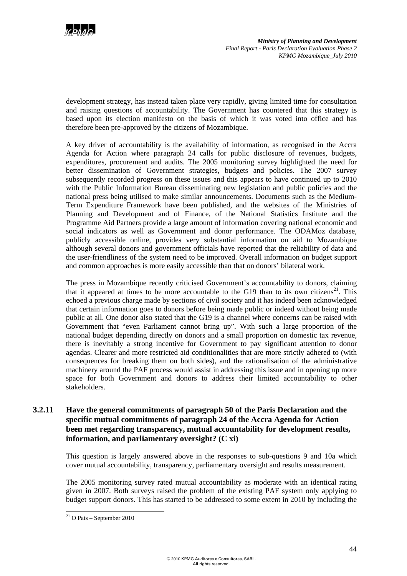

development strategy, has instead taken place very rapidly, giving limited time for consultation and raising questions of accountability. The Government has countered that this strategy is based upon its election manifesto on the basis of which it was voted into office and has therefore been pre-approved by the citizens of Mozambique.

A key driver of accountability is the availability of information, as recognised in the Accra Agenda for Action where paragraph 24 calls for public disclosure of revenues, budgets, expenditures, procurement and audits. The 2005 monitoring survey highlighted the need for better dissemination of Government strategies, budgets and policies. The 2007 survey subsequently recorded progress on these issues and this appears to have continued up to 2010 with the Public Information Bureau disseminating new legislation and public policies and the national press being utilised to make similar announcements. Documents such as the Medium-Term Expenditure Framework have been published, and the websites of the Ministries of Planning and Development and of Finance, of the National Statistics Institute and the Programme Aid Partners provide a large amount of information covering national economic and social indicators as well as Government and donor performance. The ODAMoz database, publicly accessible online, provides very substantial information on aid to Mozambique although several donors and government officials have reported that the reliability of data and the user-friendliness of the system need to be improved. Overall information on budget support and common approaches is more easily accessible than that on donors' bilateral work.

The press in Mozambique recently criticised Government's accountability to donors, claiming that it appeared at times to be more accountable to the G19 than to its own citizens<sup>21</sup>. This echoed a previous charge made by sections of civil society and it has indeed been acknowledged that certain information goes to donors before being made public or indeed without being made public at all. One donor also stated that the G19 is a channel where concerns can be raised with Government that "even Parliament cannot bring up". With such a large proportion of the national budget depending directly on donors and a small proportion on domestic tax revenue, there is inevitably a strong incentive for Government to pay significant attention to donor agendas. Clearer and more restricted aid conditionalities that are more strictly adhered to (with consequences for breaking them on both sides), and the rationalisation of the administrative machinery around the PAF process would assist in addressing this issue and in opening up more space for both Government and donors to address their limited accountability to other stakeholders.

## **3.2.11 Have the general commitments of paragraph 50 of the Paris Declaration and the specific mutual commitments of paragraph 24 of the Accra Agenda for Action been met regarding transparency, mutual accountability for development results, information, and parliamentary oversight? (C xi)**

This question is largely answered above in the responses to sub-questions 9 and 10a which cover mutual accountability, transparency, parliamentary oversight and results measurement.

The 2005 monitoring survey rated mutual accountability as moderate with an identical rating given in 2007. Both surveys raised the problem of the existing PAF system only applying to budget support donors. This has started to be addressed to some extent in 2010 by including the

 $21$  O Pais – September 2010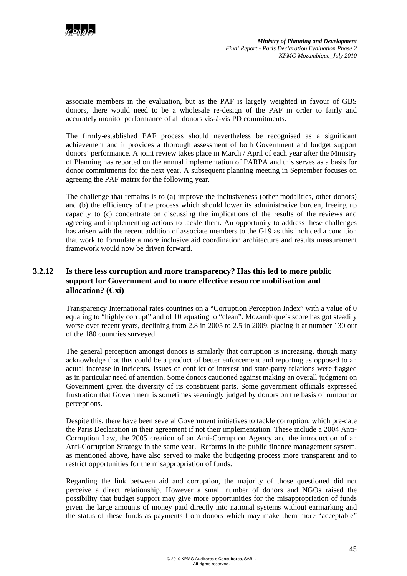

associate members in the evaluation, but as the PAF is largely weighted in favour of GBS donors, there would need to be a wholesale re-design of the PAF in order to fairly and accurately monitor performance of all donors vis-à-vis PD commitments.

The firmly-established PAF process should nevertheless be recognised as a significant achievement and it provides a thorough assessment of both Government and budget support donors' performance. A joint review takes place in March / April of each year after the Ministry of Planning has reported on the annual implementation of PARPA and this serves as a basis for donor commitments for the next year. A subsequent planning meeting in September focuses on agreeing the PAF matrix for the following year.

The challenge that remains is to (a) improve the inclusiveness (other modalities, other donors) and (b) the efficiency of the process which should lower its administrative burden, freeing up capacity to (c) concentrate on discussing the implications of the results of the reviews and agreeing and implementing actions to tackle them. An opportunity to address these challenges has arisen with the recent addition of associate members to the G19 as this included a condition that work to formulate a more inclusive aid coordination architecture and results measurement framework would now be driven forward.

## **3.2.12 Is there less corruption and more transparency? Has this led to more public support for Government and to more effective resource mobilisation and allocation? (Cxi)**

Transparency International rates countries on a "Corruption Perception Index" with a value of 0 equating to "highly corrupt" and of 10 equating to "clean". Mozambique's score has got steadily worse over recent years, declining from 2.8 in 2005 to 2.5 in 2009, placing it at number 130 out of the 180 countries surveyed.

The general perception amongst donors is similarly that corruption is increasing, though many acknowledge that this could be a product of better enforcement and reporting as opposed to an actual increase in incidents. Issues of conflict of interest and state-party relations were flagged as in particular need of attention. Some donors cautioned against making an overall judgment on Government given the diversity of its constituent parts. Some government officials expressed frustration that Government is sometimes seemingly judged by donors on the basis of rumour or perceptions.

Despite this, there have been several Government initiatives to tackle corruption, which pre-date the Paris Declaration in their agreement if not their implementation. These include a 2004 Anti-Corruption Law, the 2005 creation of an Anti-Corruption Agency and the introduction of an Anti-Corruption Strategy in the same year. Reforms in the public finance management system, as mentioned above, have also served to make the budgeting process more transparent and to restrict opportunities for the misappropriation of funds.

Regarding the link between aid and corruption, the majority of those questioned did not perceive a direct relationship. However a small number of donors and NGOs raised the possibility that budget support may give more opportunities for the misappropriation of funds given the large amounts of money paid directly into national systems without earmarking and the status of these funds as payments from donors which may make them more "acceptable"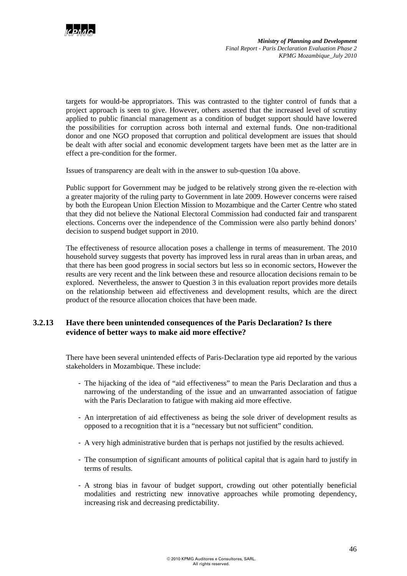

targets for would-be appropriators. This was contrasted to the tighter control of funds that a project approach is seen to give. However, others asserted that the increased level of scrutiny applied to public financial management as a condition of budget support should have lowered the possibilities for corruption across both internal and external funds. One non-traditional donor and one NGO proposed that corruption and political development are issues that should be dealt with after social and economic development targets have been met as the latter are in effect a pre-condition for the former.

Issues of transparency are dealt with in the answer to sub-question 10a above.

Public support for Government may be judged to be relatively strong given the re-election with a greater majority of the ruling party to Government in late 2009. However concerns were raised by both the European Union Election Mission to Mozambique and the Carter Centre who stated that they did not believe the National Electoral Commission had conducted fair and transparent elections. Concerns over the independence of the Commission were also partly behind donors' decision to suspend budget support in 2010.

The effectiveness of resource allocation poses a challenge in terms of measurement. The 2010 household survey suggests that poverty has improved less in rural areas than in urban areas, and that there has been good progress in social sectors but less so in economic sectors, However the results are very recent and the link between these and resource allocation decisions remain to be explored. Nevertheless, the answer to Question 3 in this evaluation report provides more details on the relationship between aid effectiveness and development results, which are the direct product of the resource allocation choices that have been made.

### **3.2.13 Have there been unintended consequences of the Paris Declaration? Is there evidence of better ways to make aid more effective?**

There have been several unintended effects of Paris-Declaration type aid reported by the various stakeholders in Mozambique. These include:

- The hijacking of the idea of "aid effectiveness" to mean the Paris Declaration and thus a narrowing of the understanding of the issue and an unwarranted association of fatigue with the Paris Declaration to fatigue with making aid more effective.
- An interpretation of aid effectiveness as being the sole driver of development results as opposed to a recognition that it is a "necessary but not sufficient" condition.
- A very high administrative burden that is perhaps not justified by the results achieved.
- The consumption of significant amounts of political capital that is again hard to justify in terms of results.
- A strong bias in favour of budget support, crowding out other potentially beneficial modalities and restricting new innovative approaches while promoting dependency, increasing risk and decreasing predictability.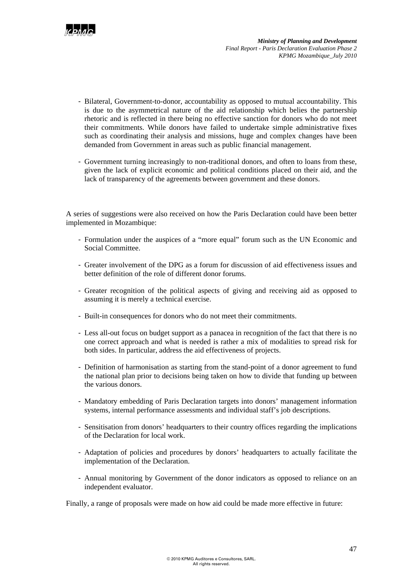

- Bilateral, Government-to-donor, accountability as opposed to mutual accountability. This is due to the asymmetrical nature of the aid relationship which belies the partnership rhetoric and is reflected in there being no effective sanction for donors who do not meet their commitments. While donors have failed to undertake simple administrative fixes such as coordinating their analysis and missions, huge and complex changes have been demanded from Government in areas such as public financial management.
- Government turning increasingly to non-traditional donors, and often to loans from these, given the lack of explicit economic and political conditions placed on their aid, and the lack of transparency of the agreements between government and these donors.

A series of suggestions were also received on how the Paris Declaration could have been better implemented in Mozambique:

- Formulation under the auspices of a "more equal" forum such as the UN Economic and Social Committee.
- Greater involvement of the DPG as a forum for discussion of aid effectiveness issues and better definition of the role of different donor forums.
- Greater recognition of the political aspects of giving and receiving aid as opposed to assuming it is merely a technical exercise.
- Built-in consequences for donors who do not meet their commitments.
- Less all-out focus on budget support as a panacea in recognition of the fact that there is no one correct approach and what is needed is rather a mix of modalities to spread risk for both sides. In particular, address the aid effectiveness of projects.
- Definition of harmonisation as starting from the stand-point of a donor agreement to fund the national plan prior to decisions being taken on how to divide that funding up between the various donors.
- Mandatory embedding of Paris Declaration targets into donors' management information systems, internal performance assessments and individual staff's job descriptions.
- Sensitisation from donors' headquarters to their country offices regarding the implications of the Declaration for local work.
- Adaptation of policies and procedures by donors' headquarters to actually facilitate the implementation of the Declaration.
- Annual monitoring by Government of the donor indicators as opposed to reliance on an independent evaluator.

Finally, a range of proposals were made on how aid could be made more effective in future: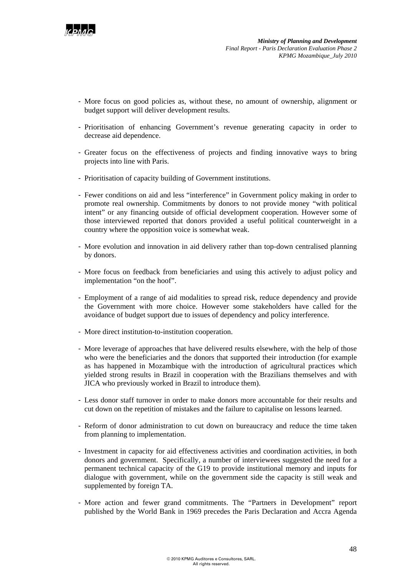

- More focus on good policies as, without these, no amount of ownership, alignment or budget support will deliver development results.
- Prioritisation of enhancing Government's revenue generating capacity in order to decrease aid dependence.
- Greater focus on the effectiveness of projects and finding innovative ways to bring projects into line with Paris.
- Prioritisation of capacity building of Government institutions.
- Fewer conditions on aid and less "interference" in Government policy making in order to promote real ownership. Commitments by donors to not provide money "with political intent" or any financing outside of official development cooperation. However some of those interviewed reported that donors provided a useful political counterweight in a country where the opposition voice is somewhat weak.
- More evolution and innovation in aid delivery rather than top-down centralised planning by donors.
- More focus on feedback from beneficiaries and using this actively to adjust policy and implementation "on the hoof".
- Employment of a range of aid modalities to spread risk, reduce dependency and provide the Government with more choice. However some stakeholders have called for the avoidance of budget support due to issues of dependency and policy interference.
- More direct institution-to-institution cooperation.
- More leverage of approaches that have delivered results elsewhere, with the help of those who were the beneficiaries and the donors that supported their introduction (for example as has happened in Mozambique with the introduction of agricultural practices which yielded strong results in Brazil in cooperation with the Brazilians themselves and with JICA who previously worked in Brazil to introduce them).
- Less donor staff turnover in order to make donors more accountable for their results and cut down on the repetition of mistakes and the failure to capitalise on lessons learned.
- Reform of donor administration to cut down on bureaucracy and reduce the time taken from planning to implementation.
- Investment in capacity for aid effectiveness activities and coordination activities, in both donors and government. Specifically, a number of interviewees suggested the need for a permanent technical capacity of the G19 to provide institutional memory and inputs for dialogue with government, while on the government side the capacity is still weak and supplemented by foreign TA.
- More action and fewer grand commitments. The "Partners in Development" report published by the World Bank in 1969 precedes the Paris Declaration and Accra Agenda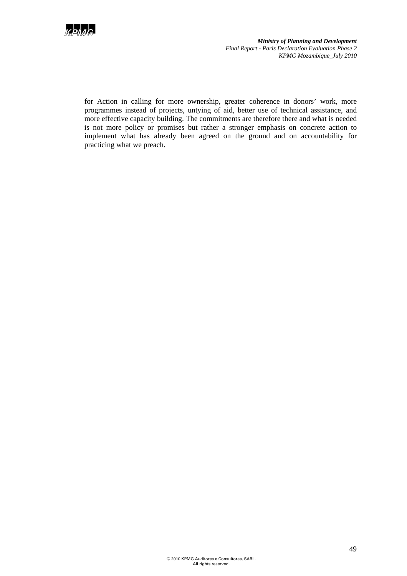

for Action in calling for more ownership, greater coherence in donors' work, more programmes instead of projects, untying of aid, better use of technical assistance, and more effective capacity building. The commitments are therefore there and what is needed is not more policy or promises but rather a stronger emphasis on concrete action to implement what has already been agreed on the ground and on accountability for practicing what we preach.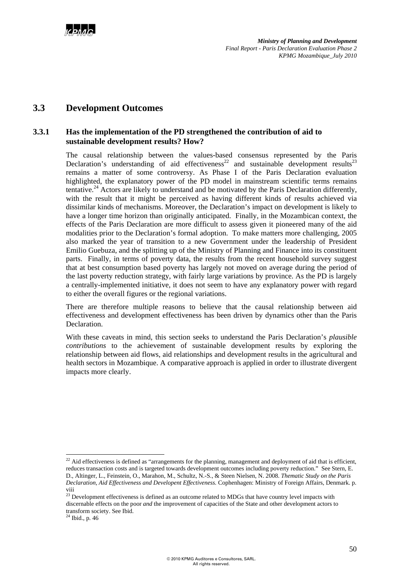# **3.3 Development Outcomes**

### **3.3.1 Has the implementation of the PD strengthened the contribution of aid to sustainable development results? How?**

The causal relationship between the values-based consensus represented by the Paris Declaration's understanding of aid effectiveness<sup>22</sup> and sustainable development results<sup>23</sup> remains a matter of some controversy. As Phase I of the Paris Declaration evaluation highlighted, the explanatory power of the PD model in mainstream scientific terms remains tentative.<sup>24</sup> Actors are likely to understand and be motivated by the Paris Declaration differently, with the result that it might be perceived as having different kinds of results achieved via dissimilar kinds of mechanisms. Moreover, the Declaration's impact on development is likely to have a longer time horizon than originally anticipated. Finally, in the Mozambican context, the effects of the Paris Declaration are more difficult to assess given it pioneered many of the aid modalities prior to the Declaration's formal adoption. To make matters more challenging, 2005 also marked the year of transition to a new Government under the leadership of President Emilio Guebuza, and the splitting up of the Ministry of Planning and Finance into its constituent parts. Finally, in terms of poverty data, the results from the recent household survey suggest that at best consumption based poverty has largely not moved on average during the period of the last poverty reduction strategy, with fairly large variations by province. As the PD is largely a centrally-implemented initiative, it does not seem to have any explanatory power with regard to either the overall figures or the regional variations.

There are therefore multiple reasons to believe that the causal relationship between aid effectiveness and development effectiveness has been driven by dynamics other than the Paris Declaration.

With these caveats in mind, this section seeks to understand the Paris Declaration's *plausible contributions* to the achievement of sustainable development results by exploring the relationship between aid flows, aid relationships and development results in the agricultural and health sectors in Mozambique. A comparative approach is applied in order to illustrate divergent impacts more clearly.

 $^{22}$  Aid effectiveness is defined as "arrangements for the planning, management and deployment of aid that is efficient, reduces transaction costs and is targeted towards development outcomes including poverty reduction." See Stern, E. D., Altinger, L., Feinstein, O., Marahon, M., Schultz, N.-S., & Steen Nielsen, N. 2008. *Thematic Study on the Paris Declaration, Aid Effectiveness and Developent Effectiveness.* Cophenhagen: Ministry of Foreign Affairs, Denmark. p. viii

 $^{23}$  Development effectiveness is defined as an outcome related to MDGs that have country level impacts with discernable effects on the poor *and* the improvement of capacities of the State and other development actors to transform society. See Ibid.

<sup>24</sup> Ibid., p. 46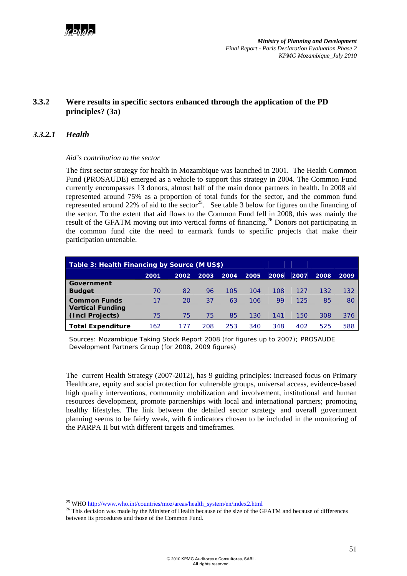

## **3.3.2 Were results in specific sectors enhanced through the application of the PD principles? (3a)**

### *3.3.2.1 Health*

l

#### *Aid's contribution to the sector*

The first sector strategy for health in Mozambique was launched in 2001. The Health Common Fund (PROSAUDE) emerged as a vehicle to support this strategy in 2004. The Common Fund currently encompasses 13 donors, almost half of the main donor partners in health. In 2008 aid represented around 75% as a proportion of total funds for the sector, and the common fund represented around 22% of aid to the sector<sup>25</sup>. See table 3 below for figures on the financing of the sector. To the extent that aid flows to the Common Fund fell in 2008, this was mainly the result of the GFATM moving out into vertical forms of financing.<sup>26</sup> Donors not participating in the common fund cite the need to earmark funds to specific projects that make their participation untenable.

| Table 3: Health Financing by Source (M US\$) |      |      |      |      |      |      |      |      |      |  |
|----------------------------------------------|------|------|------|------|------|------|------|------|------|--|
|                                              | 2001 | 2002 | 2003 | 2004 | 2005 | 2006 | 2007 | 2008 | 2009 |  |
| Government                                   |      |      |      |      |      |      |      |      |      |  |
| <b>Budget</b>                                | 70   | 82   | 96   | 105  | 104  | 108  | 127  | 132  | 132  |  |
| <b>Common Funds</b>                          | 17   | 20   | 37   | 63   | 106  | 99   | 125  | 85   | 80   |  |
| <b>Vertical Funding</b>                      |      |      |      |      |      |      |      |      |      |  |
| (Incl Projects)                              | 75   | 75   | 75   | 85   | 130  | 141  | 150  | 308  | 376  |  |
| <b>Total Expenditure</b>                     | 162  | 177  | 208  | 253  | 340  | 348  | 402  | 525  | 588  |  |

*Sources: Mozambique Taking Stock Report 2008 (for figures up to 2007); PROSAUDE Development Partners Group (for 2008, 2009 figures)* 

The current Health Strategy (2007-2012), has 9 guiding principles: increased focus on Primary Healthcare, equity and social protection for vulnerable groups, universal access, evidence-based high quality interventions, community mobilization and involvement, institutional and human resources development, promote partnerships with local and international partners; promoting healthy lifestyles. The link between the detailed sector strategy and overall government planning seems to be fairly weak, with 6 indicators chosen to be included in the monitoring of the PARPA II but with different targets and timeframes.

<sup>&</sup>lt;sup>25</sup> WHO http://www.who.int/countries/moz/areas/health\_system/en/index2.html <sup>26</sup> This decision was made by the Minister of Health because of the size of the GFATM and because of differences between its procedures and those of the Common Fund.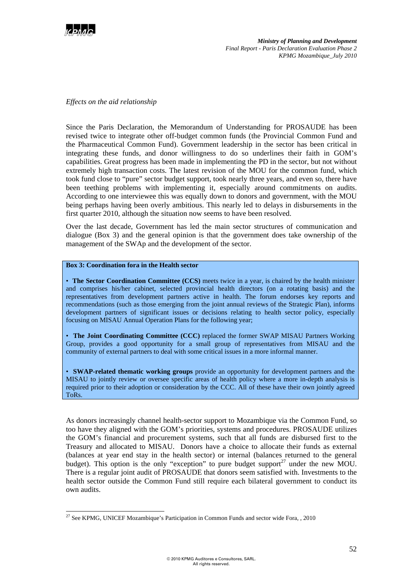

l

*Ministry of Planning and Development Final Report - Paris Declaration Evaluation Phase 2 KPMG Mozambique\_July 2010*

*Effects on the aid relationship* 

Since the Paris Declaration, the Memorandum of Understanding for PROSAUDE has been revised twice to integrate other off-budget common funds (the Provincial Common Fund and the Pharmaceutical Common Fund). Government leadership in the sector has been critical in integrating these funds, and donor willingness to do so underlines their faith in GOM's capabilities. Great progress has been made in implementing the PD in the sector, but not without extremely high transaction costs. The latest revision of the MOU for the common fund, which took fund close to "pure" sector budget support, took nearly three years, and even so, there have been teething problems with implementing it, especially around commitments on audits. According to one interviewee this was equally down to donors and government, with the MOU being perhaps having been overly ambitious. This nearly led to delays in disbursements in the first quarter 2010, although the situation now seems to have been resolved.

Over the last decade, Government has led the main sector structures of communication and dialogue (Box 3) and the general opinion is that the government does take ownership of the management of the SWAp and the development of the sector.

#### **Box 3: Coordination fora in the Health sector**

• **The Sector Coordination Committee (CCS)** meets twice in a year, is chaired by the health minister and comprises his/her cabinet, selected provincial health directors (on a rotating basis) and the representatives from development partners active in health. The forum endorses key reports and recommendations (such as those emerging from the joint annual reviews of the Strategic Plan), informs development partners of significant issues or decisions relating to health sector policy, especially focusing on MISAU Annual Operation Plans for the following year;

• **The Joint Coordinating Committee (CCC)** replaced the former SWAP MISAU Partners Working Group, provides a good opportunity for a small group of representatives from MISAU and the community of external partners to deal with some critical issues in a more informal manner.

• **SWAP-related thematic working groups** provide an opportunity for development partners and the MISAU to jointly review or oversee specific areas of health policy where a more in-depth analysis is required prior to their adoption or consideration by the CCC. All of these have their own jointly agreed ToRs.

As donors increasingly channel health-sector support to Mozambique via the Common Fund, so too have they aligned with the GOM's priorities, systems and procedures. PROSAUDE utilizes the GOM's financial and procurement systems, such that all funds are disbursed first to the Treasury and allocated to MISAU. Donors have a choice to allocate their funds as external (balances at year end stay in the health sector) or internal (balances returned to the general budget). This option is the only "exception" to pure budget support<sup>27</sup> under the new MOU. There is a regular joint audit of PROSAUDE that donors seem satisfied with. Investments to the health sector outside the Common Fund still require each bilateral government to conduct its own audits.

<sup>&</sup>lt;sup>27</sup> See KPMG, UNICEF Mozambique's Participation in Common Funds and sector wide Fora, , 2010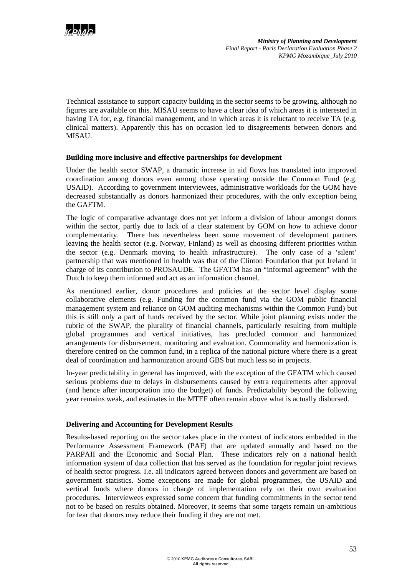

Technical assistance to support capacity building in the sector seems to be growing, although no figures are available on this. MISAU seems to have a clear idea of which areas it is interested in having TA for, e.g. financial management, and in which areas it is reluctant to receive TA (e.g. clinical matters). Apparently this has on occasion led to disagreements between donors and MISAU.

### **Building more inclusive and effective partnerships for development**

Under the health sector SWAP, a dramatic increase in aid flows has translated into improved coordination among donors even among those operating outside the Common Fund (e.g. USAID). According to government interviewees, administrative workloads for the GOM have decreased substantially as donors harmonized their procedures, with the only exception being the GAFTM.

The logic of comparative advantage does not yet inform a division of labour amongst donors within the sector, partly due to lack of a clear statement by GOM on how to achieve donor complementarity. There has nevertheless been some movement of development partners leaving the health sector (e.g. Norway, Finland) as well as choosing different priorities within the sector (e.g. Denmark moving to health infrastructure). The only case of a 'silent' partnership that was mentioned in health was that of the Clinton Foundation that put Ireland in charge of its contribution to PROSAUDE. The GFATM has an "informal agreement" with the Dutch to keep them informed and act as an information channel.

As mentioned earlier, donor procedures and policies at the sector level display some collaborative elements (e.g. Funding for the common fund via the GOM public financial management system and reliance on GOM auditing mechanisms within the Common Fund) but this is still only a part of funds received by the sector. While joint planning exists under the rubric of the SWAP, the plurality of financial channels, particularly resulting from multiple global programmes and vertical initiatives, has precluded common and harmonized arrangements for disbursement, monitoring and evaluation. Commonality and harmonization is therefore centred on the common fund, in a replica of the national picture where there is a great deal of coordination and harmonization around GBS but much less so in projects.

In-year predictability in general has improved, with the exception of the GFATM which caused serious problems due to delays in disbursements caused by extra requirements after approval (and hence after incorporation into the budget) of funds. Predictability beyond the following year remains weak, and estimates in the MTEF often remain above what is actually disbursed.

#### **Delivering and Accounting for Development Results**

Results-based reporting on the sector takes place in the context of indicators embedded in the Performance Assessment Framework (PAF) that are updated annually and based on the PARPAII and the Economic and Social Plan. These indicators rely on a national health information system of data collection that has served as the foundation for regular joint reviews of health sector progress. I.e. all indicators agreed between donors and government are based on government statistics. Some exceptions are made for global programmes, the USAID and vertical funds where donors in charge of implementation rely on their own evaluation procedures. Interviewees expressed some concern that funding commitments in the sector tend not to be based on results obtained. Moreover, it seems that some targets remain un-ambitious for fear that donors may reduce their funding if they are not met.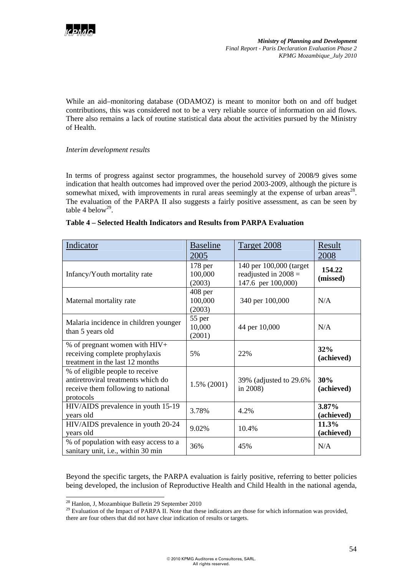

While an aid–monitoring database (ODAMOZ) is meant to monitor both on and off budget contributions, this was considered not to be a very reliable source of information on aid flows. There also remains a lack of routine statistical data about the activities pursued by the Ministry of Health.

#### *Interim development results*

In terms of progress against sector programmes, the household survey of 2008/9 gives some indication that health outcomes had improved over the period 2003-2009, although the picture is somewhat mixed, with improvements in rural areas seemingly at the expense of urban areas<sup>28</sup>. The evaluation of the PARPA II also suggests a fairly positive assessment, as can be seen by table 4 below<sup>29</sup>.

| Indicator                                                                                                                | <b>Baseline</b><br>2005        | Target 2008                                                             | Result<br>2008         |
|--------------------------------------------------------------------------------------------------------------------------|--------------------------------|-------------------------------------------------------------------------|------------------------|
| Infancy/Youth mortality rate                                                                                             | $178$ per<br>100,000<br>(2003) | 140 per 100,000 (target<br>readjusted in $2008 =$<br>147.6 per 100,000) | 154.22<br>(missed)     |
| Maternal mortality rate                                                                                                  | $408$ per<br>100,000<br>(2003) | 340 per 100,000                                                         | N/A                    |
| Malaria incidence in children younger<br>than 5 years old                                                                | 55 per<br>10,000<br>(2001)     | 44 per 10,000                                                           | N/A                    |
| % of pregnant women with $HIV+$<br>receiving complete prophylaxis<br>treatment in the last 12 months                     | 5%                             | 22%                                                                     | 32%<br>(achieved)      |
| % of eligible people to receive<br>antiretroviral treatments which do<br>receive them following to national<br>protocols | $1.5\%$ (2001)                 | 39% (adjusted to 29.6%)<br>in 2008)                                     | 30%<br>(achieved)      |
| HIV/AIDS prevalence in youth 15-19<br>years old                                                                          | 3.78%                          | 4.2%                                                                    | $3.87\%$<br>(achieved) |
| HIV/AIDS prevalence in youth 20-24<br>years old                                                                          | 9.02%                          | 10.4%                                                                   | 11.3%<br>(achieved)    |
| % of population with easy access to a<br>sanitary unit, i.e., within 30 min                                              | 36%                            | 45%                                                                     | N/A                    |

#### **Table 4 – Selected Health Indicators and Results from PARPA Evaluation**

Beyond the specific targets, the PARPA evaluation is fairly positive, referring to better policies being developed, the inclusion of Reproductive Health and Child Health in the national agenda,

<sup>&</sup>lt;sup>28</sup> Hanlon, J, Mozambique Bulletin 29 September 2010

 $29$  Evaluation of the Impact of PARPA II. Note that these indicators are those for which information was provided, there are four others that did not have clear indication of results or targets.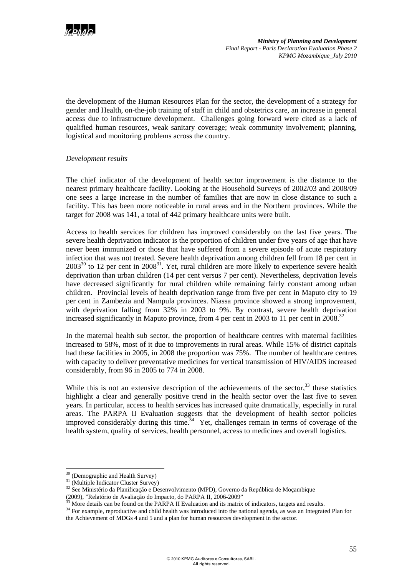

the development of the Human Resources Plan for the sector, the development of a strategy for gender and Health, on-the-job training of staff in child and obstetrics care, an increase in general access due to infrastructure development. Challenges going forward were cited as a lack of qualified human resources, weak sanitary coverage; weak community involvement; planning, logistical and monitoring problems across the country.

#### *Development results*

The chief indicator of the development of health sector improvement is the distance to the nearest primary healthcare facility. Looking at the Household Surveys of 2002/03 and 2008/09 one sees a large increase in the number of families that are now in close distance to such a facility. This has been more noticeable in rural areas and in the Northern provinces. While the target for 2008 was 141, a total of 442 primary healthcare units were built.

Access to health services for children has improved considerably on the last five years. The severe health deprivation indicator is the proportion of children under five years of age that have never been immunized or those that have suffered from a severe episode of acute respiratory infection that was not treated. Severe health deprivation among children fell from 18 per cent in  $2003^{30}$  to 12 per cent in  $2008^{31}$ . Yet, rural children are more likely to experience severe health deprivation than urban children (14 per cent versus 7 per cent). Nevertheless, deprivation levels have decreased significantly for rural children while remaining fairly constant among urban children. Provincial levels of health deprivation range from five per cent in Maputo city to 19 per cent in Zambezia and Nampula provinces. Niassa province showed a strong improvement, with deprivation falling from 32% in 2003 to 9%. By contrast, severe health deprivation increased significantly in Maputo province, from 4 per cent in 2003 to 11 per cent in 2008.<sup>32</sup>

In the maternal health sub sector, the proportion of healthcare centres with maternal facilities increased to 58%, most of it due to improvements in rural areas. While 15% of district capitals had these facilities in 2005, in 2008 the proportion was 75%. The number of healthcare centres with capacity to deliver preventative medicines for vertical transmission of HIV/AIDS increased considerably, from 96 in 2005 to 774 in 2008.

While this is not an extensive description of the achievements of the sector,  $33$  these statistics highlight a clear and generally positive trend in the health sector over the last five to seven years. In particular, access to health services has increased quite dramatically, especially in rural areas. The PARPA II Evaluation suggests that the development of health sector policies improved considerably during this time.<sup>34</sup> Yet, challenges remain in terms of coverage of the health system, quality of services, health personnel, access to medicines and overall logistics.

<sup>&</sup>lt;sup>30</sup> (Demographic and Health Survey)

<sup>&</sup>lt;sup>31</sup> (Multiple Indicator Cluster Survey)

<sup>&</sup>lt;sup>32</sup> See Ministério da Planificação e Desenvolvimento (MPD), Governo da República de Moçambique (2009), "Relatório de Avaliação do Impacto, do PARPA II, 2006-2009"

 $33$  More details can be found on the PARPA II Evaluation and its matrix of indicators, targets and results.<br> $34$  For example, reproductive and child health was introduced into the national agenda, as was an Integrated Pl

the Achievement of MDGs 4 and 5 and a plan for human resources development in the sector.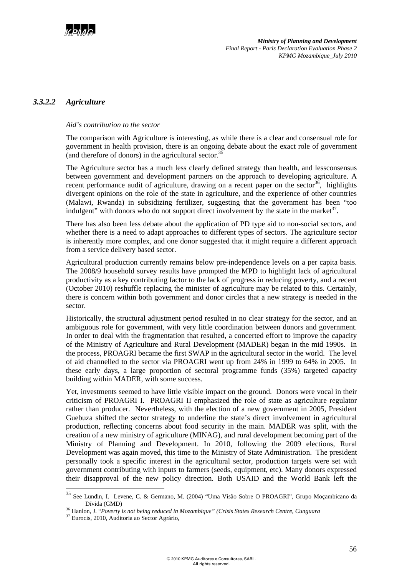

### *3.3.2.2 Agriculture*

#### *Aid's contribution to the sector*

The comparison with Agriculture is interesting, as while there is a clear and consensual role for government in health provision, there is an ongoing debate about the exact role of government (and therefore of donors) in the agricultural sector. $35$ 

The Agriculture sector has a much less clearly defined strategy than health, and lessconsensus between government and development partners on the approach to developing agriculture. A recent performance audit of agriculture, drawing on a recent paper on the sector<sup>36</sup>, highlights divergent opinions on the role of the state in agriculture, and the experience of other countries (Malawi, Rwanda) in subsidizing fertilizer, suggesting that the government has been "too indulgent" with donors who do not support direct involvement by the state in the market $3^7$ .

There has also been less debate about the application of PD type aid to non-social sectors, and whether there is a need to adapt approaches to different types of sectors. The agriculture sector is inherently more complex, and one donor suggested that it might require a different approach from a service delivery based sector.

Agricultural production currently remains below pre-independence levels on a per capita basis. The 2008/9 household survey results have prompted the MPD to highlight lack of agricultural productivity as a key contributing factor to the lack of progress in reducing poverty, and a recent (October 2010) reshuffle replacing the minister of agriculture may be related to this. Certainly, there is concern within both government and donor circles that a new strategy is needed in the sector.

Historically, the structural adjustment period resulted in no clear strategy for the sector, and an ambiguous role for government, with very little coordination between donors and government. In order to deal with the fragmentation that resulted, a concerted effort to improve the capacity of the Ministry of Agriculture and Rural Development (MADER) began in the mid 1990s. In the process, PROAGRI became the first SWAP in the agricultural sector in the world. The level of aid channelled to the sector via PROAGRI went up from 24% in 1999 to 64% in 2005. In these early days, a large proportion of sectoral programme funds (35%) targeted capacity building within MADER, with some success.

Yet, investments seemed to have little visible impact on the ground. Donors were vocal in their criticism of PROAGRI I. PROAGRI II emphasized the role of state as agriculture regulator rather than producer. Nevertheless, with the election of a new government in 2005, President Guebuza shifted the sector strategy to underline the state's direct involvement in agricultural production, reflecting concerns about food security in the main. MADER was split, with the creation of a new ministry of agriculture (MINAG), and rural development becoming part of the Ministry of Planning and Development. In 2010, following the 2009 elections, Rural Development was again moved, this time to the Ministry of State Administration. The president personally took a specific interest in the agricultural sector, production targets were set with government contributing with inputs to farmers (seeds, equipment, etc). Many donors expressed their disapproval of the new policy direction. Both USAID and the World Bank left the

<sup>&</sup>lt;sup>35</sup> See Lundin, I. Levene, C. & Germano, M. (2004) "Uma Visão Sobre O PROAGRI", Grupo Moçambicano da

Dívida (GMD) 36 Hanlon, J. "*Poverty is not being reduced in Mozambique" (Crisis States Research Centre, Cunguara* 37 Eurocis, 2010, Auditoria ao Sector Agrário,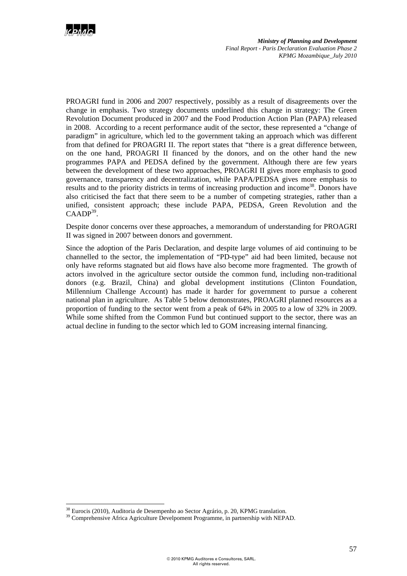

PROAGRI fund in 2006 and 2007 respectively, possibly as a result of disagreements over the change in emphasis. Two strategy documents underlined this change in strategy: The Green Revolution Document produced in 2007 and the Food Production Action Plan (PAPA) released in 2008. According to a recent performance audit of the sector, these represented a "change of paradigm" in agriculture, which led to the government taking an approach which was different from that defined for PROAGRI II. The report states that "there is a great difference between, on the one hand, PROAGRI II financed by the donors, and on the other hand the new programmes PAPA and PEDSA defined by the government. Although there are few years between the development of these two approaches, PROAGRI II gives more emphasis to good governance, transparency and decentralization, while PAPA/PEDSA gives more emphasis to results and to the priority districts in terms of increasing production and income<sup>38</sup>. Donors have also criticised the fact that there seem to be a number of competing strategies, rather than a unified, consistent approach; these include PAPA, PEDSA, Green Revolution and the  $C$ AAD $P^{39}$ .

Despite donor concerns over these approaches, a memorandum of understanding for PROAGRI II was signed in 2007 between donors and government.

Since the adoption of the Paris Declaration, and despite large volumes of aid continuing to be channelled to the sector, the implementation of "PD-type" aid had been limited, because not only have reforms stagnated but aid flows have also become more fragmented. The growth of actors involved in the agriculture sector outside the common fund, including non-traditional donors (e.g. Brazil, China) and global development institutions (Clinton Foundation, Millennium Challenge Account) has made it harder for government to pursue a coherent national plan in agriculture. As Table 5 below demonstrates, PROAGRI planned resources as a proportion of funding to the sector went from a peak of 64% in 2005 to a low of 32% in 2009. While some shifted from the Common Fund but continued support to the sector, there was an actual decline in funding to the sector which led to GOM increasing internal financing.

<sup>&</sup>lt;sup>38</sup> Eurocis (2010), Auditoria de Desempenho ao Sector Agrário, p. 20, KPMG translation.

<sup>&</sup>lt;sup>39</sup> Comprehensive Africa Agriculture Develpoment Programme, in partnership with NEPAD.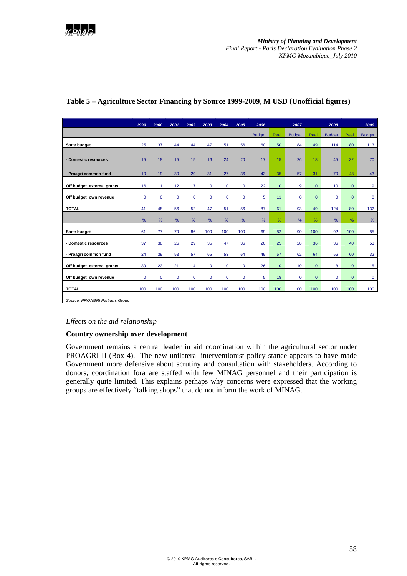|                            | 1999         | 2000        | 2001 | 2002           | 2003         | 2004         | 2005         | 2006          |              | 2007          |              | 2008             |              | 2009          |
|----------------------------|--------------|-------------|------|----------------|--------------|--------------|--------------|---------------|--------------|---------------|--------------|------------------|--------------|---------------|
|                            |              |             |      |                |              |              |              | <b>Budget</b> | Real         | <b>Budget</b> | Real         | <b>Budget</b>    | Real         | <b>Budget</b> |
| <b>State budget</b>        | 25           | 37          | 44   | 44             | 47           | 51           | 56           | 60            | 50           | 84            | 49           | 114              | 80           | 113           |
| - Domestic resources       | 15           | 18          | 15   | 15             | 16           | 24           | 20           | 17            | 15           | 26            | 18           | 45               | 32           | 70            |
| - Proagri common fund      | 10           | 19          | 30   | 29             | 31           | 27           | 36           | 43            | 35           | 57            | 31           | 70               | 48           | 43            |
| Off budget external grants | 16           | 11          | 12   | $\overline{7}$ | $\mathbf 0$  | $\mathbf{0}$ | $\mathbf 0$  | 22            | $\mathbf{0}$ | 9             | $\mathbf{0}$ | 10 <sup>10</sup> | $\mathbf{0}$ | 19            |
| Off budget own revenue     | 0            | $\mathbf 0$ | 0    | 0              | $\mathbf 0$  | 0            | 0            | 5             | 11           | $\mathbf 0$   | $\mathbf{0}$ | 0                | $\mathbf{0}$ | 0             |
| <b>TOTAL</b>               | 41           | 48          | 56   | 52             | 47           | 51           | 56           | 87            | 61           | 93            | 49           | 124              | 80           | 132           |
|                            | %            | %           | %    | %              | %            | %            | %            | %             | %            | %             | %            | %                | %            | $\%$          |
| <b>State budget</b>        | 61           | 77          | 79   | 86             | 100          | 100          | 100          | 69            | 82           | 90            | 100          | 92               | 100          | 85            |
| - Domestic resources       | 37           | 38          | 26   | 29             | 35           | 47           | 36           | 20            | 25           | 28            | 36           | 36               | 40           | 53            |
| - Proagri common fund      | 24           | 39          | 53   | 57             | 65           | 53           | 64           | 49            | 57           | 62            | 64           | 56               | 60           | 32            |
| Off budget external grants | 39           | 23          | 21   | 14             | $\mathbf{0}$ | $\mathbf{0}$ | $\mathbf{0}$ | 26            | $\mathbf{0}$ | 10            | $\mathbf{0}$ | 8                | $\mathbf{0}$ | 15            |
| Off budget own revenue     | $\mathbf{0}$ | $\mathbf 0$ | 0    | $\mathbf 0$    | $\mathbf 0$  | $\mathbf{0}$ | 0            | 5             | 18           | $\mathbf 0$   | $\mathbf{0}$ | $\mathbf{0}$     | $\mathbf{0}$ | $\mathbf 0$   |
| <b>TOTAL</b>               | 100          | 100         | 100  | 100            | 100          | 100          | 100          | 100           | 100          | 100           | 100          | 100              | 100          | 100           |

## **Table 5 – Agriculture Sector Financing by Source 1999-2009, M USD (Unofficial figures)**

*Source: PROAGRI Partners Group* 

### *Effects on the aid relationship*

#### **Country ownership over development**

Government remains a central leader in aid coordination within the agricultural sector under PROAGRI II (Box 4). The new unilateral interventionist policy stance appears to have made Government more defensive about scrutiny and consultation with stakeholders. According to donors, coordination fora are staffed with few MINAG personnel and their participation is generally quite limited. This explains perhaps why concerns were expressed that the working groups are effectively "talking shops" that do not inform the work of MINAG.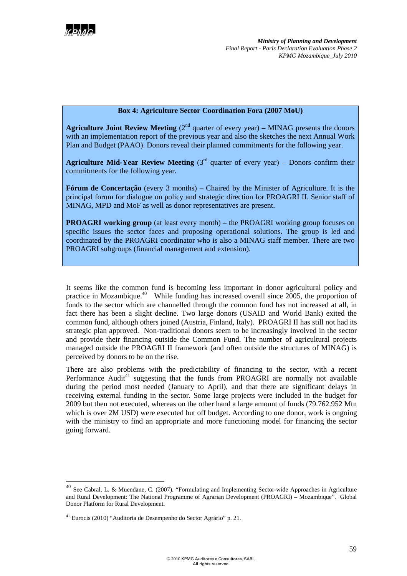

## **Box 4: Agriculture Sector Coordination Fora (2007 MoU)**

**Agriculture Joint Review Meeting**  $(2^{nd}$  quarter of every year) – MINAG presents the donors with an implementation report of the previous year and also the sketches the next Annual Work Plan and Budget (PAAO). Donors reveal their planned commitments for the following year.

**Agriculture Mid-Year Review Meeting**  $3<sup>rd</sup>$  quarter of every year) – Donors confirm their commitments for the following year.

**Fórum de Concertação** (every 3 months) – Chaired by the Minister of Agriculture. It is the principal forum for dialogue on policy and strategic direction for PROAGRI II. Senior staff of MINAG, MPD and MoF as well as donor representatives are present.

**PROAGRI working group** (at least every month) – the PROAGRI working group focuses on specific issues the sector faces and proposing operational solutions. The group is led and coordinated by the PROAGRI coordinator who is also a MINAG staff member. There are two PROAGRI subgroups (financial management and extension).

It seems like the common fund is becoming less important in donor agricultural policy and practice in Mozambique.<sup>40</sup> While funding has increased overall since 2005, the proportion of funds to the sector which are channelled through the common fund has not increased at all, in fact there has been a slight decline. Two large donors (USAID and World Bank) exited the common fund, although others joined (Austria, Finland, Italy). PROAGRI II has still not had its strategic plan approved. Non-traditional donors seem to be increasingly involved in the sector and provide their financing outside the Common Fund. The number of agricultural projects managed outside the PROAGRI II framework (and often outside the structures of MINAG) is perceived by donors to be on the rise.

There are also problems with the predictability of financing to the sector, with a recent Performance  $\text{Audit}^{41}$  suggesting that the funds from PROAGRI are normally not available during the period most needed (January to April), and that there are significant delays in receiving external funding in the sector. Some large projects were included in the budget for 2009 but then not executed, whereas on the other hand a large amount of funds (79.762.952 Mtn which is over 2M USD) were executed but off budget. According to one donor, work is ongoing with the ministry to find an appropriate and more functioning model for financing the sector going forward.

See Cabral, L. & Muendane, C. (2007). "Formulating and Implementing Sector-wide Approaches in Agriculture and Rural Development: The National Programme of Agrarian Development (PROAGRI) – Mozambique". Global Donor Platform for Rural Development.

<sup>41</sup> Eurocis (2010) "Auditoria de Desempenho do Sector Agrário" p. 21.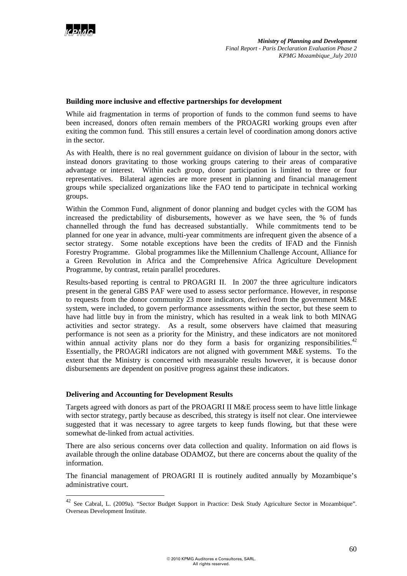#### **Building more inclusive and effective partnerships for development**

While aid fragmentation in terms of proportion of funds to the common fund seems to have been increased, donors often remain members of the PROAGRI working groups even after exiting the common fund. This still ensures a certain level of coordination among donors active in the sector.

As with Health, there is no real government guidance on division of labour in the sector, with instead donors gravitating to those working groups catering to their areas of comparative advantage or interest. Within each group, donor participation is limited to three or four representatives. Bilateral agencies are more present in planning and financial management groups while specialized organizations like the FAO tend to participate in technical working groups.

Within the Common Fund, alignment of donor planning and budget cycles with the GOM has increased the predictability of disbursements, however as we have seen, the % of funds channelled through the fund has decreased substantially. While commitments tend to be planned for one year in advance, multi-year commitments are infrequent given the absence of a sector strategy. Some notable exceptions have been the credits of IFAD and the Finnish Forestry Programme. Global programmes like the Millennium Challenge Account, Alliance for a Green Revolution in Africa and the Comprehensive Africa Agriculture Development Programme, by contrast, retain parallel procedures.

Results-based reporting is central to PROAGRI II. In 2007 the three agriculture indicators present in the general GBS PAF were used to assess sector performance. However, in response to requests from the donor community 23 more indicators, derived from the government M&E system, were included, to govern performance assessments within the sector, but these seem to have had little buy in from the ministry, which has resulted in a weak link to both MINAG activities and sector strategy. As a result, some observers have claimed that measuring performance is not seen as a priority for the Ministry, and these indicators are not monitored within annual activity plans nor do they form a basis for organizing responsibilities.<sup>42</sup> Essentially, the PROAGRI indicators are not aligned with government M&E systems. To the extent that the Ministry is concerned with measurable results however, it is because donor disbursements are dependent on positive progress against these indicators.

#### **Delivering and Accounting for Development Results**

 $\overline{a}$ 

Targets agreed with donors as part of the PROAGRI II M&E process seem to have little linkage with sector strategy, partly because as described, this strategy is itself not clear. One interviewee suggested that it was necessary to agree targets to keep funds flowing, but that these were somewhat de-linked from actual activities.

There are also serious concerns over data collection and quality. Information on aid flows is available through the online database ODAMOZ, but there are concerns about the quality of the information.

The financial management of PROAGRI II is routinely audited annually by Mozambique's administrative court.

<sup>42</sup> See Cabral, L. (2009a). "Sector Budget Support in Practice: Desk Study Agriculture Sector in Mozambique". Overseas Development Institute.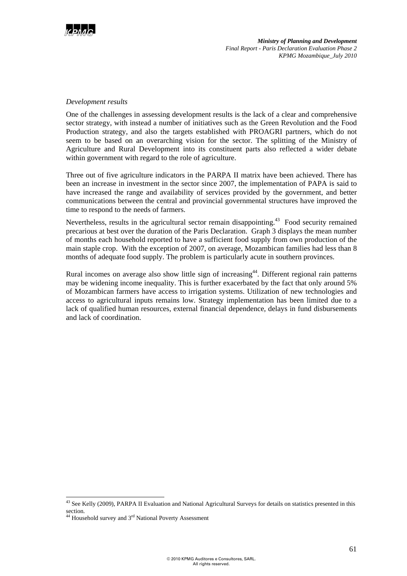

#### *Development results*

One of the challenges in assessing development results is the lack of a clear and comprehensive sector strategy, with instead a number of initiatives such as the Green Revolution and the Food Production strategy, and also the targets established with PROAGRI partners, which do not seem to be based on an overarching vision for the sector. The splitting of the Ministry of Agriculture and Rural Development into its constituent parts also reflected a wider debate within government with regard to the role of agriculture.

Three out of five agriculture indicators in the PARPA II matrix have been achieved. There has been an increase in investment in the sector since 2007, the implementation of PAPA is said to have increased the range and availability of services provided by the government, and better communications between the central and provincial governmental structures have improved the time to respond to the needs of farmers.

Nevertheless, results in the agricultural sector remain disappointing.<sup>43</sup> Food security remained precarious at best over the duration of the Paris Declaration. Graph 3 displays the mean number of months each household reported to have a sufficient food supply from own production of the main staple crop. With the exception of 2007, on average, Mozambican families had less than 8 months of adequate food supply. The problem is particularly acute in southern provinces.

Rural incomes on average also show little sign of increasing<sup>44</sup>. Different regional rain patterns may be widening income inequality. This is further exacerbated by the fact that only around 5% of Mozambican farmers have access to irrigation systems. Utilization of new technologies and access to agricultural inputs remains low. Strategy implementation has been limited due to a lack of qualified human resources, external financial dependence, delays in fund disbursements and lack of coordination.

 $43$  See Kelly (2009), PARPA II Evaluation and National Agricultural Surveys for details on statistics presented in this section.

<sup>&</sup>lt;sup>44</sup> Household survey and 3<sup>rd</sup> National Poverty Assessment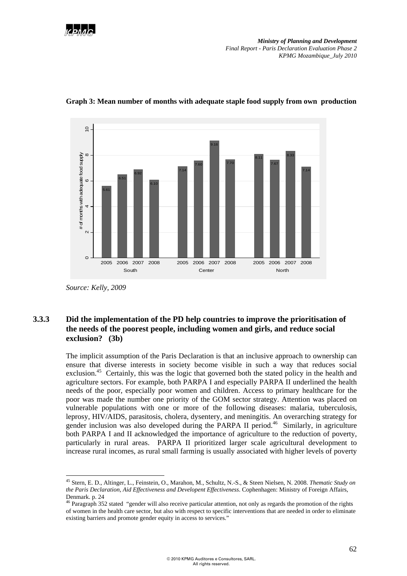



#### **Graph 3: Mean number of months with adequate staple food supply from own production**

l

## **3.3.3 Did the implementation of the PD help countries to improve the prioritisation of the needs of the poorest people, including women and girls, and reduce social exclusion? (3b)**

The implicit assumption of the Paris Declaration is that an inclusive approach to ownership can ensure that diverse interests in society become visible in such a way that reduces social exclusion.<sup>45</sup> Certainly, this was the logic that governed both the stated policy in the health and agriculture sectors. For example, both PARPA I and especially PARPA II underlined the health needs of the poor, especially poor women and children. Access to primary healthcare for the poor was made the number one priority of the GOM sector strategy. Attention was placed on vulnerable populations with one or more of the following diseases: malaria, tuberculosis, leprosy, HIV/AIDS, parasitosis, cholera, dysentery, and meningitis. An overarching strategy for gender inclusion was also developed during the PARPA II period.<sup>46</sup> Similarly, in agriculture both PARPA I and II acknowledged the importance of agriculture to the reduction of poverty, particularly in rural areas. PARPA II prioritized larger scale agricultural development to increase rural incomes, as rural small farming is usually associated with higher levels of poverty

*Source: Kelly, 2009* 

<sup>45</sup> Stern, E. D., Altinger, L., Feinstein, O., Marahon, M., Schultz, N.-S., & Steen Nielsen, N. 2008. *Thematic Study on the Paris Declaration, Aid Effectiveness and Developent Effectiveness*. Cophenhagen: Ministry of Foreign Affairs, Denmark. p. 24

<sup>&</sup>lt;sup>46</sup> Paragraph 352 stated "gender will also receive particular attention, not only as regards the promotion of the rights of women in the health care sector, but also with respect to specific interventions that are needed in order to eliminate existing barriers and promote gender equity in access to services."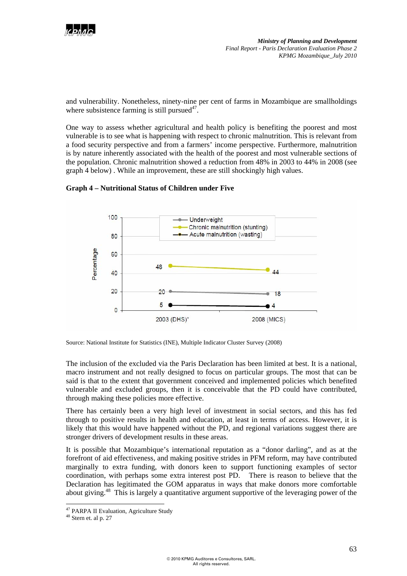

and vulnerability. Nonetheless, ninety-nine per cent of farms in Mozambique are smallholdings where subsistence farming is still pursued $47$ .

One way to assess whether agricultural and health policy is benefiting the poorest and most vulnerable is to see what is happening with respect to chronic malnutrition. This is relevant from a food security perspective and from a farmers' income perspective. Furthermore, malnutrition is by nature inherently associated with the health of the poorest and most vulnerable sections of the population. Chronic malnutrition showed a reduction from 48% in 2003 to 44% in 2008 (see graph 4 below) . While an improvement, these are still shockingly high values.



#### **Graph 4 – Nutritional Status of Children under Five**

Source: National Institute for Statistics (INE), Multiple Indicator Cluster Survey (2008)

The inclusion of the excluded via the Paris Declaration has been limited at best. It is a national, macro instrument and not really designed to focus on particular groups. The most that can be said is that to the extent that government conceived and implemented policies which benefited vulnerable and excluded groups, then it is conceivable that the PD could have contributed, through making these policies more effective.

There has certainly been a very high level of investment in social sectors, and this has fed through to positive results in health and education, at least in terms of access. However, it is likely that this would have happened without the PD, and regional variations suggest there are stronger drivers of development results in these areas.

It is possible that Mozambique's international reputation as a "donor darling", and as at the forefront of aid effectiveness, and making positive strides in PFM reform, may have contributed marginally to extra funding, with donors keen to support functioning examples of sector coordination, with perhaps some extra interest post PD. There is reason to believe that the Declaration has legitimated the GOM apparatus in ways that make donors more comfortable about giving.48 This is largely a quantitative argument supportive of the leveraging power of the

<sup>&</sup>lt;sup>47</sup> PARPA II Evaluation, Agriculture Study

<sup>48</sup> Stern et. al p. 27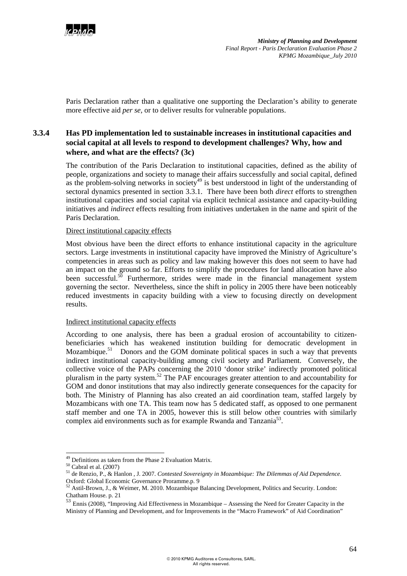

Paris Declaration rather than a qualitative one supporting the Declaration's ability to generate more effective aid *per se,* or to deliver results for vulnerable populations.

## **3.3.4 Has PD implementation led to sustainable increases in institutional capacities and social capital at all levels to respond to development challenges? Why, how and where, and what are the effects? (3c)**

The contribution of the Paris Declaration to institutional capacities, defined as the ability of people, organizations and society to manage their affairs successfully and social capital, defined as the problem-solving networks in society<sup>49</sup> is best understood in light of the understanding of sectoral dynamics presented in section 3.3.1. There have been both *direct* efforts to strengthen institutional capacities and social capital via explicit technical assistance and capacity-building initiatives and *indirect* effects resulting from initiatives undertaken in the name and spirit of the Paris Declaration.

#### Direct institutional capacity effects

Most obvious have been the direct efforts to enhance institutional capacity in the agriculture sectors. Large investments in institutional capacity have improved the Ministry of Agriculture's competencies in areas such as policy and law making however this does not seem to have had an impact on the ground so far. Efforts to simplify the procedures for land allocation have also been successful.<sup>50</sup> Furthermore, strides were made in the financial management system governing the sector. Nevertheless, since the shift in policy in 2005 there have been noticeably reduced investments in capacity building with a view to focusing directly on development results.

#### Indirect institutional capacity effects

According to one analysis, there has been a gradual erosion of accountability to citizenbeneficiaries which has weakened institution building for democratic development in Mozambique.<sup>51</sup> Donors and the GOM dominate political spaces in such a way that prevents indirect institutional capacity-building among civil society and Parliament. Conversely, the collective voice of the PAPs concerning the 2010 'donor strike' indirectly promoted political pluralism in the party system.<sup>52</sup> The PAF encourages greater attention to and accountability for GOM and donor institutions that may also indirectly generate consequences for the capacity for both. The Ministry of Planning has also created an aid coordination team, staffed largely by Mozambicans with one TA. This team now has 5 dedicated staff, as opposed to one permanent staff member and one TA in 2005, however this is still below other countries with similarly complex aid environments such as for example Rwanda and Tanzania<sup>53</sup>.

 $49$  Definitions as taken from the Phase 2 Evaluation Matrix.

 $50$  Cabral et al. (2007)

<sup>51</sup> de Renzio, P., & Hanlon , J. 2007. *Contested Sovereignty in Mozambique: The Dilemmas of Aid Dependence.*  Oxford: Global Economic Governance Proramme.p. 9

 $52$  Astil-Brown, J., & Weimer, M. 2010. Mozambique Balancing Development, Politics and Security. London: Chatham House. p. 21

<sup>53</sup> Ennis (2008), "Improving Aid Effectiveness in Mozambique – Assessing the Need for Greater Capacity in the Ministry of Planning and Development, and for Improvements in the "Macro Framework" of Aid Coordination"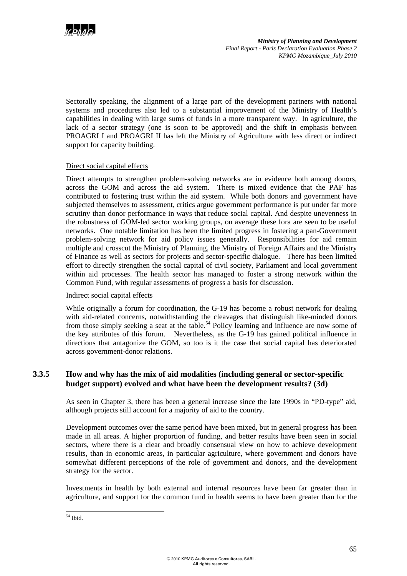

Sectorally speaking, the alignment of a large part of the development partners with national systems and procedures also led to a substantial improvement of the Ministry of Health's capabilities in dealing with large sums of funds in a more transparent way. In agriculture, the lack of a sector strategy (one is soon to be approved) and the shift in emphasis between PROAGRI I and PROAGRI II has left the Ministry of Agriculture with less direct or indirect support for capacity building.

### Direct social capital effects

Direct attempts to strengthen problem-solving networks are in evidence both among donors, across the GOM and across the aid system. There is mixed evidence that the PAF has contributed to fostering trust within the aid system. While both donors and government have subjected themselves to assessment, critics argue government performance is put under far more scrutiny than donor performance in ways that reduce social capital. And despite unevenness in the robustness of GOM-led sector working groups, on average these fora are seen to be useful networks. One notable limitation has been the limited progress in fostering a pan-Government problem-solving network for aid policy issues generally. Responsibilities for aid remain multiple and crosscut the Ministry of Planning, the Ministry of Foreign Affairs and the Ministry of Finance as well as sectors for projects and sector-specific dialogue. There has been limited effort to directly strengthen the social capital of civil society, Parliament and local government within aid processes. The health sector has managed to foster a strong network within the Common Fund, with regular assessments of progress a basis for discussion.

#### Indirect social capital effects

While originally a forum for coordination, the G-19 has become a robust network for dealing with aid-related concerns, notwithstanding the cleavages that distinguish like-minded donors from those simply seeking a seat at the table.<sup>54</sup> Policy learning and influence are now some of the key attributes of this forum. Nevertheless, as the G-19 has gained political influence in directions that antagonize the GOM, so too is it the case that social capital has deteriorated across government-donor relations.

## **3.3.5 How and why has the mix of aid modalities (including general or sector-specific budget support) evolved and what have been the development results? (3d)**

As seen in Chapter 3, there has been a general increase since the late 1990s in "PD-type" aid, although projects still account for a majority of aid to the country.

Development outcomes over the same period have been mixed, but in general progress has been made in all areas. A higher proportion of funding, and better results have been seen in social sectors, where there is a clear and broadly consensual view on how to achieve development results, than in economic areas, in particular agriculture, where government and donors have somewhat different perceptions of the role of government and donors, and the development strategy for the sector.

Investments in health by both external and internal resources have been far greater than in agriculture, and support for the common fund in health seems to have been greater than for the

<sup>54</sup> Ibid.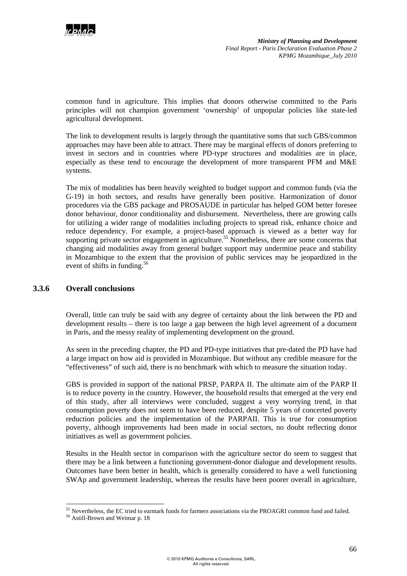

common fund in agriculture. This implies that donors otherwise committed to the Paris principles will not champion government 'ownership' of unpopular policies like state-led agricultural development.

The link to development results is largely through the quantitative sums that such GBS/common approaches may have been able to attract. There may be marginal effects of donors preferring to invest in sectors and in countries where PD-type structures and modalities are in place, especially as these tend to encourage the development of more transparent PFM and M&E systems.

The mix of modalities has been heavily weighted to budget support and common funds (via the G-19) in both sectors, and results have generally been positive. Harmonization of donor procedures via the GBS package and PROSAUDE in particular has helped GOM better foresee donor behaviour, donor conditionality and disbursement. Nevertheless, there are growing calls for utilizing a wider range of modalities including projects to spread risk, enhance choice and reduce dependency. For example, a project-based approach is viewed as a better way for supporting private sector engagement in agriculture.<sup>55</sup> Nonetheless, there are some concerns that changing aid modalities away from general budget support may undermine peace and stability in Mozambique to the extent that the provision of public services may be jeopardized in the event of shifts in funding.<sup>56</sup>

### **3.3.6 Overall conclusions**

Overall, little can truly be said with any degree of certainty about the link between the PD and development results – there is too large a gap between the high level agreement of a document in Paris, and the messy reality of implementing development on the ground.

As seen in the preceding chapter, the PD and PD-type initiatives that pre-dated the PD have had a large impact on how aid is provided in Mozambique. But without any credible measure for the "effectiveness" of such aid, there is no benchmark with which to measure the situation today.

GBS is provided in support of the national PRSP, PARPA II. The ultimate aim of the PARP II is to reduce poverty in the country. However, the household results that emerged at the very end of this study, after all interviews were concluded, suggest a very worrying trend, in that consumption poverty does not seem to have been reduced, despite 5 years of concerted poverty reduction policies and the implementation of the PARPAII. This is true for consumption poverty, although improvements had been made in social sectors, no doubt reflecting donor initiatives as well as government policies.

Results in the Health sector in comparison with the agriculture sector do seem to suggest that there may be a link between a functioning government-donor dialogue and development results. Outcomes have been better in health, which is generally considered to have a well functioning SWAp and government leadership, whereas the results have been poorer overall in agriculture,

<sup>&</sup>lt;sup>55</sup> Nevertheless, the EC tried to earmark funds for farmers associations via the PROAGRI common fund and failed.  $56$  Astill-Brown and Weimar p. 18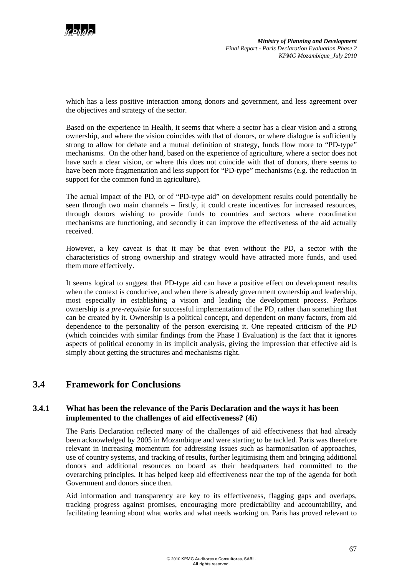

which has a less positive interaction among donors and government, and less agreement over the objectives and strategy of the sector.

Based on the experience in Health, it seems that where a sector has a clear vision and a strong ownership, and where the vision coincides with that of donors, or where dialogue is sufficiently strong to allow for debate and a mutual definition of strategy, funds flow more to "PD-type" mechanisms. On the other hand, based on the experience of agriculture, where a sector does not have such a clear vision, or where this does not coincide with that of donors, there seems to have been more fragmentation and less support for "PD-type" mechanisms (e.g. the reduction in support for the common fund in agriculture).

The actual impact of the PD, or of "PD-type aid" on development results could potentially be seen through two main channels – firstly, it could create incentives for increased resources, through donors wishing to provide funds to countries and sectors where coordination mechanisms are functioning, and secondly it can improve the effectiveness of the aid actually received.

However, a key caveat is that it may be that even without the PD, a sector with the characteristics of strong ownership and strategy would have attracted more funds, and used them more effectively.

It seems logical to suggest that PD-type aid can have a positive effect on development results when the context is conducive, and when there is already government ownership and leadership, most especially in establishing a vision and leading the development process. Perhaps ownership is a *pre-requisite* for successful implementation of the PD, rather than something that can be created by it. Ownership is a political concept, and dependent on many factors, from aid dependence to the personality of the person exercising it. One repeated criticism of the PD (which coincides with similar findings from the Phase I Evaluation) is the fact that it ignores aspects of political economy in its implicit analysis, giving the impression that effective aid is simply about getting the structures and mechanisms right.

## **3.4 Framework for Conclusions**

### **3.4.1 What has been the relevance of the Paris Declaration and the ways it has been implemented to the challenges of aid effectiveness? (4i)**

The Paris Declaration reflected many of the challenges of aid effectiveness that had already been acknowledged by 2005 in Mozambique and were starting to be tackled. Paris was therefore relevant in increasing momentum for addressing issues such as harmonisation of approaches, use of country systems, and tracking of results, further legitimising them and bringing additional donors and additional resources on board as their headquarters had committed to the overarching principles. It has helped keep aid effectiveness near the top of the agenda for both Government and donors since then.

Aid information and transparency are key to its effectiveness, flagging gaps and overlaps, tracking progress against promises, encouraging more predictability and accountability, and facilitating learning about what works and what needs working on. Paris has proved relevant to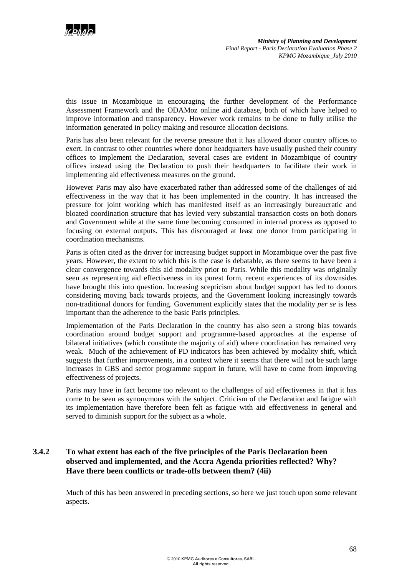

this issue in Mozambique in encouraging the further development of the Performance Assessment Framework and the ODAMoz online aid database, both of which have helped to improve information and transparency. However work remains to be done to fully utilise the information generated in policy making and resource allocation decisions.

Paris has also been relevant for the reverse pressure that it has allowed donor country offices to exert. In contrast to other countries where donor headquarters have usually pushed their country offices to implement the Declaration, several cases are evident in Mozambique of country offices instead using the Declaration to push their headquarters to facilitate their work in implementing aid effectiveness measures on the ground.

However Paris may also have exacerbated rather than addressed some of the challenges of aid effectiveness in the way that it has been implemented in the country. It has increased the pressure for joint working which has manifested itself as an increasingly bureaucratic and bloated coordination structure that has levied very substantial transaction costs on both donors and Government while at the same time becoming consumed in internal process as opposed to focusing on external outputs. This has discouraged at least one donor from participating in coordination mechanisms.

Paris is often cited as the driver for increasing budget support in Mozambique over the past five years. However, the extent to which this is the case is debatable, as there seems to have been a clear convergence towards this aid modality prior to Paris. While this modality was originally seen as representing aid effectiveness in its purest form, recent experiences of its downsides have brought this into question. Increasing scepticism about budget support has led to donors considering moving back towards projects, and the Government looking increasingly towards non-traditional donors for funding. Government explicitly states that the modality *per se* is less important than the adherence to the basic Paris principles.

Implementation of the Paris Declaration in the country has also seen a strong bias towards coordination around budget support and programme-based approaches at the expense of bilateral initiatives (which constitute the majority of aid) where coordination has remained very weak. Much of the achievement of PD indicators has been achieved by modality shift, which suggests that further improvements, in a context where it seems that there will not be such large increases in GBS and sector programme support in future, will have to come from improving effectiveness of projects.

Paris may have in fact become too relevant to the challenges of aid effectiveness in that it has come to be seen as synonymous with the subject. Criticism of the Declaration and fatigue with its implementation have therefore been felt as fatigue with aid effectiveness in general and served to diminish support for the subject as a whole.

## **3.4.2 To what extent has each of the five principles of the Paris Declaration been observed and implemented, and the Accra Agenda priorities reflected? Why? Have there been conflicts or trade-offs between them? (4ii)**

Much of this has been answered in preceding sections, so here we just touch upon some relevant aspects.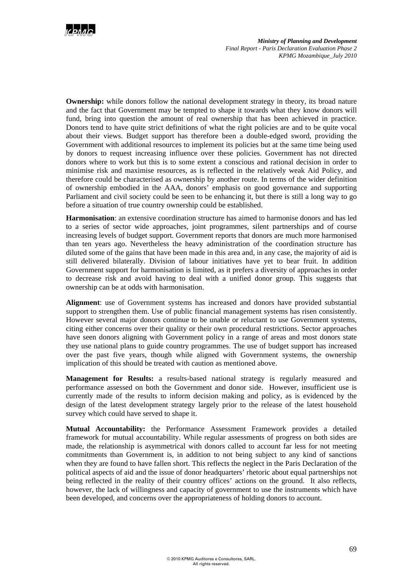

**Ownership:** while donors follow the national development strategy in theory, its broad nature and the fact that Government may be tempted to shape it towards what they know donors will fund, bring into question the amount of real ownership that has been achieved in practice. Donors tend to have quite strict definitions of what the right policies are and to be quite vocal about their views. Budget support has therefore been a double-edged sword, providing the Government with additional resources to implement its policies but at the same time being used by donors to request increasing influence over these policies. Government has not directed donors where to work but this is to some extent a conscious and rational decision in order to minimise risk and maximise resources, as is reflected in the relatively weak Aid Policy, and therefore could be characterised as ownership by another route. In terms of the wider definition of ownership embodied in the AAA, donors' emphasis on good governance and supporting Parliament and civil society could be seen to be enhancing it, but there is still a long way to go before a situation of true country ownership could be established.

**Harmonisation**: an extensive coordination structure has aimed to harmonise donors and has led to a series of sector wide approaches, joint programmes, silent partnerships and of course increasing levels of budget support. Government reports that donors are much more harmonised than ten years ago. Nevertheless the heavy administration of the coordination structure has diluted some of the gains that have been made in this area and, in any case, the majority of aid is still delivered bilaterally. Division of labour initiatives have yet to bear fruit. In addition Government support for harmonisation is limited, as it prefers a diversity of approaches in order to decrease risk and avoid having to deal with a unified donor group. This suggests that ownership can be at odds with harmonisation.

**Alignment**: use of Government systems has increased and donors have provided substantial support to strengthen them. Use of public financial management systems has risen consistently. However several major donors continue to be unable or reluctant to use Government systems, citing either concerns over their quality or their own procedural restrictions. Sector approaches have seen donors aligning with Government policy in a range of areas and most donors state they use national plans to guide country programmes. The use of budget support has increased over the past five years, though while aligned with Government systems, the ownership implication of this should be treated with caution as mentioned above.

**Management for Results:** a results-based national strategy is regularly measured and performance assessed on both the Government and donor side. However, insufficient use is currently made of the results to inform decision making and policy, as is evidenced by the design of the latest development strategy largely prior to the release of the latest household survey which could have served to shape it.

**Mutual Accountability:** the Performance Assessment Framework provides a detailed framework for mutual accountability. While regular assessments of progress on both sides are made, the relationship is asymmetrical with donors called to account far less for not meeting commitments than Government is, in addition to not being subject to any kind of sanctions when they are found to have fallen short. This reflects the neglect in the Paris Declaration of the political aspects of aid and the issue of donor headquarters' rhetoric about equal partnerships not being reflected in the reality of their country offices' actions on the ground. It also reflects, however, the lack of willingness and capacity of government to use the instruments which have been developed, and concerns over the appropriateness of holding donors to account.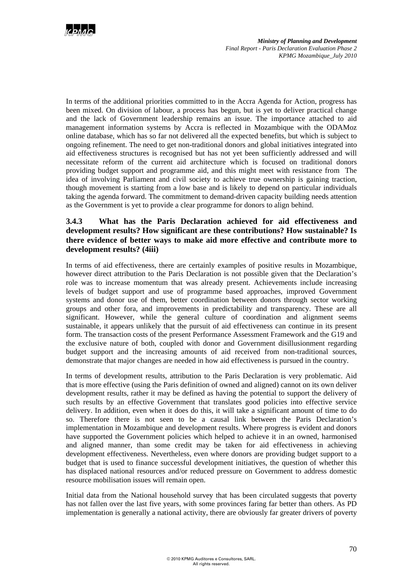

In terms of the additional priorities committed to in the Accra Agenda for Action, progress has been mixed. On division of labour, a process has begun, but is yet to deliver practical change and the lack of Government leadership remains an issue. The importance attached to aid management information systems by Accra is reflected in Mozambique with the ODAMoz online database, which has so far not delivered all the expected benefits, but which is subject to ongoing refinement. The need to get non-traditional donors and global initiatives integrated into aid effectiveness structures is recognised but has not yet been sufficiently addressed and will necessitate reform of the current aid architecture which is focused on traditional donors providing budget support and programme aid, and this might meet with resistance from The idea of involving Parliament and civil society to achieve true ownership is gaining traction, though movement is starting from a low base and is likely to depend on particular individuals taking the agenda forward. The commitment to demand-driven capacity building needs attention as the Government is yet to provide a clear programme for donors to align behind.

#### **3.4.3 What has the Paris Declaration achieved for aid effectiveness and development results? How significant are these contributions? How sustainable? Is there evidence of better ways to make aid more effective and contribute more to development results? (4iii)**

In terms of aid effectiveness, there are certainly examples of positive results in Mozambique, however direct attribution to the Paris Declaration is not possible given that the Declaration's role was to increase momentum that was already present. Achievements include increasing levels of budget support and use of programme based approaches, improved Government systems and donor use of them, better coordination between donors through sector working groups and other fora, and improvements in predictability and transparency. These are all significant. However, while the general culture of coordination and alignment seems sustainable, it appears unlikely that the pursuit of aid effectiveness can continue in its present form. The transaction costs of the present Performance Assessment Framework and the G19 and the exclusive nature of both, coupled with donor and Government disillusionment regarding budget support and the increasing amounts of aid received from non-traditional sources, demonstrate that major changes are needed in how aid effectiveness is pursued in the country.

In terms of development results, attribution to the Paris Declaration is very problematic. Aid that is more effective (using the Paris definition of owned and aligned) cannot on its own deliver development results, rather it may be defined as having the potential to support the delivery of such results by an effective Government that translates good policies into effective service delivery. In addition, even when it does do this, it will take a significant amount of time to do so. Therefore there is not seen to be a causal link between the Paris Declaration's implementation in Mozambique and development results. Where progress is evident and donors have supported the Government policies which helped to achieve it in an owned, harmonised and aligned manner, than some credit may be taken for aid effectiveness in achieving development effectiveness. Nevertheless, even where donors are providing budget support to a budget that is used to finance successful development initiatives, the question of whether this has displaced national resources and/or reduced pressure on Government to address domestic resource mobilisation issues will remain open.

Initial data from the National household survey that has been circulated suggests that poverty has not fallen over the last five years, with some provinces faring far better than others. As PD implementation is generally a national activity, there are obviously far greater drivers of poverty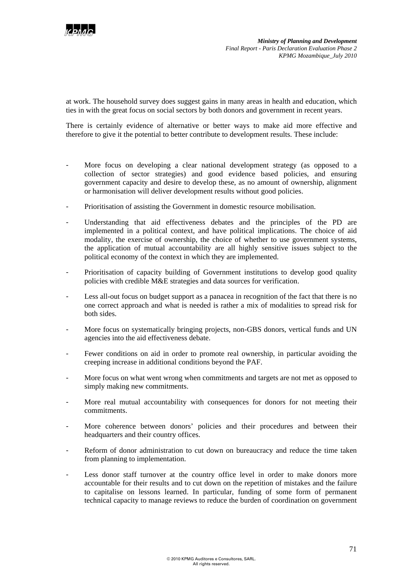

at work. The household survey does suggest gains in many areas in health and education, which ties in with the great focus on social sectors by both donors and government in recent years.

There is certainly evidence of alternative or better ways to make aid more effective and therefore to give it the potential to better contribute to development results. These include:

- More focus on developing a clear national development strategy (as opposed to a collection of sector strategies) and good evidence based policies, and ensuring government capacity and desire to develop these, as no amount of ownership, alignment or harmonisation will deliver development results without good policies.
- Prioritisation of assisting the Government in domestic resource mobilisation.
- Understanding that aid effectiveness debates and the principles of the PD are implemented in a political context, and have political implications. The choice of aid modality, the exercise of ownership, the choice of whether to use government systems, the application of mutual accountability are all highly sensitive issues subject to the political economy of the context in which they are implemented.
- Prioritisation of capacity building of Government institutions to develop good quality policies with credible M&E strategies and data sources for verification.
- Less all-out focus on budget support as a panacea in recognition of the fact that there is no one correct approach and what is needed is rather a mix of modalities to spread risk for both sides.
- More focus on systematically bringing projects, non-GBS donors, vertical funds and UN agencies into the aid effectiveness debate.
- Fewer conditions on aid in order to promote real ownership, in particular avoiding the creeping increase in additional conditions beyond the PAF.
- More focus on what went wrong when commitments and targets are not met as opposed to simply making new commitments.
- More real mutual accountability with consequences for donors for not meeting their commitments.
- More coherence between donors' policies and their procedures and between their headquarters and their country offices.
- Reform of donor administration to cut down on bureaucracy and reduce the time taken from planning to implementation.
- Less donor staff turnover at the country office level in order to make donors more accountable for their results and to cut down on the repetition of mistakes and the failure to capitalise on lessons learned. In particular, funding of some form of permanent technical capacity to manage reviews to reduce the burden of coordination on government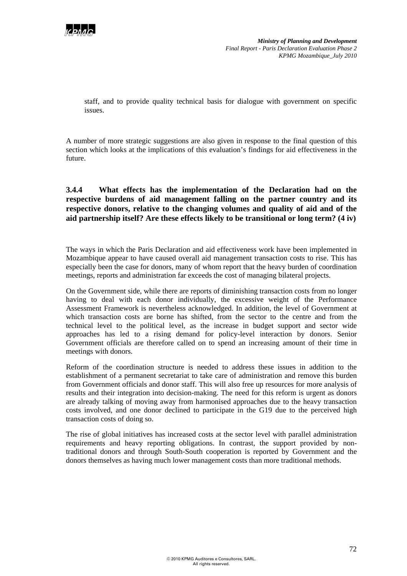

staff, and to provide quality technical basis for dialogue with government on specific issues.

A number of more strategic suggestions are also given in response to the final question of this section which looks at the implications of this evaluation's findings for aid effectiveness in the future.

#### **3.4.4 What effects has the implementation of the Declaration had on the respective burdens of aid management falling on the partner country and its respective donors, relative to the changing volumes and quality of aid and of the aid partnership itself? Are these effects likely to be transitional or long term? (4 iv)**

The ways in which the Paris Declaration and aid effectiveness work have been implemented in Mozambique appear to have caused overall aid management transaction costs to rise. This has especially been the case for donors, many of whom report that the heavy burden of coordination meetings, reports and administration far exceeds the cost of managing bilateral projects.

On the Government side, while there are reports of diminishing transaction costs from no longer having to deal with each donor individually, the excessive weight of the Performance Assessment Framework is nevertheless acknowledged. In addition, the level of Government at which transaction costs are borne has shifted, from the sector to the centre and from the technical level to the political level, as the increase in budget support and sector wide approaches has led to a rising demand for policy-level interaction by donors. Senior Government officials are therefore called on to spend an increasing amount of their time in meetings with donors.

Reform of the coordination structure is needed to address these issues in addition to the establishment of a permanent secretariat to take care of administration and remove this burden from Government officials and donor staff. This will also free up resources for more analysis of results and their integration into decision-making. The need for this reform is urgent as donors are already talking of moving away from harmonised approaches due to the heavy transaction costs involved, and one donor declined to participate in the G19 due to the perceived high transaction costs of doing so.

The rise of global initiatives has increased costs at the sector level with parallel administration requirements and heavy reporting obligations. In contrast, the support provided by nontraditional donors and through South-South cooperation is reported by Government and the donors themselves as having much lower management costs than more traditional methods.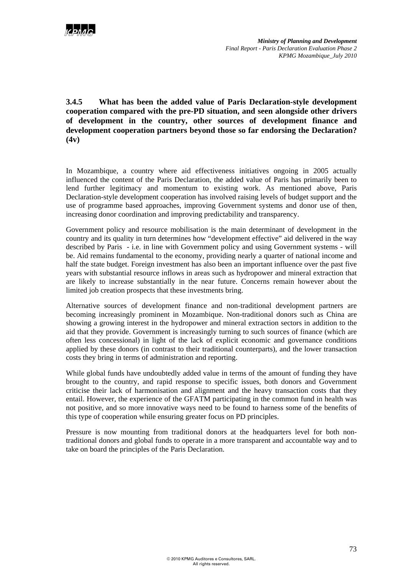**3.4.5 What has been the added value of Paris Declaration-style development cooperation compared with the pre-PD situation, and seen alongside other drivers of development in the country, other sources of development finance and development cooperation partners beyond those so far endorsing the Declaration? (4v)** 

In Mozambique, a country where aid effectiveness initiatives ongoing in 2005 actually influenced the content of the Paris Declaration, the added value of Paris has primarily been to lend further legitimacy and momentum to existing work. As mentioned above, Paris Declaration-style development cooperation has involved raising levels of budget support and the use of programme based approaches, improving Government systems and donor use of then, increasing donor coordination and improving predictability and transparency.

Government policy and resource mobilisation is the main determinant of development in the country and its quality in turn determines how "development effective" aid delivered in the way described by Paris - i.e. in line with Government policy and using Government systems - will be. Aid remains fundamental to the economy, providing nearly a quarter of national income and half the state budget. Foreign investment has also been an important influence over the past five years with substantial resource inflows in areas such as hydropower and mineral extraction that are likely to increase substantially in the near future. Concerns remain however about the limited job creation prospects that these investments bring.

Alternative sources of development finance and non-traditional development partners are becoming increasingly prominent in Mozambique. Non-traditional donors such as China are showing a growing interest in the hydropower and mineral extraction sectors in addition to the aid that they provide. Government is increasingly turning to such sources of finance (which are often less concessional) in light of the lack of explicit economic and governance conditions applied by these donors (in contrast to their traditional counterparts), and the lower transaction costs they bring in terms of administration and reporting.

While global funds have undoubtedly added value in terms of the amount of funding they have brought to the country, and rapid response to specific issues, both donors and Government criticise their lack of harmonisation and alignment and the heavy transaction costs that they entail. However, the experience of the GFATM participating in the common fund in health was not positive, and so more innovative ways need to be found to harness some of the benefits of this type of cooperation while ensuring greater focus on PD principles.

Pressure is now mounting from traditional donors at the headquarters level for both nontraditional donors and global funds to operate in a more transparent and accountable way and to take on board the principles of the Paris Declaration.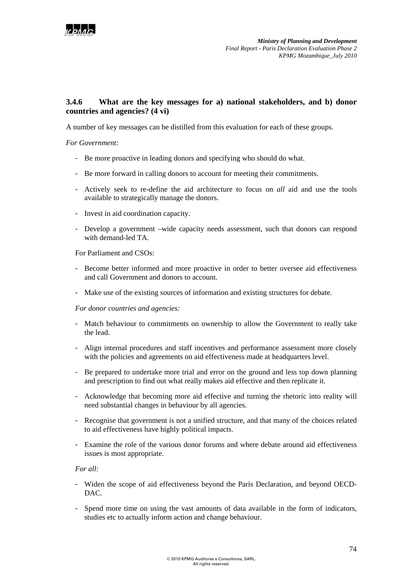

#### **3.4.6 What are the key messages for a) national stakeholders, and b) donor countries and agencies? (4 vi)**

A number of key messages can be distilled from this evaluation for each of these groups.

#### *For Government:*

- Be more proactive in leading donors and specifying who should do what.
- Be more forward in calling donors to account for meeting their commitments.
- Actively seek to re-define the aid architecture to focus on *all* aid and use the tools available to strategically manage the donors.
- Invest in aid coordination capacity.
- Develop a government –wide capacity needs assessment, such that donors can respond with demand-led TA.

For Parliament and CSOs:

- Become better informed and more proactive in order to better oversee aid effectiveness and call Government and donors to account.
- Make use of the existing sources of information and existing structures for debate.

*For donor countries and agencies:* 

- Match behaviour to commitments on ownership to allow the Government to really take the lead.
- Align internal procedures and staff incentives and performance assessment more closely with the policies and agreements on aid effectiveness made at headquarters level.
- Be prepared to undertake more trial and error on the ground and less top down planning and prescription to find out what really makes aid effective and then replicate it.
- Acknowledge that becoming more aid effective and turning the rhetoric into reality will need substantial changes in behaviour by all agencies.
- Recognise that government is not a unified structure, and that many of the choices related to aid effectiveness have highly political impacts.
- Examine the role of the various donor forums and where debate around aid effectiveness issues is most appropriate.

#### *For all:*

- Widen the scope of aid effectiveness beyond the Paris Declaration, and beyond OECD-DAC.
- Spend more time on using the vast amounts of data available in the form of indicators, studies etc to actually inform action and change behaviour.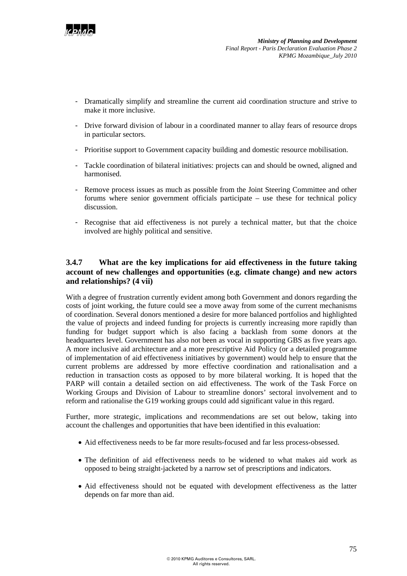

- Dramatically simplify and streamline the current aid coordination structure and strive to make it more inclusive.
- Drive forward division of labour in a coordinated manner to allay fears of resource drops in particular sectors.
- Prioritise support to Government capacity building and domestic resource mobilisation.
- Tackle coordination of bilateral initiatives: projects can and should be owned, aligned and harmonised.
- Remove process issues as much as possible from the Joint Steering Committee and other forums where senior government officials participate – use these for technical policy discussion.
- Recognise that aid effectiveness is not purely a technical matter, but that the choice involved are highly political and sensitive.

#### **3.4.7 What are the key implications for aid effectiveness in the future taking account of new challenges and opportunities (e.g. climate change) and new actors and relationships? (4 vii)**

With a degree of frustration currently evident among both Government and donors regarding the costs of joint working, the future could see a move away from some of the current mechanisms of coordination. Several donors mentioned a desire for more balanced portfolios and highlighted the value of projects and indeed funding for projects is currently increasing more rapidly than funding for budget support which is also facing a backlash from some donors at the headquarters level. Government has also not been as vocal in supporting GBS as five years ago. A more inclusive aid architecture and a more prescriptive Aid Policy (or a detailed programme of implementation of aid effectiveness initiatives by government) would help to ensure that the current problems are addressed by more effective coordination and rationalisation and a reduction in transaction costs as opposed to by more bilateral working. It is hoped that the PARP will contain a detailed section on aid effectiveness. The work of the Task Force on Working Groups and Division of Labour to streamline donors' sectoral involvement and to reform and rationalise the G19 working groups could add significant value in this regard.

Further, more strategic, implications and recommendations are set out below, taking into account the challenges and opportunities that have been identified in this evaluation:

- Aid effectiveness needs to be far more results-focused and far less process-obsessed.
- The definition of aid effectiveness needs to be widened to what makes aid work as opposed to being straight-jacketed by a narrow set of prescriptions and indicators.
- Aid effectiveness should not be equated with development effectiveness as the latter depends on far more than aid.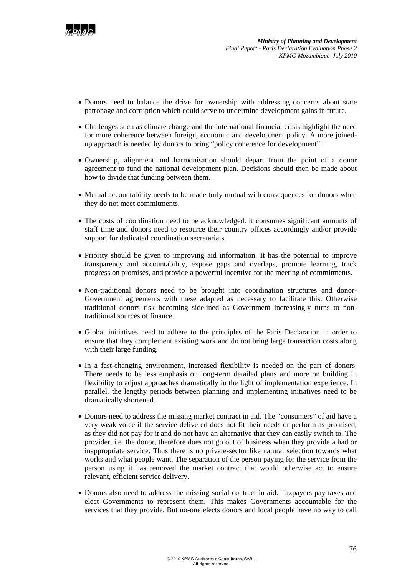

- Donors need to balance the drive for ownership with addressing concerns about state patronage and corruption which could serve to undermine development gains in future.
- Challenges such as climate change and the international financial crisis highlight the need for more coherence between foreign, economic and development policy. A more joinedup approach is needed by donors to bring "policy coherence for development".
- Ownership, alignment and harmonisation should depart from the point of a donor agreement to fund the national development plan. Decisions should then be made about how to divide that funding between them.
- Mutual accountability needs to be made truly mutual with consequences for donors when they do not meet commitments.
- The costs of coordination need to be acknowledged. It consumes significant amounts of staff time and donors need to resource their country offices accordingly and/or provide support for dedicated coordination secretariats.
- Priority should be given to improving aid information. It has the potential to improve transparency and accountability, expose gaps and overlaps, promote learning, track progress on promises, and provide a powerful incentive for the meeting of commitments.
- Non-traditional donors need to be brought into coordination structures and donor-Government agreements with these adapted as necessary to facilitate this. Otherwise traditional donors risk becoming sidelined as Government increasingly turns to nontraditional sources of finance.
- Global initiatives need to adhere to the principles of the Paris Declaration in order to ensure that they complement existing work and do not bring large transaction costs along with their large funding.
- In a fast-changing environment, increased flexibility is needed on the part of donors. There needs to be less emphasis on long-term detailed plans and more on building in flexibility to adjust approaches dramatically in the light of implementation experience. In parallel, the lengthy periods between planning and implementing initiatives need to be dramatically shortened.
- Donors need to address the missing market contract in aid. The "consumers" of aid have a very weak voice if the service delivered does not fit their needs or perform as promised, as they did not pay for it and do not have an alternative that they can easily switch to. The provider, i.e. the donor, therefore does not go out of business when they provide a bad or inappropriate service. Thus there is no private-sector like natural selection towards what works and what people want. The separation of the person paying for the service from the person using it has removed the market contract that would otherwise act to ensure relevant, efficient service delivery.
- Donors also need to address the missing social contract in aid. Taxpayers pay taxes and elect Governments to represent them. This makes Governments accountable for the services that they provide. But no-one elects donors and local people have no way to call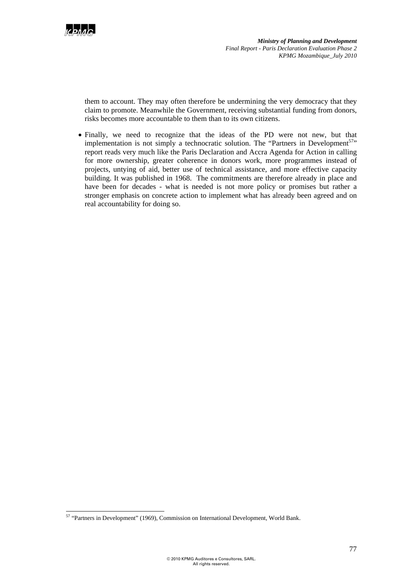

l

*Ministry of Planning and Development Final Report - Paris Declaration Evaluation Phase 2 KPMG Mozambique\_July 2010*

them to account. They may often therefore be undermining the very democracy that they claim to promote. Meanwhile the Government, receiving substantial funding from donors, risks becomes more accountable to them than to its own citizens.

• Finally, we need to recognize that the ideas of the PD were not new, but that implementation is not simply a technocratic solution. The "Partners in Development $57$ " report reads very much like the Paris Declaration and Accra Agenda for Action in calling for more ownership, greater coherence in donors work, more programmes instead of projects, untying of aid, better use of technical assistance, and more effective capacity building. It was published in 1968. The commitments are therefore already in place and have been for decades - what is needed is not more policy or promises but rather a stronger emphasis on concrete action to implement what has already been agreed and on real accountability for doing so.

<sup>&</sup>lt;sup>57</sup> "Partners in Development" (1969), Commission on International Development, World Bank.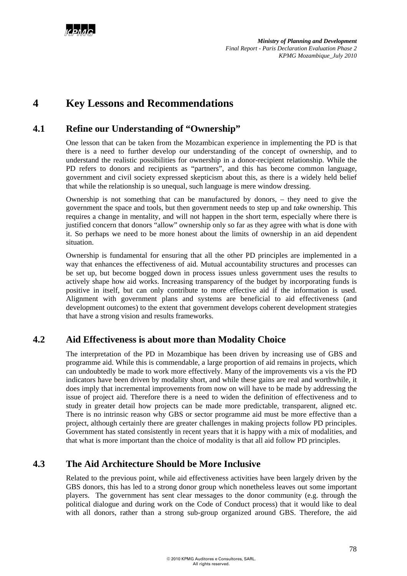## **4 Key Lessons and Recommendations**

#### **4.1 Refine our Understanding of "Ownership"**

One lesson that can be taken from the Mozambican experience in implementing the PD is that there is a need to further develop our understanding of the concept of ownership, and to understand the realistic possibilities for ownership in a donor-recipient relationship. While the PD refers to donors and recipients as "partners", and this has become common language, government and civil society expressed skepticism about this, as there is a widely held belief that while the relationship is so unequal, such language is mere window dressing.

Ownership is not something that can be manufactured by donors, – they need to give the government the space and tools, but then government needs to step up and *take* ownership. This requires a change in mentality, and will not happen in the short term, especially where there is justified concern that donors "allow" ownership only so far as they agree with what is done with it. So perhaps we need to be more honest about the limits of ownership in an aid dependent situation.

Ownership is fundamental for ensuring that all the other PD principles are implemented in a way that enhances the effectiveness of aid. Mutual accountability structures and processes can be set up, but become bogged down in process issues unless government uses the results to actively shape how aid works. Increasing transparency of the budget by incorporating funds is positive in itself, but can only contribute to more effective aid if the information is used. Alignment with government plans and systems are beneficial to aid effectiveness (and development outcomes) to the extent that government develops coherent development strategies that have a strong vision and results frameworks.

### **4.2 Aid Effectiveness is about more than Modality Choice**

The interpretation of the PD in Mozambique has been driven by increasing use of GBS and programme aid. While this is commendable, a large proportion of aid remains in projects, which can undoubtedly be made to work more effectively. Many of the improvements vis a vis the PD indicators have been driven by modality short, and while these gains are real and worthwhile, it does imply that incremental improvements from now on will have to be made by addressing the issue of project aid. Therefore there is a need to widen the definition of effectiveness and to study in greater detail how projects can be made more predictable, transparent, aligned etc. There is no intrinsic reason why GBS or sector programme aid must be more effective than a project, although certainly there are greater challenges in making projects follow PD principles. Government has stated consistently in recent years that it is happy with a mix of modalities, and that what is more important than the choice of modality is that all aid follow PD principles.

### **4.3 The Aid Architecture Should be More Inclusive**

Related to the previous point, while aid effectiveness activities have been largely driven by the GBS donors, this has led to a strong donor group which nonetheless leaves out some important players. The government has sent clear messages to the donor community (e.g. through the political dialogue and during work on the Code of Conduct process) that it would like to deal with all donors, rather than a strong sub-group organized around GBS. Therefore, the aid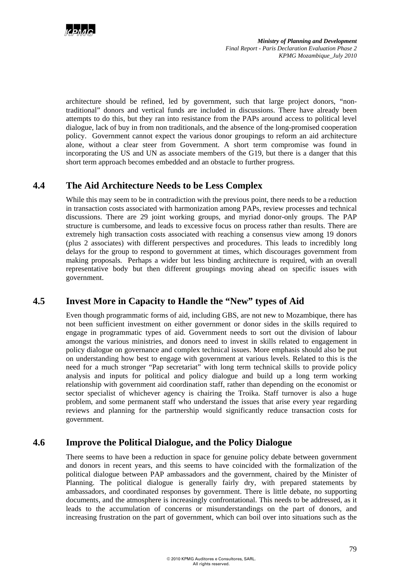

architecture should be refined, led by government, such that large project donors, "nontraditional" donors and vertical funds are included in discussions. There have already been attempts to do this, but they ran into resistance from the PAPs around access to political level dialogue, lack of buy in from non traditionals, and the absence of the long-promised cooperation policy. Government cannot expect the various donor groupings to reform an aid architecture alone, without a clear steer from Government. A short term compromise was found in incorporating the US and UN as associate members of the G19, but there is a danger that this short term approach becomes embedded and an obstacle to further progress.

#### **4.4 The Aid Architecture Needs to be Less Complex**

While this may seem to be in contradiction with the previous point, there needs to be a reduction in transaction costs associated with harmonization among PAPs, review processes and technical discussions. There are 29 joint working groups, and myriad donor-only groups. The PAP structure is cumbersome, and leads to excessive focus on process rather than results. There are extremely high transaction costs associated with reaching a consensus view among 19 donors (plus 2 associates) with different perspectives and procedures. This leads to incredibly long delays for the group to respond to government at times, which discourages government from making proposals. Perhaps a wider but less binding architecture is required, with an overall representative body but then different groupings moving ahead on specific issues with government.

#### **4.5 Invest More in Capacity to Handle the "New" types of Aid**

Even though programmatic forms of aid, including GBS, are not new to Mozambique, there has not been sufficient investment on either government or donor sides in the skills required to engage in programmatic types of aid. Government needs to sort out the division of labour amongst the various ministries, and donors need to invest in skills related to engagement in policy dialogue on governance and complex technical issues. More emphasis should also be put on understanding how best to engage with government at various levels. Related to this is the need for a much stronger "Pap secretariat" with long term technical skills to provide policy analysis and inputs for political and policy dialogue and build up a long term working relationship with government aid coordination staff, rather than depending on the economist or sector specialist of whichever agency is chairing the Troika. Staff turnover is also a huge problem, and some permanent staff who understand the issues that arise every year regarding reviews and planning for the partnership would significantly reduce transaction costs for government.

#### **4.6 Improve the Political Dialogue, and the Policy Dialogue**

There seems to have been a reduction in space for genuine policy debate between government and donors in recent years, and this seems to have coincided with the formalization of the political dialogue between PAP ambassadors and the government, chaired by the Minister of Planning. The political dialogue is generally fairly dry, with prepared statements by ambassadors, and coordinated responses by government. There is little debate, no supporting documents, and the atmosphere is increasingly confrontational. This needs to be addressed, as it leads to the accumulation of concerns or misunderstandings on the part of donors, and increasing frustration on the part of government, which can boil over into situations such as the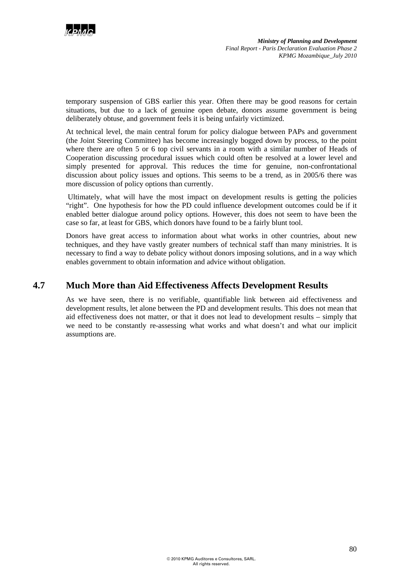

temporary suspension of GBS earlier this year. Often there may be good reasons for certain situations, but due to a lack of genuine open debate, donors assume government is being deliberately obtuse, and government feels it is being unfairly victimized.

At technical level, the main central forum for policy dialogue between PAPs and government (the Joint Steering Committee) has become increasingly bogged down by process, to the point where there are often 5 or 6 top civil servants in a room with a similar number of Heads of Cooperation discussing procedural issues which could often be resolved at a lower level and simply presented for approval. This reduces the time for genuine, non-confrontational discussion about policy issues and options. This seems to be a trend, as in 2005/6 there was more discussion of policy options than currently.

 Ultimately, what will have the most impact on development results is getting the policies "right". One hypothesis for how the PD could influence development outcomes could be if it enabled better dialogue around policy options. However, this does not seem to have been the case so far, at least for GBS, which donors have found to be a fairly blunt tool.

Donors have great access to information about what works in other countries, about new techniques, and they have vastly greater numbers of technical staff than many ministries. It is necessary to find a way to debate policy without donors imposing solutions, and in a way which enables government to obtain information and advice without obligation.

#### **4.7 Much More than Aid Effectiveness Affects Development Results**

As we have seen, there is no verifiable, quantifiable link between aid effectiveness and development results, let alone between the PD and development results. This does not mean that aid effectiveness does not matter, or that it does not lead to development results – simply that we need to be constantly re-assessing what works and what doesn't and what our implicit assumptions are.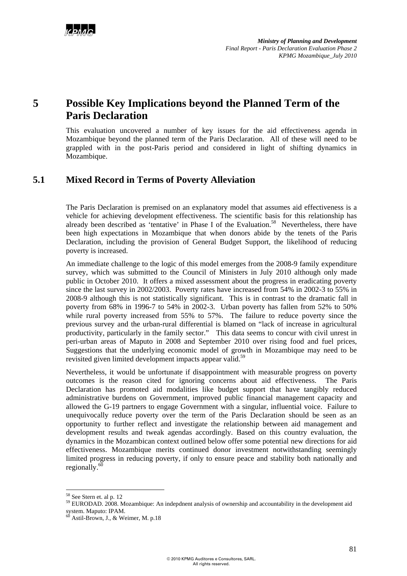## **5 Possible Key Implications beyond the Planned Term of the Paris Declaration**

This evaluation uncovered a number of key issues for the aid effectiveness agenda in Mozambique beyond the planned term of the Paris Declaration. All of these will need to be grappled with in the post-Paris period and considered in light of shifting dynamics in Mozambique.

### **5.1 Mixed Record in Terms of Poverty Alleviation**

The Paris Declaration is premised on an explanatory model that assumes aid effectiveness is a vehicle for achieving development effectiveness. The scientific basis for this relationship has already been described as 'tentative' in Phase I of the Evaluation.<sup>58</sup> Nevertheless, there have been high expectations in Mozambique that when donors abide by the tenets of the Paris Declaration, including the provision of General Budget Support, the likelihood of reducing poverty is increased.

An immediate challenge to the logic of this model emerges from the 2008-9 family expenditure survey, which was submitted to the Council of Ministers in July 2010 although only made public in October 2010.It offers a mixed assessment about the progress in eradicating poverty since the last survey in 2002/2003. Poverty rates have increased from 54% in 2002-3 to 55% in 2008-9 although this is not statistically significant. This is in contrast to the dramatic fall in poverty from 68% in 1996-7 to 54% in 2002-3. Urban poverty has fallen from 52% to 50% while rural poverty increased from 55% to 57%. The failure to reduce poverty since the previous survey and the urban-rural differential is blamed on "lack of increase in agricultural productivity, particularly in the family sector." This data seems to concur with civil unrest in peri-urban areas of Maputo in 2008 and September 2010 over rising food and fuel prices, Suggestions that the underlying economic model of growth in Mozambique may need to be revisited given limited development impacts appear valid.<sup>59</sup>

Nevertheless, it would be unfortunate if disappointment with measurable progress on poverty outcomes is the reason cited for ignoring concerns about aid effectiveness. The Paris Declaration has promoted aid modalities like budget support that have tangibly reduced administrative burdens on Government, improved public financial management capacity and allowed the G-19 partners to engage Government with a singular, influential voice. Failure to unequivocally reduce poverty over the term of the Paris Declaration should be seen as an opportunity to further reflect and investigate the relationship between aid management and development results and tweak agendas accordingly. Based on this country evaluation, the dynamics in the Mozambican context outlined below offer some potential new directions for aid effectiveness. Mozambique merits continued donor investment notwithstanding seemingly limited progress in reducing poverty, if only to ensure peace and stability both nationally and regionally. $60$ 

l

<sup>&</sup>lt;sup>58</sup> See Stern et. al p. 12

<sup>59</sup> EURODAD. 2008. Mozambique: An indepdnent analysis of ownership and accountability in the development aid system. Maputo: IPAM.

 $60$  Astil-Brown, J., & Weimer, M. p.18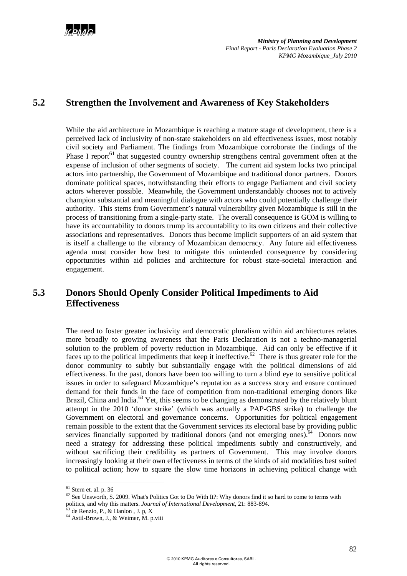## **5.2 Strengthen the Involvement and Awareness of Key Stakeholders**

While the aid architecture in Mozambique is reaching a mature stage of development, there is a perceived lack of inclusivity of non-state stakeholders on aid effectiveness issues, most notably civil society and Parliament. The findings from Mozambique corroborate the findings of the Phase I report<sup>61</sup> that suggested country ownership strengthens central government often at the expense of inclusion of other segments of society. The current aid system locks two principal actors into partnership, the Government of Mozambique and traditional donor partners. Donors dominate political spaces, notwithstanding their efforts to engage Parliament and civil society actors wherever possible. Meanwhile, the Government understandably chooses not to actively champion substantial and meaningful dialogue with actors who could potentially challenge their authority. This stems from Government's natural vulnerability given Mozambique is still in the process of transitioning from a single-party state. The overall consequence is GOM is willing to have its accountability to donors trump its accountability to its own citizens and their collective associations and representatives. Donors thus become implicit supporters of an aid system that is itself a challenge to the vibrancy of Mozambican democracy. Any future aid effectiveness agenda must consider how best to mitigate this unintended consequence by considering opportunities within aid policies and architecture for robust state-societal interaction and engagement.

### **5.3 Donors Should Openly Consider Political Impediments to Aid Effectiveness**

The need to foster greater inclusivity and democratic pluralism within aid architectures relates more broadly to growing awareness that the Paris Declaration is not a techno-managerial solution to the problem of poverty reduction in Mozambique. Aid can only be effective if it faces up to the political impediments that keep it ineffective.<sup>62</sup> There is thus greater role for the donor community to subtly but substantially engage with the political dimensions of aid effectiveness. In the past, donors have been too willing to turn a blind eye to sensitive political issues in order to safeguard Mozambique's reputation as a success story and ensure continued demand for their funds in the face of competition from non-traditional emerging donors like Brazil, China and India.<sup>63</sup> Yet, this seems to be changing as demonstrated by the relatively blunt attempt in the 2010 'donor strike' (which was actually a PAP-GBS strike) to challenge the Government on electoral and governance concerns. Opportunities for political engagement remain possible to the extent that the Government services its electoral base by providing public services financially supported by traditional donors (and not emerging ones).  $64$  Donors now need a strategy for addressing these political impediments subtly and constructively, and without sacrificing their credibility as partners of Government. This may involve donors increasingly looking at their own effectiveness in terms of the kinds of aid modalities best suited to political action; how to square the slow time horizons in achieving political change with

 $\overline{a}$ 

 $61$  Stern et. al. p. 36

 $62$  See Unsworth, S. 2009. What's Politics Got to Do With It?: Why donors find it so hard to come to terms with politics, and why this matters. *Journal of International Development*, 21: 883-894. <sup>63</sup> de Renzio, P., & Hanlon , J. p, X

<sup>64</sup> Astil-Brown, J., & Weimer, M. p.viii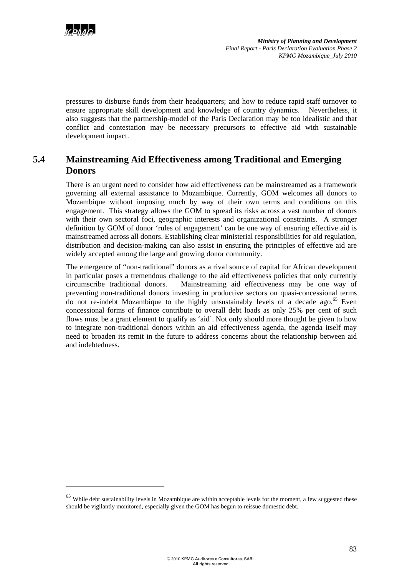

l

*Ministry of Planning and Development Final Report - Paris Declaration Evaluation Phase 2 KPMG Mozambique\_July 2010*

pressures to disburse funds from their headquarters; and how to reduce rapid staff turnover to ensure appropriate skill development and knowledge of country dynamics. Nevertheless, it also suggests that the partnership-model of the Paris Declaration may be too idealistic and that conflict and contestation may be necessary precursors to effective aid with sustainable development impact.

### **5.4 Mainstreaming Aid Effectiveness among Traditional and Emerging Donors**

There is an urgent need to consider how aid effectiveness can be mainstreamed as a framework governing all external assistance to Mozambique. Currently, GOM welcomes all donors to Mozambique without imposing much by way of their own terms and conditions on this engagement. This strategy allows the GOM to spread its risks across a vast number of donors with their own sectoral foci, geographic interests and organizational constraints. A stronger definition by GOM of donor 'rules of engagement' can be one way of ensuring effective aid is mainstreamed across all donors. Establishing clear ministerial responsibilities for aid regulation, distribution and decision-making can also assist in ensuring the principles of effective aid are widely accepted among the large and growing donor community.

The emergence of "non-traditional" donors as a rival source of capital for African development in particular poses a tremendous challenge to the aid effectiveness policies that only currently circumscribe traditional donors. Mainstreaming aid effectiveness may be one way of preventing non-traditional donors investing in productive sectors on quasi-concessional terms do not re-indebt Mozambique to the highly unsustainably levels of a decade ago.<sup>65</sup> Even concessional forms of finance contribute to overall debt loads as only 25% per cent of such flows must be a grant element to qualify as 'aid'. Not only should more thought be given to how to integrate non-traditional donors within an aid effectiveness agenda, the agenda itself may need to broaden its remit in the future to address concerns about the relationship between aid and indebtedness.

<sup>&</sup>lt;sup>65</sup> While debt sustainability levels in Mozambique are within acceptable levels for the moment, a few suggested these should be vigilantly monitored, especially given the GOM has begun to reissue domestic debt.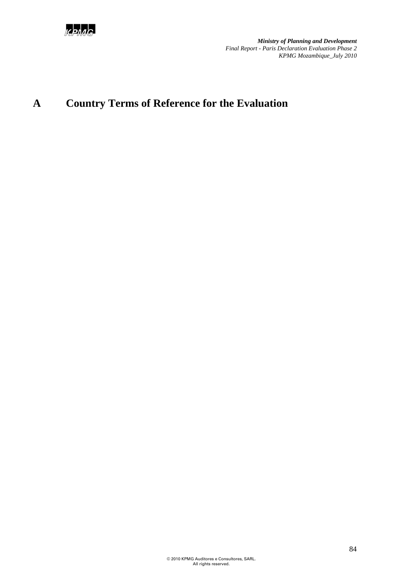# **A Country Terms of Reference for the Evaluation**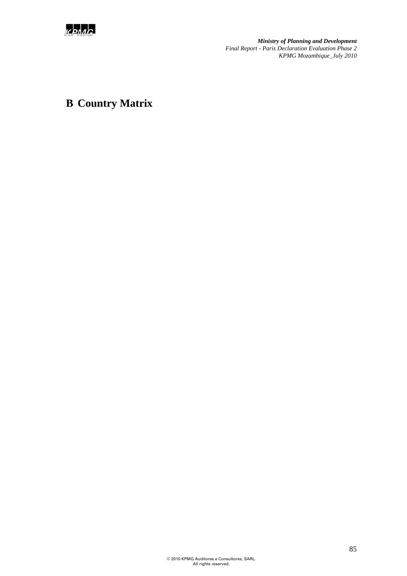

# **B Country Matrix**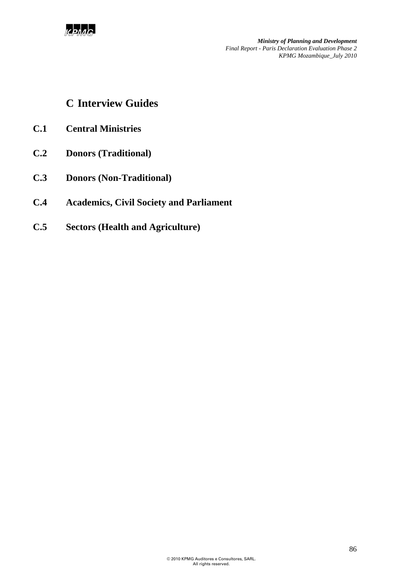

## **C Interview Guides**

- **C.1 Central Ministries**
- **C.2 Donors (Traditional)**
- **C.3 Donors (Non-Traditional)**
- **C.4 Academics, Civil Society and Parliament**
- **C.5 Sectors (Health and Agriculture)**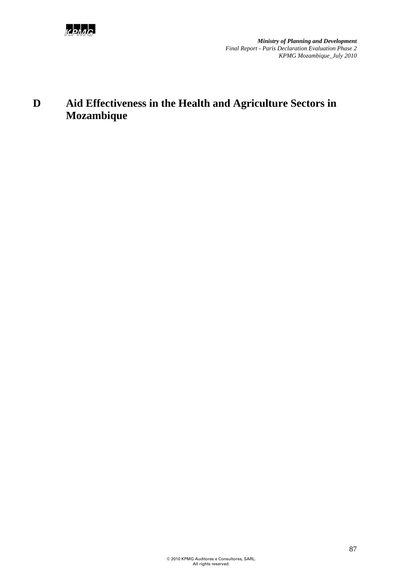

## **D Aid Effectiveness in the Health and Agriculture Sectors in Mozambique**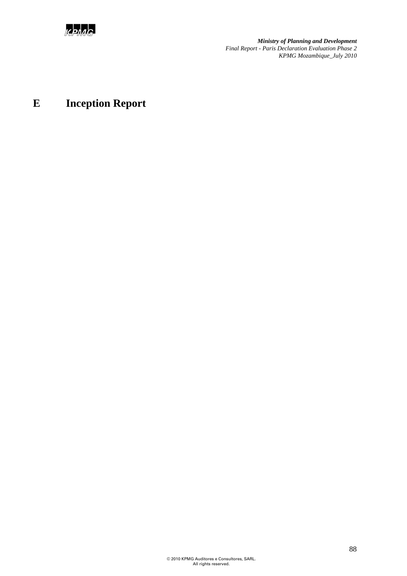# **E Inception Report**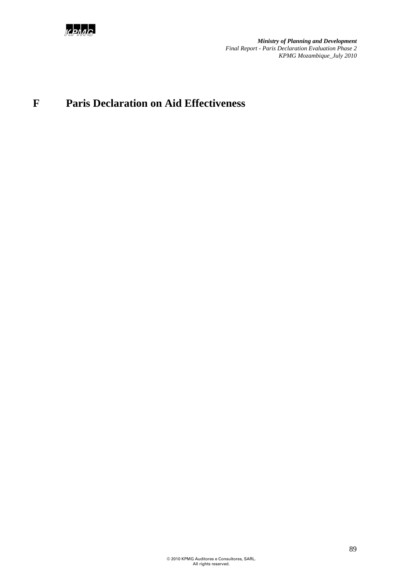# **F Paris Declaration on Aid Effectiveness**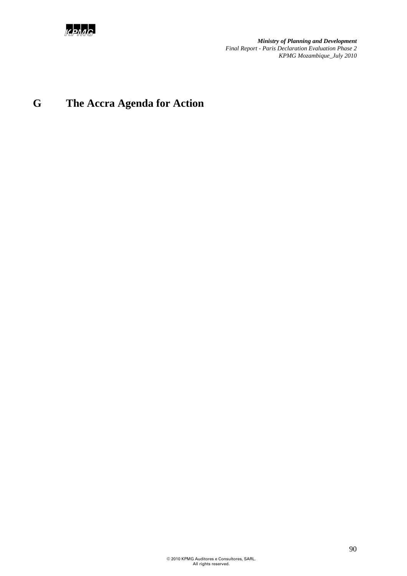

# **G The Accra Agenda for Action**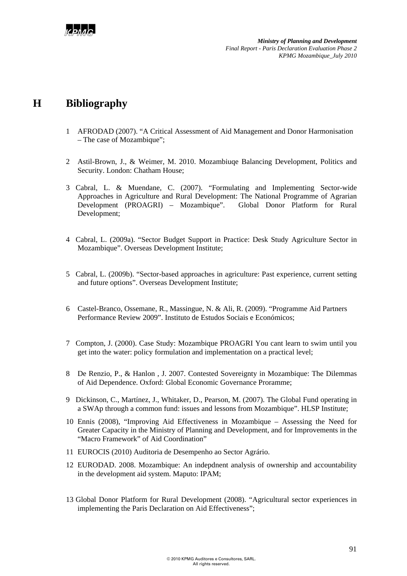

## **H Bibliography**

- 1 AFRODAD (2007). "A Critical Assessment of Aid Management and Donor Harmonisation – The case of Mozambique";
- 2 Astil-Brown, J., & Weimer, M. 2010. Mozambiuqe Balancing Development, Politics and Security. London: Chatham House;
- 3 Cabral, L. & Muendane, C. (2007). "Formulating and Implementing Sector-wide Approaches in Agriculture and Rural Development: The National Programme of Agrarian Development (PROAGRI) – Mozambique". Global Donor Platform for Rural Development:
- 4 Cabral, L. (2009a). "Sector Budget Support in Practice: Desk Study Agriculture Sector in Mozambique". Overseas Development Institute;
- 5 Cabral, L. (2009b). "Sector-based approaches in agriculture: Past experience, current setting and future options". Overseas Development Institute;
- 6 Castel-Branco, Ossemane, R., Massingue, N. & Ali, R. (2009). "Programme Aid Partners Performance Review 2009". Instituto de Estudos Sociais e Económicos;
- 7 Compton, J. (2000). Case Study: Mozambique PROAGRI You cant learn to swim until you get into the water: policy formulation and implementation on a practical level;
- 8 De Renzio, P., & Hanlon , J. 2007. Contested Sovereignty in Mozambique: The Dilemmas of Aid Dependence. Oxford: Global Economic Governance Proramme;
- 9 Dickinson, C., Martínez, J., Whitaker, D., Pearson, M. (2007). The Global Fund operating in a SWAp through a common fund: issues and lessons from Mozambique". HLSP Institute;
- 10 Ennis (2008), "Improving Aid Effectiveness in Mozambique Assessing the Need for Greater Capacity in the Ministry of Planning and Development, and for Improvements in the "Macro Framework" of Aid Coordination"
- 11 EUROCIS (2010) Auditoria de Desempenho ao Sector Agrário.
- 12 EURODAD. 2008. Mozambique: An indepdnent analysis of ownership and accountability in the development aid system. Maputo: IPAM;
- 13 Global Donor Platform for Rural Development (2008). "Agricultural sector experiences in implementing the Paris Declaration on Aid Effectiveness";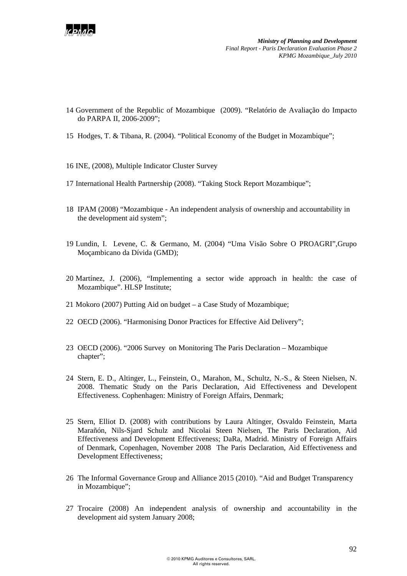

- 14 Government of the Republic of Mozambique (2009). "Relatório de Avaliação do Impacto do PARPA II, 2006-2009";
- 15 Hodges, T. & Tibana, R. (2004). "Political Economy of the Budget in Mozambique";
- 16 INE, (2008), Multiple Indicator Cluster Survey
- 17 International Health Partnership (2008). "Taking Stock Report Mozambique";
- 18 IPAM (2008) "Mozambique An independent analysis of ownership and accountability in the development aid system";
- 19 Lundin, I. Levene, C. & Germano, M. (2004) "Uma Visão Sobre O PROAGRI",Grupo Moçambicano da Dívida (GMD);
- 20 Martínez, J. (2006), "Implementing a sector wide approach in health: the case of Mozambique". HLSP Institute;
- 21 Mokoro (2007) Putting Aid on budget a Case Study of Mozambique;
- 22 OECD (2006). "Harmonising Donor Practices for Effective Aid Delivery";
- 23 OECD (2006). "2006 Survey on Monitoring The Paris Declaration Mozambique chapter";
- 24 Stern, E. D., Altinger, L., Feinstein, O., Marahon, M., Schultz, N.-S., & Steen Nielsen, N. 2008. Thematic Study on the Paris Declaration, Aid Effectiveness and Developent Effectiveness. Cophenhagen: Ministry of Foreign Affairs, Denmark;
- 25 Stern, Elliot D. (2008) with contributions by Laura Altinger, Osvaldo Feinstein, Marta Marañón, Nils-Sjard Schulz and Nicolai Steen Nielsen, The Paris Declaration, Aid Effectiveness and Development Effectiveness; DaRa, Madrid. Ministry of Foreign Affairs of Denmark, Copenhagen, November 2008 The Paris Declaration, Aid Effectiveness and Development Effectiveness;
- 26 The Informal Governance Group and Alliance 2015 (2010). "Aid and Budget Transparency in Mozambique";
- 27 Trocaire (2008) An independent analysis of ownership and accountability in the development aid system January 2008;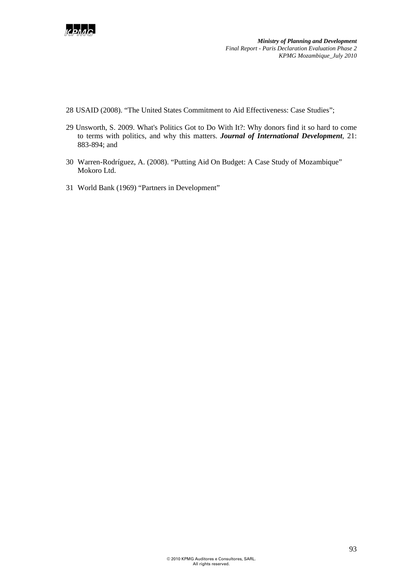

28 USAID (2008). "The United States Commitment to Aid Effectiveness: Case Studies";

- 29 Unsworth, S. 2009. What's Politics Got to Do With It?: Why donors find it so hard to come to terms with politics, and why this matters. *Journal of International Development*, 21: 883-894; and
- 30 Warren-Rodríguez, A. (2008). "Putting Aid On Budget: A Case Study of Mozambique" Mokoro Ltd.
- 31 World Bank (1969) "Partners in Development"